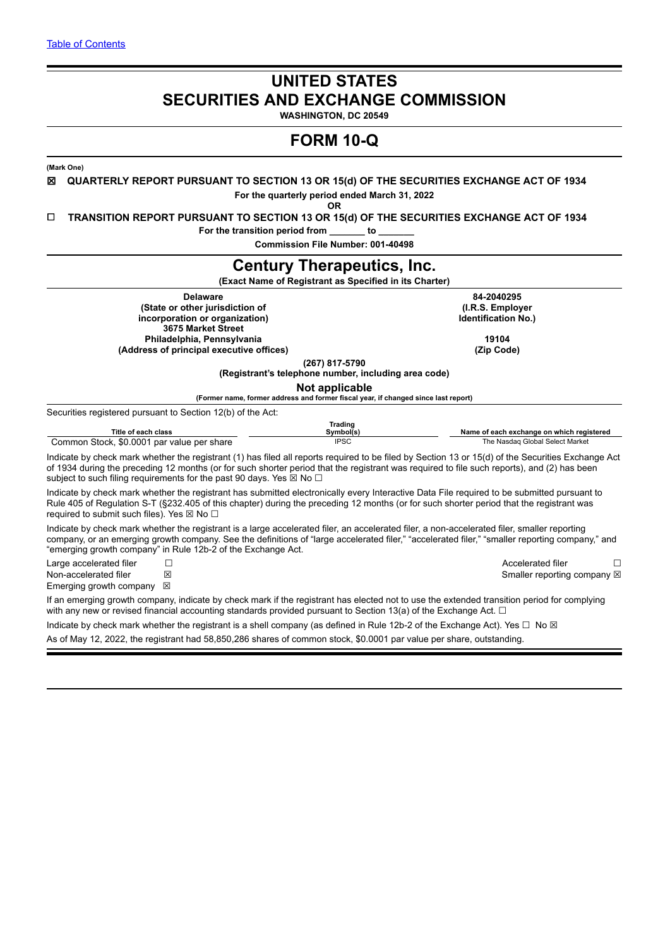# **UNITED STATES SECURITIES AND EXCHANGE COMMISSION**

**WASHINGTON, DC 20549**

# **FORM 10-Q**

**(Mark One)**

☒ **QUARTERLY REPORT PURSUANT TO SECTION 13 OR 15(d) OF THE SECURITIES EXCHANGE ACT OF 1934 For the quarterly period ended March 31, 2022 OR**

☐ **TRANSITION REPORT PURSUANT TO SECTION 13 OR 15(d) OF THE SECURITIES EXCHANGE ACT OF 1934**

For the transition period from **to** 

**Commission File Number: 001-40498**

# **Century Therapeutics, Inc.**

**(Exact Name of Registrant as Specified in its Charter)**

**Delaware 84-2040295 (State or other jurisdiction of incorporation or organization) (I.R.S. Employer Identification No.) 3675 Market Street Philadelphia, Pennsylvania (Address of principal executive offices) 19104 (Zip Code) (267) 817-5790 (Registrant's telephone number, including area code) Not applicable (Former name, former address and former fiscal year, if changed since last report)**

Securities registered pursuant to Section 12(b) of the Act:

| Title of each class                                                                                                                                                                                                                                                                                                                                                                      | <b>Trading</b><br>Symbol(s) | Name of each exchange on which registered |
|------------------------------------------------------------------------------------------------------------------------------------------------------------------------------------------------------------------------------------------------------------------------------------------------------------------------------------------------------------------------------------------|-----------------------------|-------------------------------------------|
| Common Stock, \$0,0001 par value per share                                                                                                                                                                                                                                                                                                                                               | <b>IPSC</b>                 | The Nasdag Global Select Market           |
| Indicate by check mark whether the registrant (1) has filed all reports required to be filed by Section 13 or 15(d) of the Securities Exchange Act<br>of 1934 during the preceding 12 months (or for such shorter period that the registrant was required to file such reports), and (2) has been<br>subject to such filing requirements for the past 90 days. Yes $\boxtimes$ No $\Box$ |                             |                                           |
| Indicate by check mark whether the registrant has submitted electronically every Interactive Data File reguired to be submitted pursuant to<br>Rule 405 of Regulation S-T (§232.405 of this chapter) during the preceding 12 months (or for such shorter period that the registrant was<br>required to submit such files). Yes $\boxtimes$ No $\Box$                                     |                             |                                           |
| Indicate by check mark whether the registrant is a large accelerated filer, an accelerated filer, a non-accelerated filer, smaller reporting<br>company, or an emerging growth company. See the definitions of "large accelerated filer," "accelerated filer," "smaller reporting company," and<br>"emerging growth company" in Rule 12b-2 of the Exchange Act.                          |                             |                                           |
| Large accelerated filer                                                                                                                                                                                                                                                                                                                                                                  |                             | Accelerated filer                         |

Non-accelerated filer **<u>⊠</u>** straight and several straight and several straight and several straight and several straight and several straight and several straight and several straight and several straight and several stra

Emerging growth company  $\boxtimes$ 

If an emerging growth company, indicate by check mark if the registrant has elected not to use the extended transition period for complying with any new or revised financial accounting standards provided pursuant to Section 13(a) of the Exchange Act. □

Indicate by check mark whether the registrant is a shell company (as defined in Rule 12b-2 of the Exchange Act). Yes  $\Box$  No  $\boxtimes$ As of May 12, 2022, the registrant had 58,850,286 shares of common stock, \$0.0001 par value per share, outstanding.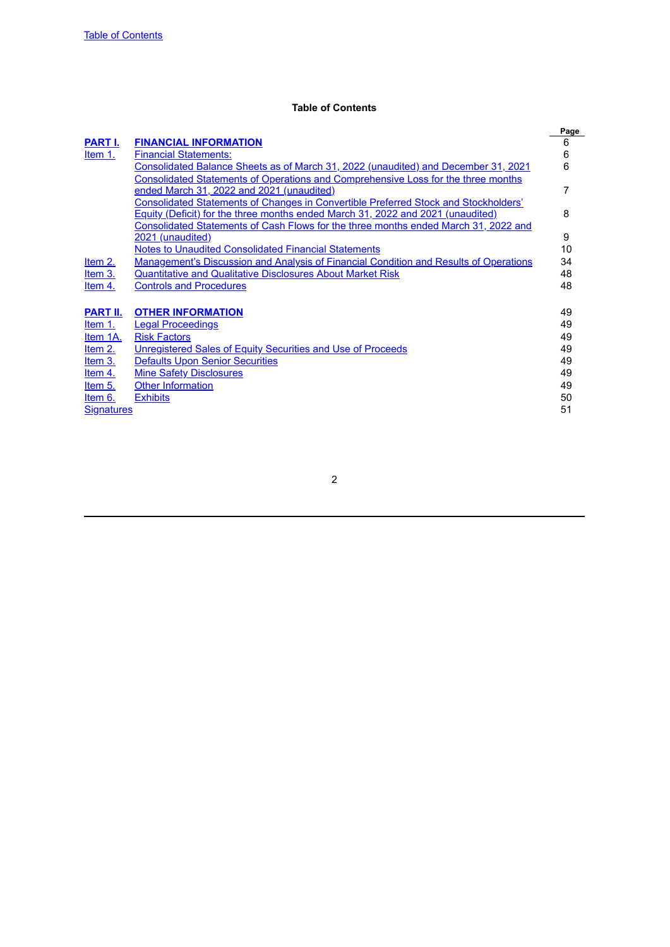# **Table of Contents**

<span id="page-1-0"></span>

|                   |                                                                                              | Page |
|-------------------|----------------------------------------------------------------------------------------------|------|
| <b>PART I.</b>    | <b>FINANCIAL INFORMATION</b>                                                                 | 6    |
| Item 1.           | <b>Financial Statements:</b>                                                                 | 6    |
|                   | Consolidated Balance Sheets as of March 31, 2022 (unaudited) and December 31, 2021           | 6    |
|                   | <b>Consolidated Statements of Operations and Comprehensive Loss for the three months</b>     |      |
|                   | ended March 31, 2022 and 2021 (unaudited)                                                    | 7    |
|                   | <b>Consolidated Statements of Changes in Convertible Preferred Stock and Stockholders'</b>   |      |
|                   | <b>Equity (Deficit) for the three months ended March 31, 2022 and 2021 (unaudited)</b>       | 8    |
|                   | Consolidated Statements of Cash Flows for the three months ended March 31, 2022 and          |      |
|                   | 2021 (unaudited)                                                                             | 9    |
|                   | <b>Notes to Unaudited Consolidated Financial Statements</b>                                  | 10   |
| Item $2.$         | <b>Management's Discussion and Analysis of Financial Condition and Results of Operations</b> | 34   |
| Item $3.$         | <b>Quantitative and Qualitative Disclosures About Market Risk</b>                            | 48   |
| Item $4.$         | <b>Controls and Procedures</b>                                                               | 48   |
|                   |                                                                                              |      |
| <b>PART II.</b>   | <b>OTHER INFORMATION</b>                                                                     | 49   |
| Item 1.           | <b>Legal Proceedings</b>                                                                     | 49   |
| Item 1A.          | <b>Risk Factors</b>                                                                          | 49   |
| Item $2.$         | Unregistered Sales of Equity Securities and Use of Proceeds                                  | 49   |
| Item 3.           | <b>Defaults Upon Senior Securities</b>                                                       | 49   |
| Item 4.           | <b>Mine Safety Disclosures</b>                                                               | 49   |
| Item 5.           | <b>Other Information</b>                                                                     | 49   |
| Item 6.           | <b>Exhibits</b>                                                                              | 50   |
| <b>Signatures</b> |                                                                                              | 51   |
|                   |                                                                                              |      |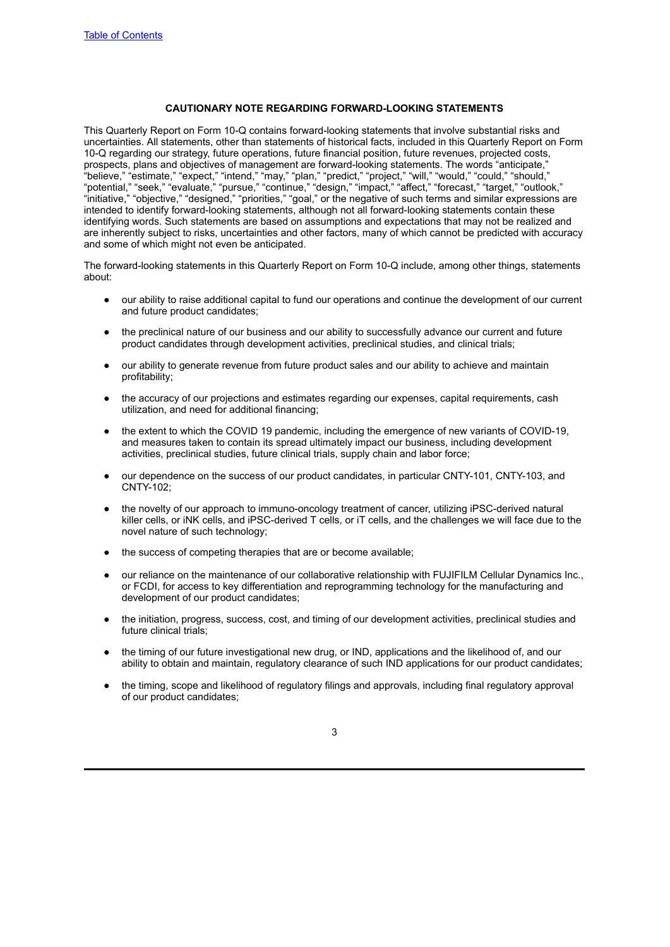# **CAUTIONARY NOTE REGARDING FORWARD-LOOKING STATEMENTS**

This Quarterly Report on Form 10-Q contains forward-looking statements that involve substantial risks and uncertainties. All statements, other than statements of historical facts, included in this Quarterly Report on Form 10-Q regarding our strategy, future operations, future financial position, future revenues, projected costs, prospects, plans and objectives of management are forward-looking statements. The words "anticipate," "believe," "estimate," "expect," "intend," "may," "plan," "predict," "project," "will," "would," "could," "should," "potential," "seek," "evaluate," "pursue," "continue," "design," "impact," "affect," "forecast," "target," "outlook," "initiative," "objective," "designed," "priorities," "goal," or the negative of such terms and similar expressions are intended to identify forward-looking statements, although not all forward-looking statements contain these identifying words. Such statements are based on assumptions and expectations that may not be realized and are inherently subject to risks, uncertainties and other factors, many of which cannot be predicted with accuracy and some of which might not even be anticipated.

The forward-looking statements in this Quarterly Report on Form 10-Q include, among other things, statements about:

- our ability to raise additional capital to fund our operations and continue the development of our current and future product candidates;
- the preclinical nature of our business and our ability to successfully advance our current and future product candidates through development activities, preclinical studies, and clinical trials;
- our ability to generate revenue from future product sales and our ability to achieve and maintain profitability;
- the accuracy of our projections and estimates regarding our expenses, capital requirements, cash utilization, and need for additional financing;
- the extent to which the COVID 19 pandemic, including the emergence of new variants of COVID-19, and measures taken to contain its spread ultimately impact our business, including development activities, preclinical studies, future clinical trials, supply chain and labor force;
- our dependence on the success of our product candidates, in particular CNTY-101, CNTY-103, and CNTY-102;
- the novelty of our approach to immuno-oncology treatment of cancer, utilizing iPSC-derived natural killer cells, or iNK cells, and iPSC-derived T cells, or iT cells, and the challenges we will face due to the novel nature of such technology;
- the success of competing therapies that are or become available;
- our reliance on the maintenance of our collaborative relationship with FUJIFILM Cellular Dynamics Inc., or FCDI, for access to key differentiation and reprogramming technology for the manufacturing and development of our product candidates;
- the initiation, progress, success, cost, and timing of our development activities, preclinical studies and future clinical trials;
- the timing of our future investigational new drug, or IND, applications and the likelihood of, and our ability to obtain and maintain, regulatory clearance of such IND applications for our product candidates;
- the timing, scope and likelihood of regulatory filings and approvals, including final regulatory approval of our product candidates;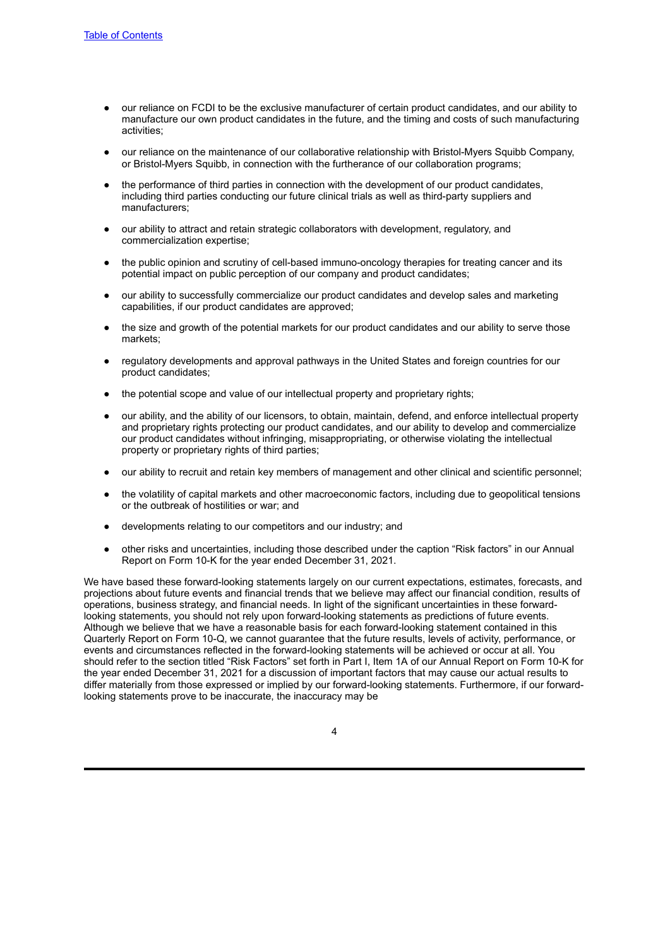- our reliance on FCDI to be the exclusive manufacturer of certain product candidates, and our ability to manufacture our own product candidates in the future, and the timing and costs of such manufacturing activities;
- our reliance on the maintenance of our collaborative relationship with Bristol-Myers Squibb Company, or Bristol-Myers Squibb, in connection with the furtherance of our collaboration programs;
- the performance of third parties in connection with the development of our product candidates, including third parties conducting our future clinical trials as well as third-party suppliers and manufacturers;
- our ability to attract and retain strategic collaborators with development, regulatory, and commercialization expertise;
- the public opinion and scrutiny of cell-based immuno-oncology therapies for treating cancer and its potential impact on public perception of our company and product candidates;
- our ability to successfully commercialize our product candidates and develop sales and marketing capabilities, if our product candidates are approved;
- the size and growth of the potential markets for our product candidates and our ability to serve those markets;
- regulatory developments and approval pathways in the United States and foreign countries for our product candidates;
- the potential scope and value of our intellectual property and proprietary rights;
- our ability, and the ability of our licensors, to obtain, maintain, defend, and enforce intellectual property and proprietary rights protecting our product candidates, and our ability to develop and commercialize our product candidates without infringing, misappropriating, or otherwise violating the intellectual property or proprietary rights of third parties;
- our ability to recruit and retain key members of management and other clinical and scientific personnel;
- the volatility of capital markets and other macroeconomic factors, including due to geopolitical tensions or the outbreak of hostilities or war; and
- developments relating to our competitors and our industry; and
- other risks and uncertainties, including those described under the caption "Risk factors" in our Annual Report on Form 10-K for the year ended December 31, 2021.

We have based these forward-looking statements largely on our current expectations, estimates, forecasts, and projections about future events and financial trends that we believe may affect our financial condition, results of operations, business strategy, and financial needs. In light of the significant uncertainties in these forwardlooking statements, you should not rely upon forward-looking statements as predictions of future events. Although we believe that we have a reasonable basis for each forward-looking statement contained in this Quarterly Report on Form 10-Q, we cannot guarantee that the future results, levels of activity, performance, or events and circumstances reflected in the forward-looking statements will be achieved or occur at all. You should refer to the section titled "Risk Factors" set forth in Part I, Item 1A of our Annual Report on Form 10-K for the year ended December 31, 2021 for a discussion of important factors that may cause our actual results to differ materially from those expressed or implied by our forward-looking statements. Furthermore, if our forwardlooking statements prove to be inaccurate, the inaccuracy may be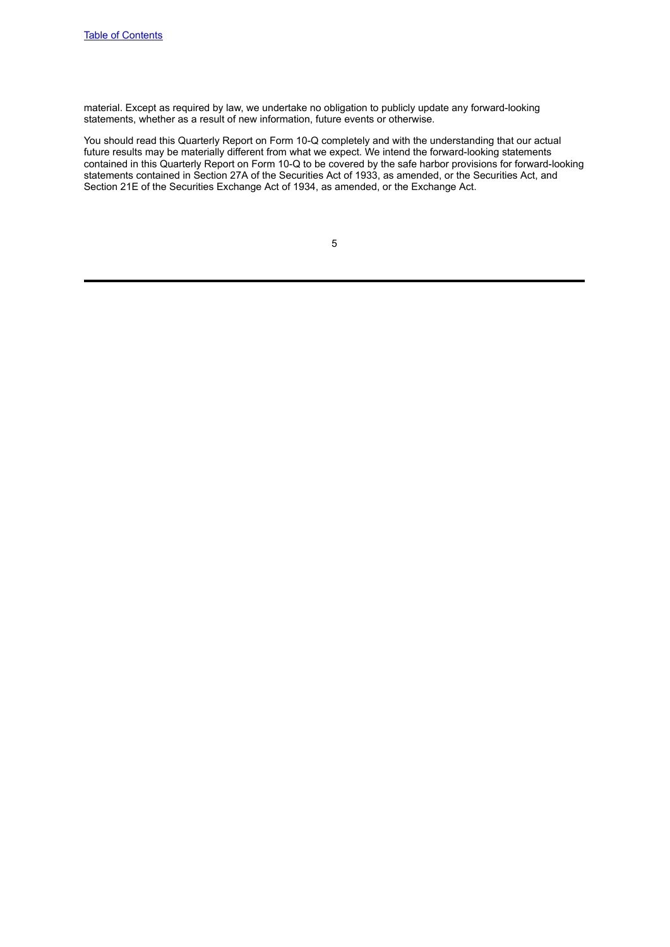material. Except as required by law, we undertake no obligation to publicly update any forward-looking statements, whether as a result of new information, future events or otherwise.

You should read this Quarterly Report on Form 10-Q completely and with the understanding that our actual future results may be materially different from what we expect. We intend the forward-looking statements contained in this Quarterly Report on Form 10-Q to be covered by the safe harbor provisions for forward-looking statements contained in Section 27A of the Securities Act of 1933, as amended, or the Securities Act, and Section 21E of the Securities Exchange Act of 1934, as amended, or the Exchange Act.

| ۰. |  |  |
|----|--|--|
|    |  |  |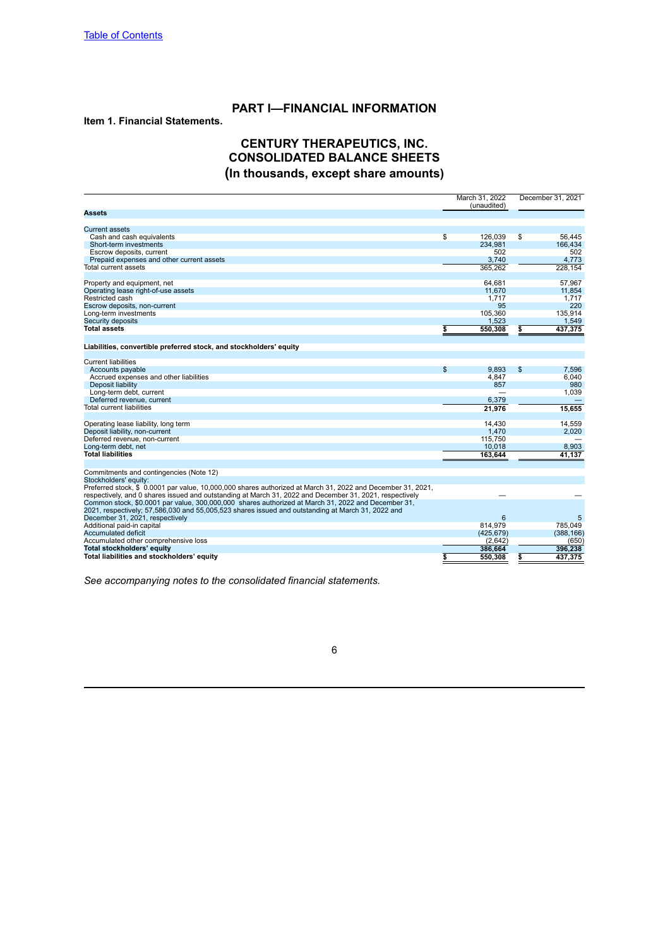# **PART I—FINANCIAL INFORMATION**

# <span id="page-5-2"></span><span id="page-5-1"></span><span id="page-5-0"></span>**Item 1. Financial Statements.**

# **CENTURY THERAPEUTICS, INC. CONSOLIDATED BALANCE SHEETS (In thousands, except share amounts)**

|                                                                                                             | March 31, 2022 | December 31, 2021 |
|-------------------------------------------------------------------------------------------------------------|----------------|-------------------|
|                                                                                                             | (unaudited)    |                   |
| Assets                                                                                                      |                |                   |
| <b>Current assets</b>                                                                                       |                |                   |
| Cash and cash equivalents                                                                                   | \$<br>126.039  | \$<br>56,445      |
| Short-term investments                                                                                      | 234.981        | 166.434           |
| Escrow deposits, current                                                                                    | 502            | 502               |
| Prepaid expenses and other current assets                                                                   | 3,740          | 4,773             |
| <b>Total current assets</b>                                                                                 | 365.262        | 228,154           |
| Property and equipment, net                                                                                 | 64.681         | 57.967            |
| Operating lease right-of-use assets                                                                         | 11,670         | 11.854            |
| Restricted cash                                                                                             |                |                   |
|                                                                                                             | 1,717          | 1,717             |
| Escrow deposits, non-current                                                                                | 95             | 220               |
| Long-term investments                                                                                       | 105,360        | 135,914           |
| Security deposits                                                                                           | 1,523          | 1.549             |
| <b>Total assets</b>                                                                                         | \$<br>550,308  | \$<br>437,375     |
| Liabilities, convertible preferred stock, and stockholders' equity                                          |                |                   |
| <b>Current liabilities</b>                                                                                  |                |                   |
| Accounts payable                                                                                            | \$<br>9.893    | \$<br>7.596       |
| Accrued expenses and other liabilities                                                                      | 4,847          | 6,040             |
| Deposit liability                                                                                           | 857            | 980               |
| Long-term debt, current                                                                                     |                | 1,039             |
| Deferred revenue, current                                                                                   | 6.379          |                   |
| <b>Total current liabilities</b>                                                                            | 21,976         | 15,655            |
|                                                                                                             |                |                   |
| Operating lease liability, long term                                                                        | 14,430         | 14,559            |
| Deposit liability, non-current                                                                              | 1,470          | 2,020             |
| Deferred revenue, non-current                                                                               | 115,750        |                   |
| Long-term debt, net                                                                                         | 10,018         | 8,903             |
| <b>Total liabilities</b>                                                                                    | 163,644        | 41,137            |
|                                                                                                             |                |                   |
| Commitments and contingencies (Note 12)                                                                     |                |                   |
| Stockholders' equity:                                                                                       |                |                   |
| Preferred stock, \$ 0.0001 par value, 10,000,000 shares authorized at March 31, 2022 and December 31, 2021, |                |                   |
| respectively, and 0 shares issued and outstanding at March 31, 2022 and December 31, 2021, respectively     |                |                   |
| Common stock, \$0.0001 par value, 300,000,000 shares authorized at March 31, 2022 and December 31,          |                |                   |
| 2021, respectively; 57,586,030 and 55,005,523 shares issued and outstanding at March 31, 2022 and           |                |                   |
| December 31, 2021, respectively                                                                             | 6              |                   |
| Additional paid-in capital                                                                                  | 814.979        | 785,049           |
| <b>Accumulated deficit</b>                                                                                  | (425, 679)     | (388, 166)        |
| Accumulated other comprehensive loss                                                                        | (2,642)        | (650)             |
| Total stockholders' equity                                                                                  | 386,664        | 396,238           |
| Total liabilities and stockholders' equity                                                                  | \$<br>550.308  | \$<br>437,375     |

*See accompanying notes to the consolidated financial statements.*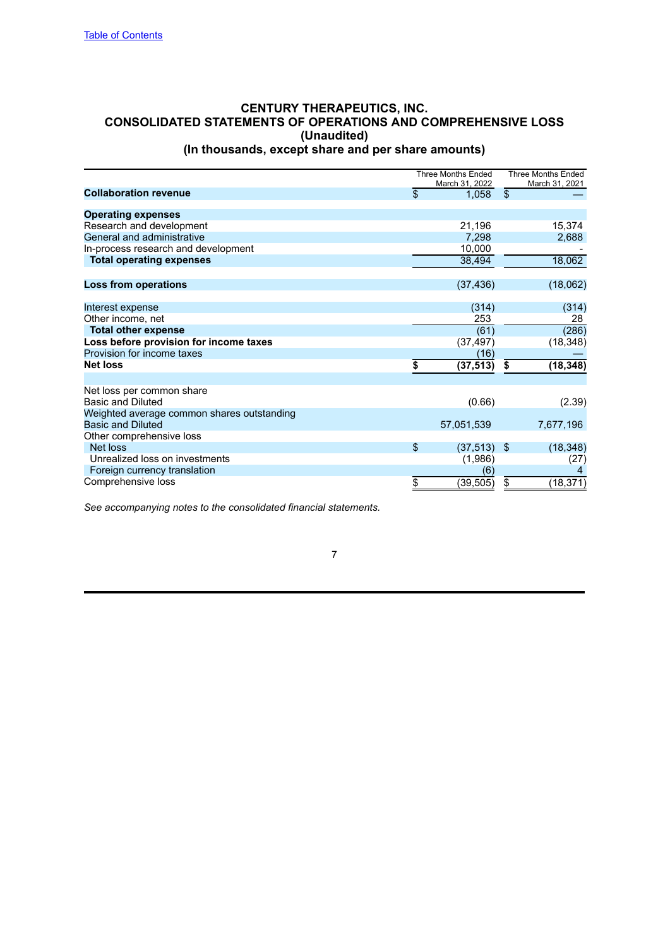# <span id="page-6-0"></span>**CENTURY THERAPEUTICS, INC. CONSOLIDATED STATEMENTS OF OPERATIONS AND COMPREHENSIVE LOSS (Unaudited)**

**(In thousands, except share and per share amounts)**

|                                            | <b>Three Months Ended</b><br>March 31, 2022 |              | <b>Three Months Ended</b><br>March 31, 2021 |
|--------------------------------------------|---------------------------------------------|--------------|---------------------------------------------|
| <b>Collaboration revenue</b>               | \$<br>1,058                                 | $\mathbf{s}$ |                                             |
| <b>Operating expenses</b>                  |                                             |              |                                             |
| Research and development                   | 21,196                                      |              | 15,374                                      |
| General and administrative                 | 7,298                                       |              | 2,688                                       |
| In-process research and development        | 10,000                                      |              |                                             |
| <b>Total operating expenses</b>            | 38,494                                      |              | 18,062                                      |
| Loss from operations                       | (37, 436)                                   |              | (18,062)                                    |
|                                            |                                             |              |                                             |
| Interest expense                           | (314)                                       |              | (314)                                       |
| Other income, net                          | 253                                         |              | 28                                          |
| <b>Total other expense</b>                 | (61)                                        |              | (286)                                       |
| Loss before provision for income taxes     | (37, 497)                                   |              | (18, 348)                                   |
| Provision for income taxes                 | (16)                                        |              |                                             |
| <b>Net loss</b>                            | (37, 513)                                   | \$           | (18, 348)                                   |
|                                            |                                             |              |                                             |
| Net loss per common share                  |                                             |              |                                             |
| <b>Basic and Diluted</b>                   | (0.66)                                      |              | (2.39)                                      |
| Weighted average common shares outstanding |                                             |              |                                             |
| <b>Basic and Diluted</b>                   | 57,051,539                                  |              | 7,677,196                                   |
| Other comprehensive loss                   |                                             |              |                                             |
| Net loss                                   | \$<br>$(37,513)$ \$                         |              | (18, 348)                                   |
| Unrealized loss on investments             | (1,986)                                     |              | (27)                                        |
| Foreign currency translation               | (6)                                         |              |                                             |
| Comprehensive loss                         | \$<br>(39, 505)                             | \$           | (18, 371)                                   |

*See accompanying notes to the consolidated financial statements.*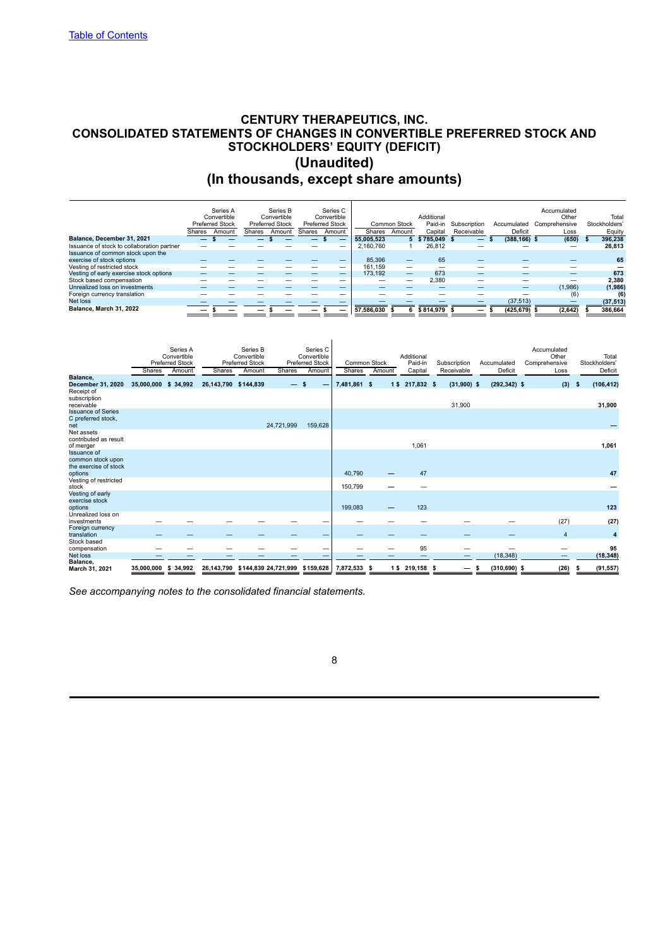# <span id="page-7-0"></span>**CENTURY THERAPEUTICS, INC. CONSOLIDATED STATEMENTS OF CHANGES IN CONVERTIBLE PREFERRED STOCK AND STOCKHOLDERS' EQUITY (DEFICIT) (Unaudited)**

# **(In thousands, except share amounts)**

|                                            | Shares                   | Series A<br>Convertible<br><b>Preferred Stock</b><br>Amount | <b>Shares</b> | Series B<br>Convertible<br><b>Preferred Stock</b><br>Amount | Shares | Series C<br>Convertible<br><b>Preferred Stock</b><br>Amount | Shares     | <b>Common Stock</b><br>Amount | Additional<br>Paid-in<br>Capital | Subscription<br>Receivable | Accumulated<br>Deficit | Accumulated<br>Other<br>Comprehensive<br>Loss | Total<br>Stockholders' |
|--------------------------------------------|--------------------------|-------------------------------------------------------------|---------------|-------------------------------------------------------------|--------|-------------------------------------------------------------|------------|-------------------------------|----------------------------------|----------------------------|------------------------|-----------------------------------------------|------------------------|
| Balance, December 31, 2021                 | $\overline{\phantom{0}}$ |                                                             |               |                                                             |        |                                                             | 55.005.523 | 5.                            | \$785,049                        | $\overline{\phantom{a}}$   | $(388, 166)$ \$        | (650)                                         | Equity<br>396,238      |
| Issuance of stock to collaboration partner |                          |                                                             |               |                                                             |        |                                                             | 2.160.760  |                               | 26.812                           |                            |                        |                                               | 26,813                 |
| Issuance of common stock upon the          |                          |                                                             |               |                                                             |        |                                                             |            |                               |                                  |                            |                        |                                               |                        |
| exercise of stock options                  |                          |                                                             |               |                                                             |        |                                                             | 85,396     |                               | 65                               |                            |                        |                                               | 65                     |
| Vesting of restricted stock                |                          |                                                             |               |                                                             |        |                                                             | 161.159    |                               | –                                |                            |                        |                                               |                        |
| Vesting of early exercise stock options    |                          |                                                             |               |                                                             |        |                                                             | 173.192    | –                             | 673                              |                            |                        |                                               | 673                    |
| Stock based compensation                   |                          |                                                             |               |                                                             |        |                                                             |            |                               | 2,380                            |                            |                        |                                               | 2.380                  |
| Unrealized loss on investments             |                          |                                                             |               |                                                             |        |                                                             |            |                               |                                  |                            | –                      | (1,986)                                       | (1,986)                |
| Foreign currency translation               |                          |                                                             |               |                                                             |        |                                                             |            |                               |                                  |                            |                        | (6)                                           | (6)                    |
| Net loss                                   |                          |                                                             |               |                                                             |        |                                                             |            |                               |                                  |                            | (37, 513)              |                                               | (37, 513)              |
| Balance, March 31, 2022                    |                          |                                                             |               |                                                             |        |                                                             | 57,586,030 |                               | \$814.979                        |                            | (425.679)              | (2,642)                                       | 386,664                |

|                                  | Shares               | Series A<br>Convertible<br>Preferred Stock<br>Amount | Shares                                    | Series B<br>Convertible<br>Preferred Stock<br>Amount | Shares     | Series C<br>Convertible<br><b>Preferred Stock</b><br>Amount | Common Stock<br>Shares | Amount | Additional<br>Paid-in<br>Capital | Subscription<br>Receivable | Accumulated<br>Deficit | Accumulated<br>Other<br>Comprehensive<br>Loss |    | Total<br>Stockholders'<br>Deficit |
|----------------------------------|----------------------|------------------------------------------------------|-------------------------------------------|------------------------------------------------------|------------|-------------------------------------------------------------|------------------------|--------|----------------------------------|----------------------------|------------------------|-----------------------------------------------|----|-----------------------------------|
| Balance,<br>December 31, 2020    | 35,000,000 \$ 34,992 |                                                      | 26,143,790 \$144,839                      |                                                      | — s        |                                                             | 7,481,861 \$           | $1$ \$ | 217,832 \$                       | $(31,900)$ \$              | $(292, 342)$ \$        | (3)                                           | S. | (106, 412)                        |
| Receipt of                       |                      |                                                      |                                           |                                                      |            |                                                             |                        |        |                                  |                            |                        |                                               |    |                                   |
| subscription<br>receivable       |                      |                                                      |                                           |                                                      |            |                                                             |                        |        |                                  | 31,900                     |                        |                                               |    | 31,900                            |
| <b>Issuance of Series</b>        |                      |                                                      |                                           |                                                      |            |                                                             |                        |        |                                  |                            |                        |                                               |    |                                   |
| C preferred stock,<br>net        |                      |                                                      |                                           |                                                      | 24,721,999 | 159,628                                                     |                        |        |                                  |                            |                        |                                               |    |                                   |
| Net assets                       |                      |                                                      |                                           |                                                      |            |                                                             |                        |        |                                  |                            |                        |                                               |    |                                   |
| contributed as result            |                      |                                                      |                                           |                                                      |            |                                                             |                        |        |                                  |                            |                        |                                               |    |                                   |
| of merger<br><b>Issuance of</b>  |                      |                                                      |                                           |                                                      |            |                                                             |                        |        | 1,061                            |                            |                        |                                               |    | 1,061                             |
| common stock upon                |                      |                                                      |                                           |                                                      |            |                                                             |                        |        |                                  |                            |                        |                                               |    |                                   |
| the exercise of stock            |                      |                                                      |                                           |                                                      |            |                                                             |                        |        |                                  |                            |                        |                                               |    |                                   |
| options<br>Vesting of restricted |                      |                                                      |                                           |                                                      |            |                                                             | 40,790                 |        | 47                               |                            |                        |                                               |    | 47                                |
| stock                            |                      |                                                      |                                           |                                                      |            |                                                             | 150,799                | -      |                                  |                            |                        |                                               |    |                                   |
| Vesting of early                 |                      |                                                      |                                           |                                                      |            |                                                             |                        |        |                                  |                            |                        |                                               |    |                                   |
| exercise stock<br>options        |                      |                                                      |                                           |                                                      |            |                                                             | 199,083                |        | 123                              |                            |                        |                                               |    | 123                               |
| Unrealized loss on               |                      |                                                      |                                           |                                                      |            |                                                             |                        |        |                                  |                            |                        |                                               |    |                                   |
| investments                      |                      |                                                      |                                           |                                                      |            |                                                             |                        |        |                                  |                            |                        | (27)                                          |    | (27)                              |
| Foreign currency<br>translation  |                      |                                                      |                                           |                                                      |            |                                                             |                        |        |                                  |                            |                        | $\overline{4}$                                |    | 4                                 |
| Stock based                      |                      |                                                      |                                           |                                                      |            |                                                             |                        |        |                                  |                            |                        |                                               |    |                                   |
| compensation<br><b>Net loss</b>  |                      |                                                      |                                           |                                                      |            | –                                                           |                        |        | 95                               |                            | (18, 348)              | $\overline{\phantom{0}}$<br>—                 |    | 95<br>(18, 348)                   |
| Balance,                         |                      |                                                      |                                           |                                                      |            |                                                             |                        |        |                                  |                            |                        |                                               |    |                                   |
| March 31, 2021                   | 35,000,000 \$ 34,992 |                                                      | 26,143,790 \$144,839 24,721,999 \$159,628 |                                                      |            |                                                             | 7,872,533              | \$     | 1 \$ 219,158                     | -S                         | $(310, 690)$ \$        | (26)                                          | s  | (91, 557)                         |

*See accompanying notes to the consolidated financial statements.*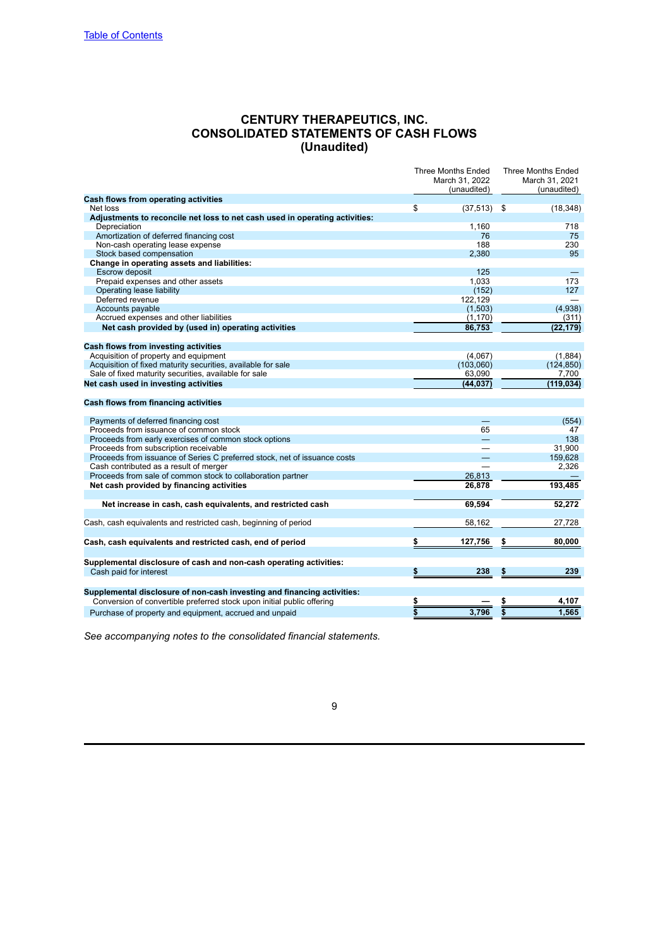# **CENTURY THERAPEUTICS, INC. CONSOLIDATED STATEMENTS OF CASH FLOWS (Unaudited)**

<span id="page-8-0"></span>

| March 31, 2022<br>March 31, 2021<br>(unaudited)<br>(unaudited)<br>Cash flows from operating activities<br>Net loss<br>\$<br>$(37,513)$ \$<br>(18, 348)<br>Adjustments to reconcile net loss to net cash used in operating activities:<br>Depreciation<br>1.160<br>718<br>Amortization of deferred financing cost<br>75<br>76<br>Non-cash operating lease expense<br>188<br>230<br>Stock based compensation<br>2.380<br>95<br>Change in operating assets and liabilities:<br>Escrow deposit<br>125<br>Prepaid expenses and other assets<br>1,033<br>173<br>Operating lease liability<br>(152)<br>127<br>Deferred revenue<br>122.129<br>Accounts payable<br>(1,503)<br>(4,938)<br>Accrued expenses and other liabilities<br>(1, 170)<br>(311)<br>(22, 179)<br>Net cash provided by (used in) operating activities<br>86,753<br>Cash flows from investing activities<br>Acquisition of property and equipment<br>(1,884)<br>(4,067)<br>Acquisition of fixed maturity securities, available for sale<br>(103,060)<br>(124, 850)<br>Sale of fixed maturity securities, available for sale<br>63,090<br>7,700<br>Net cash used in investing activities<br>(119, 034)<br>(44.037)<br>Cash flows from financing activities<br>Payments of deferred financing cost<br>(554)<br>Proceeds from issuance of common stock<br>47<br>65<br>Proceeds from early exercises of common stock options<br>138<br>Proceeds from subscription receivable<br>31,900<br>Proceeds from issuance of Series C preferred stock, net of issuance costs<br>159,628<br>Cash contributed as a result of merger<br>2,326<br>Proceeds from sale of common stock to collaboration partner<br>26,813<br>Net cash provided by financing activities<br>26,878<br>193,485<br>52,272<br>69,594<br>Net increase in cash, cash equivalents, and restricted cash<br>Cash, cash equivalents and restricted cash, beginning of period<br>58,162<br>27,728<br>127,756<br>80,000<br>Cash, cash equivalents and restricted cash, end of period<br>Supplemental disclosure of cash and non-cash operating activities:<br>238<br>239<br>Cash paid for interest<br>\$<br>Supplemental disclosure of non-cash investing and financing activities:<br>\$<br>\$<br>4,107<br>Conversion of convertible preferred stock upon initial public offering<br>3.796<br>1.565<br>Purchase of property and equipment, accrued and unpaid |  | <b>Three Months Ended</b> | <b>Three Months Ended</b> |  |  |
|-------------------------------------------------------------------------------------------------------------------------------------------------------------------------------------------------------------------------------------------------------------------------------------------------------------------------------------------------------------------------------------------------------------------------------------------------------------------------------------------------------------------------------------------------------------------------------------------------------------------------------------------------------------------------------------------------------------------------------------------------------------------------------------------------------------------------------------------------------------------------------------------------------------------------------------------------------------------------------------------------------------------------------------------------------------------------------------------------------------------------------------------------------------------------------------------------------------------------------------------------------------------------------------------------------------------------------------------------------------------------------------------------------------------------------------------------------------------------------------------------------------------------------------------------------------------------------------------------------------------------------------------------------------------------------------------------------------------------------------------------------------------------------------------------------------------------------------------------------------------------------------------------------------------------------------------------------------------------------------------------------------------------------------------------------------------------------------------------------------------------------------------------------------------------------------------------------------------------------------------------------------------------------------------------------------------------------------------------------------------------|--|---------------------------|---------------------------|--|--|
|                                                                                                                                                                                                                                                                                                                                                                                                                                                                                                                                                                                                                                                                                                                                                                                                                                                                                                                                                                                                                                                                                                                                                                                                                                                                                                                                                                                                                                                                                                                                                                                                                                                                                                                                                                                                                                                                                                                                                                                                                                                                                                                                                                                                                                                                                                                                                                         |  |                           |                           |  |  |
|                                                                                                                                                                                                                                                                                                                                                                                                                                                                                                                                                                                                                                                                                                                                                                                                                                                                                                                                                                                                                                                                                                                                                                                                                                                                                                                                                                                                                                                                                                                                                                                                                                                                                                                                                                                                                                                                                                                                                                                                                                                                                                                                                                                                                                                                                                                                                                         |  |                           |                           |  |  |
|                                                                                                                                                                                                                                                                                                                                                                                                                                                                                                                                                                                                                                                                                                                                                                                                                                                                                                                                                                                                                                                                                                                                                                                                                                                                                                                                                                                                                                                                                                                                                                                                                                                                                                                                                                                                                                                                                                                                                                                                                                                                                                                                                                                                                                                                                                                                                                         |  |                           |                           |  |  |
|                                                                                                                                                                                                                                                                                                                                                                                                                                                                                                                                                                                                                                                                                                                                                                                                                                                                                                                                                                                                                                                                                                                                                                                                                                                                                                                                                                                                                                                                                                                                                                                                                                                                                                                                                                                                                                                                                                                                                                                                                                                                                                                                                                                                                                                                                                                                                                         |  |                           |                           |  |  |
|                                                                                                                                                                                                                                                                                                                                                                                                                                                                                                                                                                                                                                                                                                                                                                                                                                                                                                                                                                                                                                                                                                                                                                                                                                                                                                                                                                                                                                                                                                                                                                                                                                                                                                                                                                                                                                                                                                                                                                                                                                                                                                                                                                                                                                                                                                                                                                         |  |                           |                           |  |  |
|                                                                                                                                                                                                                                                                                                                                                                                                                                                                                                                                                                                                                                                                                                                                                                                                                                                                                                                                                                                                                                                                                                                                                                                                                                                                                                                                                                                                                                                                                                                                                                                                                                                                                                                                                                                                                                                                                                                                                                                                                                                                                                                                                                                                                                                                                                                                                                         |  |                           |                           |  |  |
|                                                                                                                                                                                                                                                                                                                                                                                                                                                                                                                                                                                                                                                                                                                                                                                                                                                                                                                                                                                                                                                                                                                                                                                                                                                                                                                                                                                                                                                                                                                                                                                                                                                                                                                                                                                                                                                                                                                                                                                                                                                                                                                                                                                                                                                                                                                                                                         |  |                           |                           |  |  |
|                                                                                                                                                                                                                                                                                                                                                                                                                                                                                                                                                                                                                                                                                                                                                                                                                                                                                                                                                                                                                                                                                                                                                                                                                                                                                                                                                                                                                                                                                                                                                                                                                                                                                                                                                                                                                                                                                                                                                                                                                                                                                                                                                                                                                                                                                                                                                                         |  |                           |                           |  |  |
|                                                                                                                                                                                                                                                                                                                                                                                                                                                                                                                                                                                                                                                                                                                                                                                                                                                                                                                                                                                                                                                                                                                                                                                                                                                                                                                                                                                                                                                                                                                                                                                                                                                                                                                                                                                                                                                                                                                                                                                                                                                                                                                                                                                                                                                                                                                                                                         |  |                           |                           |  |  |
|                                                                                                                                                                                                                                                                                                                                                                                                                                                                                                                                                                                                                                                                                                                                                                                                                                                                                                                                                                                                                                                                                                                                                                                                                                                                                                                                                                                                                                                                                                                                                                                                                                                                                                                                                                                                                                                                                                                                                                                                                                                                                                                                                                                                                                                                                                                                                                         |  |                           |                           |  |  |
|                                                                                                                                                                                                                                                                                                                                                                                                                                                                                                                                                                                                                                                                                                                                                                                                                                                                                                                                                                                                                                                                                                                                                                                                                                                                                                                                                                                                                                                                                                                                                                                                                                                                                                                                                                                                                                                                                                                                                                                                                                                                                                                                                                                                                                                                                                                                                                         |  |                           |                           |  |  |
|                                                                                                                                                                                                                                                                                                                                                                                                                                                                                                                                                                                                                                                                                                                                                                                                                                                                                                                                                                                                                                                                                                                                                                                                                                                                                                                                                                                                                                                                                                                                                                                                                                                                                                                                                                                                                                                                                                                                                                                                                                                                                                                                                                                                                                                                                                                                                                         |  |                           |                           |  |  |
|                                                                                                                                                                                                                                                                                                                                                                                                                                                                                                                                                                                                                                                                                                                                                                                                                                                                                                                                                                                                                                                                                                                                                                                                                                                                                                                                                                                                                                                                                                                                                                                                                                                                                                                                                                                                                                                                                                                                                                                                                                                                                                                                                                                                                                                                                                                                                                         |  |                           |                           |  |  |
|                                                                                                                                                                                                                                                                                                                                                                                                                                                                                                                                                                                                                                                                                                                                                                                                                                                                                                                                                                                                                                                                                                                                                                                                                                                                                                                                                                                                                                                                                                                                                                                                                                                                                                                                                                                                                                                                                                                                                                                                                                                                                                                                                                                                                                                                                                                                                                         |  |                           |                           |  |  |
|                                                                                                                                                                                                                                                                                                                                                                                                                                                                                                                                                                                                                                                                                                                                                                                                                                                                                                                                                                                                                                                                                                                                                                                                                                                                                                                                                                                                                                                                                                                                                                                                                                                                                                                                                                                                                                                                                                                                                                                                                                                                                                                                                                                                                                                                                                                                                                         |  |                           |                           |  |  |
|                                                                                                                                                                                                                                                                                                                                                                                                                                                                                                                                                                                                                                                                                                                                                                                                                                                                                                                                                                                                                                                                                                                                                                                                                                                                                                                                                                                                                                                                                                                                                                                                                                                                                                                                                                                                                                                                                                                                                                                                                                                                                                                                                                                                                                                                                                                                                                         |  |                           |                           |  |  |
|                                                                                                                                                                                                                                                                                                                                                                                                                                                                                                                                                                                                                                                                                                                                                                                                                                                                                                                                                                                                                                                                                                                                                                                                                                                                                                                                                                                                                                                                                                                                                                                                                                                                                                                                                                                                                                                                                                                                                                                                                                                                                                                                                                                                                                                                                                                                                                         |  |                           |                           |  |  |
|                                                                                                                                                                                                                                                                                                                                                                                                                                                                                                                                                                                                                                                                                                                                                                                                                                                                                                                                                                                                                                                                                                                                                                                                                                                                                                                                                                                                                                                                                                                                                                                                                                                                                                                                                                                                                                                                                                                                                                                                                                                                                                                                                                                                                                                                                                                                                                         |  |                           |                           |  |  |
|                                                                                                                                                                                                                                                                                                                                                                                                                                                                                                                                                                                                                                                                                                                                                                                                                                                                                                                                                                                                                                                                                                                                                                                                                                                                                                                                                                                                                                                                                                                                                                                                                                                                                                                                                                                                                                                                                                                                                                                                                                                                                                                                                                                                                                                                                                                                                                         |  |                           |                           |  |  |
|                                                                                                                                                                                                                                                                                                                                                                                                                                                                                                                                                                                                                                                                                                                                                                                                                                                                                                                                                                                                                                                                                                                                                                                                                                                                                                                                                                                                                                                                                                                                                                                                                                                                                                                                                                                                                                                                                                                                                                                                                                                                                                                                                                                                                                                                                                                                                                         |  |                           |                           |  |  |
|                                                                                                                                                                                                                                                                                                                                                                                                                                                                                                                                                                                                                                                                                                                                                                                                                                                                                                                                                                                                                                                                                                                                                                                                                                                                                                                                                                                                                                                                                                                                                                                                                                                                                                                                                                                                                                                                                                                                                                                                                                                                                                                                                                                                                                                                                                                                                                         |  |                           |                           |  |  |
|                                                                                                                                                                                                                                                                                                                                                                                                                                                                                                                                                                                                                                                                                                                                                                                                                                                                                                                                                                                                                                                                                                                                                                                                                                                                                                                                                                                                                                                                                                                                                                                                                                                                                                                                                                                                                                                                                                                                                                                                                                                                                                                                                                                                                                                                                                                                                                         |  |                           |                           |  |  |
|                                                                                                                                                                                                                                                                                                                                                                                                                                                                                                                                                                                                                                                                                                                                                                                                                                                                                                                                                                                                                                                                                                                                                                                                                                                                                                                                                                                                                                                                                                                                                                                                                                                                                                                                                                                                                                                                                                                                                                                                                                                                                                                                                                                                                                                                                                                                                                         |  |                           |                           |  |  |
|                                                                                                                                                                                                                                                                                                                                                                                                                                                                                                                                                                                                                                                                                                                                                                                                                                                                                                                                                                                                                                                                                                                                                                                                                                                                                                                                                                                                                                                                                                                                                                                                                                                                                                                                                                                                                                                                                                                                                                                                                                                                                                                                                                                                                                                                                                                                                                         |  |                           |                           |  |  |
|                                                                                                                                                                                                                                                                                                                                                                                                                                                                                                                                                                                                                                                                                                                                                                                                                                                                                                                                                                                                                                                                                                                                                                                                                                                                                                                                                                                                                                                                                                                                                                                                                                                                                                                                                                                                                                                                                                                                                                                                                                                                                                                                                                                                                                                                                                                                                                         |  |                           |                           |  |  |
|                                                                                                                                                                                                                                                                                                                                                                                                                                                                                                                                                                                                                                                                                                                                                                                                                                                                                                                                                                                                                                                                                                                                                                                                                                                                                                                                                                                                                                                                                                                                                                                                                                                                                                                                                                                                                                                                                                                                                                                                                                                                                                                                                                                                                                                                                                                                                                         |  |                           |                           |  |  |
|                                                                                                                                                                                                                                                                                                                                                                                                                                                                                                                                                                                                                                                                                                                                                                                                                                                                                                                                                                                                                                                                                                                                                                                                                                                                                                                                                                                                                                                                                                                                                                                                                                                                                                                                                                                                                                                                                                                                                                                                                                                                                                                                                                                                                                                                                                                                                                         |  |                           |                           |  |  |
|                                                                                                                                                                                                                                                                                                                                                                                                                                                                                                                                                                                                                                                                                                                                                                                                                                                                                                                                                                                                                                                                                                                                                                                                                                                                                                                                                                                                                                                                                                                                                                                                                                                                                                                                                                                                                                                                                                                                                                                                                                                                                                                                                                                                                                                                                                                                                                         |  |                           |                           |  |  |
|                                                                                                                                                                                                                                                                                                                                                                                                                                                                                                                                                                                                                                                                                                                                                                                                                                                                                                                                                                                                                                                                                                                                                                                                                                                                                                                                                                                                                                                                                                                                                                                                                                                                                                                                                                                                                                                                                                                                                                                                                                                                                                                                                                                                                                                                                                                                                                         |  |                           |                           |  |  |
|                                                                                                                                                                                                                                                                                                                                                                                                                                                                                                                                                                                                                                                                                                                                                                                                                                                                                                                                                                                                                                                                                                                                                                                                                                                                                                                                                                                                                                                                                                                                                                                                                                                                                                                                                                                                                                                                                                                                                                                                                                                                                                                                                                                                                                                                                                                                                                         |  |                           |                           |  |  |
|                                                                                                                                                                                                                                                                                                                                                                                                                                                                                                                                                                                                                                                                                                                                                                                                                                                                                                                                                                                                                                                                                                                                                                                                                                                                                                                                                                                                                                                                                                                                                                                                                                                                                                                                                                                                                                                                                                                                                                                                                                                                                                                                                                                                                                                                                                                                                                         |  |                           |                           |  |  |
|                                                                                                                                                                                                                                                                                                                                                                                                                                                                                                                                                                                                                                                                                                                                                                                                                                                                                                                                                                                                                                                                                                                                                                                                                                                                                                                                                                                                                                                                                                                                                                                                                                                                                                                                                                                                                                                                                                                                                                                                                                                                                                                                                                                                                                                                                                                                                                         |  |                           |                           |  |  |
|                                                                                                                                                                                                                                                                                                                                                                                                                                                                                                                                                                                                                                                                                                                                                                                                                                                                                                                                                                                                                                                                                                                                                                                                                                                                                                                                                                                                                                                                                                                                                                                                                                                                                                                                                                                                                                                                                                                                                                                                                                                                                                                                                                                                                                                                                                                                                                         |  |                           |                           |  |  |
|                                                                                                                                                                                                                                                                                                                                                                                                                                                                                                                                                                                                                                                                                                                                                                                                                                                                                                                                                                                                                                                                                                                                                                                                                                                                                                                                                                                                                                                                                                                                                                                                                                                                                                                                                                                                                                                                                                                                                                                                                                                                                                                                                                                                                                                                                                                                                                         |  |                           |                           |  |  |
|                                                                                                                                                                                                                                                                                                                                                                                                                                                                                                                                                                                                                                                                                                                                                                                                                                                                                                                                                                                                                                                                                                                                                                                                                                                                                                                                                                                                                                                                                                                                                                                                                                                                                                                                                                                                                                                                                                                                                                                                                                                                                                                                                                                                                                                                                                                                                                         |  |                           |                           |  |  |
|                                                                                                                                                                                                                                                                                                                                                                                                                                                                                                                                                                                                                                                                                                                                                                                                                                                                                                                                                                                                                                                                                                                                                                                                                                                                                                                                                                                                                                                                                                                                                                                                                                                                                                                                                                                                                                                                                                                                                                                                                                                                                                                                                                                                                                                                                                                                                                         |  |                           |                           |  |  |
|                                                                                                                                                                                                                                                                                                                                                                                                                                                                                                                                                                                                                                                                                                                                                                                                                                                                                                                                                                                                                                                                                                                                                                                                                                                                                                                                                                                                                                                                                                                                                                                                                                                                                                                                                                                                                                                                                                                                                                                                                                                                                                                                                                                                                                                                                                                                                                         |  |                           |                           |  |  |
|                                                                                                                                                                                                                                                                                                                                                                                                                                                                                                                                                                                                                                                                                                                                                                                                                                                                                                                                                                                                                                                                                                                                                                                                                                                                                                                                                                                                                                                                                                                                                                                                                                                                                                                                                                                                                                                                                                                                                                                                                                                                                                                                                                                                                                                                                                                                                                         |  |                           |                           |  |  |
|                                                                                                                                                                                                                                                                                                                                                                                                                                                                                                                                                                                                                                                                                                                                                                                                                                                                                                                                                                                                                                                                                                                                                                                                                                                                                                                                                                                                                                                                                                                                                                                                                                                                                                                                                                                                                                                                                                                                                                                                                                                                                                                                                                                                                                                                                                                                                                         |  |                           |                           |  |  |
|                                                                                                                                                                                                                                                                                                                                                                                                                                                                                                                                                                                                                                                                                                                                                                                                                                                                                                                                                                                                                                                                                                                                                                                                                                                                                                                                                                                                                                                                                                                                                                                                                                                                                                                                                                                                                                                                                                                                                                                                                                                                                                                                                                                                                                                                                                                                                                         |  |                           |                           |  |  |
|                                                                                                                                                                                                                                                                                                                                                                                                                                                                                                                                                                                                                                                                                                                                                                                                                                                                                                                                                                                                                                                                                                                                                                                                                                                                                                                                                                                                                                                                                                                                                                                                                                                                                                                                                                                                                                                                                                                                                                                                                                                                                                                                                                                                                                                                                                                                                                         |  |                           |                           |  |  |
|                                                                                                                                                                                                                                                                                                                                                                                                                                                                                                                                                                                                                                                                                                                                                                                                                                                                                                                                                                                                                                                                                                                                                                                                                                                                                                                                                                                                                                                                                                                                                                                                                                                                                                                                                                                                                                                                                                                                                                                                                                                                                                                                                                                                                                                                                                                                                                         |  |                           |                           |  |  |
|                                                                                                                                                                                                                                                                                                                                                                                                                                                                                                                                                                                                                                                                                                                                                                                                                                                                                                                                                                                                                                                                                                                                                                                                                                                                                                                                                                                                                                                                                                                                                                                                                                                                                                                                                                                                                                                                                                                                                                                                                                                                                                                                                                                                                                                                                                                                                                         |  |                           |                           |  |  |
|                                                                                                                                                                                                                                                                                                                                                                                                                                                                                                                                                                                                                                                                                                                                                                                                                                                                                                                                                                                                                                                                                                                                                                                                                                                                                                                                                                                                                                                                                                                                                                                                                                                                                                                                                                                                                                                                                                                                                                                                                                                                                                                                                                                                                                                                                                                                                                         |  |                           |                           |  |  |
|                                                                                                                                                                                                                                                                                                                                                                                                                                                                                                                                                                                                                                                                                                                                                                                                                                                                                                                                                                                                                                                                                                                                                                                                                                                                                                                                                                                                                                                                                                                                                                                                                                                                                                                                                                                                                                                                                                                                                                                                                                                                                                                                                                                                                                                                                                                                                                         |  |                           |                           |  |  |
|                                                                                                                                                                                                                                                                                                                                                                                                                                                                                                                                                                                                                                                                                                                                                                                                                                                                                                                                                                                                                                                                                                                                                                                                                                                                                                                                                                                                                                                                                                                                                                                                                                                                                                                                                                                                                                                                                                                                                                                                                                                                                                                                                                                                                                                                                                                                                                         |  |                           |                           |  |  |

*See accompanying notes to the consolidated financial statements.*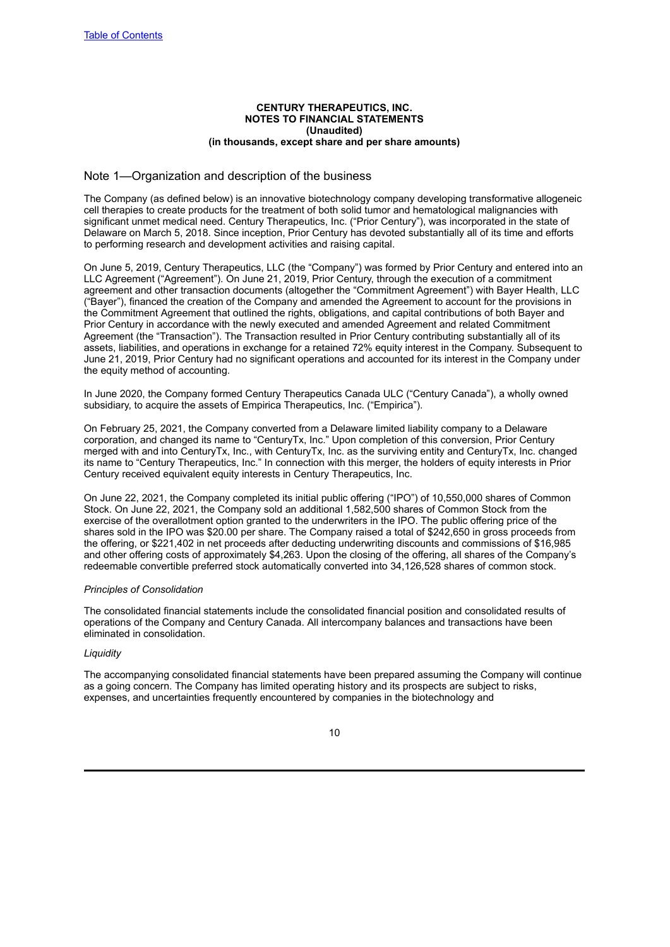# **CENTURY THERAPEUTICS, INC. NOTES TO FINANCIAL STATEMENTS (Unaudited) (in thousands, except share and per share amounts)**

# <span id="page-9-0"></span>Note 1—Organization and description of the business

The Company (as defined below) is an innovative biotechnology company developing transformative allogeneic cell therapies to create products for the treatment of both solid tumor and hematological malignancies with significant unmet medical need. Century Therapeutics, Inc. ("Prior Century"), was incorporated in the state of Delaware on March 5, 2018. Since inception, Prior Century has devoted substantially all of its time and efforts to performing research and development activities and raising capital.

On June 5, 2019, Century Therapeutics, LLC (the "Company") was formed by Prior Century and entered into an LLC Agreement ("Agreement"). On June 21, 2019, Prior Century, through the execution of a commitment agreement and other transaction documents (altogether the "Commitment Agreement") with Bayer Health, LLC ("Bayer"), financed the creation of the Company and amended the Agreement to account for the provisions in the Commitment Agreement that outlined the rights, obligations, and capital contributions of both Bayer and Prior Century in accordance with the newly executed and amended Agreement and related Commitment Agreement (the "Transaction"). The Transaction resulted in Prior Century contributing substantially all of its assets, liabilities, and operations in exchange for a retained 72% equity interest in the Company. Subsequent to June 21, 2019, Prior Century had no significant operations and accounted for its interest in the Company under the equity method of accounting.

In June 2020, the Company formed Century Therapeutics Canada ULC ("Century Canada"), a wholly owned subsidiary, to acquire the assets of Empirica Therapeutics, Inc. ("Empirica").

On February 25, 2021, the Company converted from a Delaware limited liability company to a Delaware corporation, and changed its name to "CenturyTx, Inc." Upon completion of this conversion, Prior Century merged with and into CenturyTx, Inc., with CenturyTx, Inc. as the surviving entity and CenturyTx, Inc. changed its name to "Century Therapeutics, Inc." In connection with this merger, the holders of equity interests in Prior Century received equivalent equity interests in Century Therapeutics, Inc.

On June 22, 2021, the Company completed its initial public offering ("IPO") of 10,550,000 shares of Common Stock. On June 22, 2021, the Company sold an additional 1,582,500 shares of Common Stock from the exercise of the overallotment option granted to the underwriters in the IPO. The public offering price of the shares sold in the IPO was \$20.00 per share. The Company raised a total of \$242,650 in gross proceeds from the offering, or \$221,402 in net proceeds after deducting underwriting discounts and commissions of \$16,985 and other offering costs of approximately \$4,263. Upon the closing of the offering, all shares of the Company's redeemable convertible preferred stock automatically converted into 34,126,528 shares of common stock.

# *Principles of Consolidation*

The consolidated financial statements include the consolidated financial position and consolidated results of operations of the Company and Century Canada. All intercompany balances and transactions have been eliminated in consolidation.

# *Liquidity*

The accompanying consolidated financial statements have been prepared assuming the Company will continue as a going concern. The Company has limited operating history and its prospects are subject to risks, expenses, and uncertainties frequently encountered by companies in the biotechnology and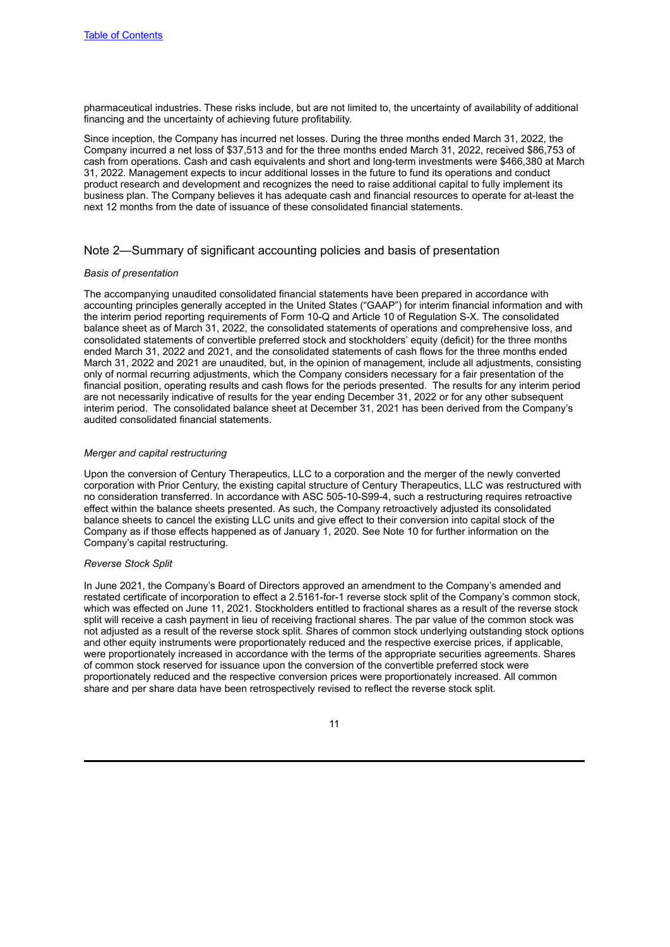pharmaceutical industries. These risks include, but are not limited to, the uncertainty of availability of additional financing and the uncertainty of achieving future profitability.

Since inception, the Company has incurred net losses. During the three months ended March 31, 2022, the Company incurred a net loss of \$37,513 and for the three months ended March 31, 2022, received \$86,753 of cash from operations. Cash and cash equivalents and short and long-term investments were \$466,380 at March 31, 2022. Management expects to incur additional losses in the future to fund its operations and conduct product research and development and recognizes the need to raise additional capital to fully implement its business plan. The Company believes it has adequate cash and financial resources to operate for at-least the next 12 months from the date of issuance of these consolidated financial statements.

# Note 2—Summary of significant accounting policies and basis of presentation

# *Basis of presentation*

The accompanying unaudited consolidated financial statements have been prepared in accordance with accounting principles generally accepted in the United States ("GAAP") for interim financial information and with the interim period reporting requirements of Form 10-Q and Article 10 of Regulation S-X. The consolidated balance sheet as of March 31, 2022, the consolidated statements of operations and comprehensive loss, and consolidated statements of convertible preferred stock and stockholders' equity (deficit) for the three months ended March 31, 2022 and 2021, and the consolidated statements of cash flows for the three months ended March 31, 2022 and 2021 are unaudited, but, in the opinion of management, include all adjustments, consisting only of normal recurring adjustments, which the Company considers necessary for a fair presentation of the financial position, operating results and cash flows for the periods presented. The results for any interim period are not necessarily indicative of results for the year ending December 31, 2022 or for any other subsequent interim period. The consolidated balance sheet at December 31, 2021 has been derived from the Company's audited consolidated financial statements.

#### *Merger and capital restructuring*

Upon the conversion of Century Therapeutics, LLC to a corporation and the merger of the newly converted corporation with Prior Century, the existing capital structure of Century Therapeutics, LLC was restructured with no consideration transferred. In accordance with ASC 505-10-S99-4, such a restructuring requires retroactive effect within the balance sheets presented. As such, the Company retroactively adjusted its consolidated balance sheets to cancel the existing LLC units and give effect to their conversion into capital stock of the Company as if those effects happened as of January 1, 2020. See Note 10 for further information on the Company's capital restructuring.

#### *Reverse Stock Split*

In June 2021, the Company's Board of Directors approved an amendment to the Company's amended and restated certificate of incorporation to effect a 2.5161-for-1 reverse stock split of the Company's common stock, which was effected on June 11, 2021. Stockholders entitled to fractional shares as a result of the reverse stock split will receive a cash payment in lieu of receiving fractional shares. The par value of the common stock was not adjusted as a result of the reverse stock split. Shares of common stock underlying outstanding stock options and other equity instruments were proportionately reduced and the respective exercise prices, if applicable, were proportionately increased in accordance with the terms of the appropriate securities agreements. Shares of common stock reserved for issuance upon the conversion of the convertible preferred stock were proportionately reduced and the respective conversion prices were proportionately increased. All common share and per share data have been retrospectively revised to reflect the reverse stock split.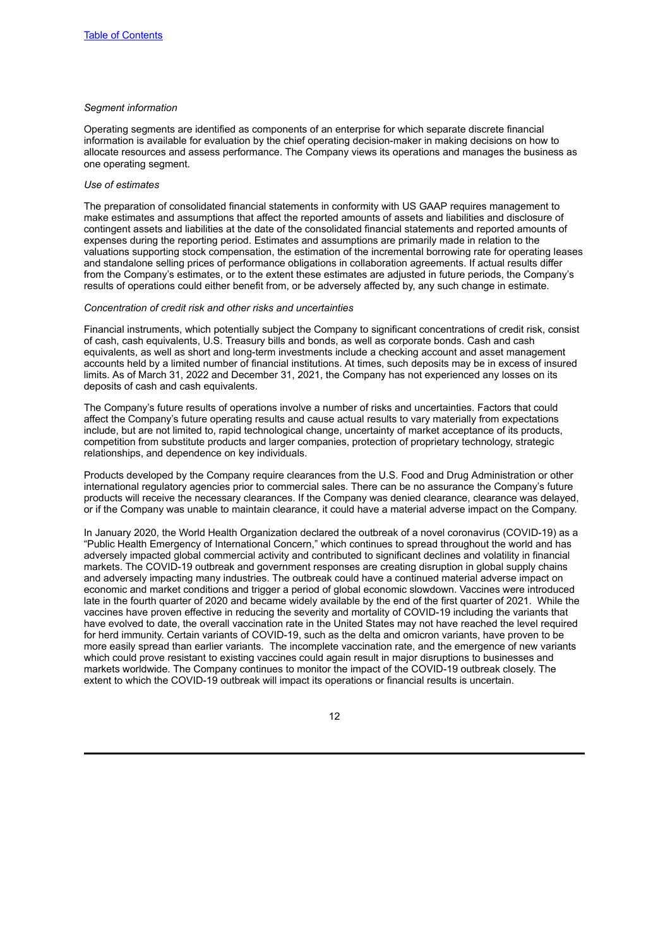#### *Segment information*

Operating segments are identified as components of an enterprise for which separate discrete financial information is available for evaluation by the chief operating decision-maker in making decisions on how to allocate resources and assess performance. The Company views its operations and manages the business as one operating segment.

#### *Use of estimates*

The preparation of consolidated financial statements in conformity with US GAAP requires management to make estimates and assumptions that affect the reported amounts of assets and liabilities and disclosure of contingent assets and liabilities at the date of the consolidated financial statements and reported amounts of expenses during the reporting period. Estimates and assumptions are primarily made in relation to the valuations supporting stock compensation, the estimation of the incremental borrowing rate for operating leases and standalone selling prices of performance obligations in collaboration agreements. If actual results differ from the Company's estimates, or to the extent these estimates are adjusted in future periods, the Company's results of operations could either benefit from, or be adversely affected by, any such change in estimate.

#### *Concentration of credit risk and other risks and uncertainties*

Financial instruments, which potentially subject the Company to significant concentrations of credit risk, consist of cash, cash equivalents, U.S. Treasury bills and bonds, as well as corporate bonds. Cash and cash equivalents, as well as short and long-term investments include a checking account and asset management accounts held by a limited number of financial institutions. At times, such deposits may be in excess of insured limits. As of March 31, 2022 and December 31, 2021, the Company has not experienced any losses on its deposits of cash and cash equivalents.

The Company's future results of operations involve a number of risks and uncertainties. Factors that could affect the Company's future operating results and cause actual results to vary materially from expectations include, but are not limited to, rapid technological change, uncertainty of market acceptance of its products, competition from substitute products and larger companies, protection of proprietary technology, strategic relationships, and dependence on key individuals.

Products developed by the Company require clearances from the U.S. Food and Drug Administration or other international regulatory agencies prior to commercial sales. There can be no assurance the Company's future products will receive the necessary clearances. If the Company was denied clearance, clearance was delayed, or if the Company was unable to maintain clearance, it could have a material adverse impact on the Company.

In January 2020, the World Health Organization declared the outbreak of a novel coronavirus (COVID-19) as a "Public Health Emergency of International Concern," which continues to spread throughout the world and has adversely impacted global commercial activity and contributed to significant declines and volatility in financial markets. The COVID-19 outbreak and government responses are creating disruption in global supply chains and adversely impacting many industries. The outbreak could have a continued material adverse impact on economic and market conditions and trigger a period of global economic slowdown. Vaccines were introduced late in the fourth quarter of 2020 and became widely available by the end of the first quarter of 2021. While the vaccines have proven effective in reducing the severity and mortality of COVID-19 including the variants that have evolved to date, the overall vaccination rate in the United States may not have reached the level required for herd immunity. Certain variants of COVID-19, such as the delta and omicron variants, have proven to be more easily spread than earlier variants. The incomplete vaccination rate, and the emergence of new variants which could prove resistant to existing vaccines could again result in major disruptions to businesses and markets worldwide. The Company continues to monitor the impact of the COVID-19 outbreak closely. The extent to which the COVID-19 outbreak will impact its operations or financial results is uncertain.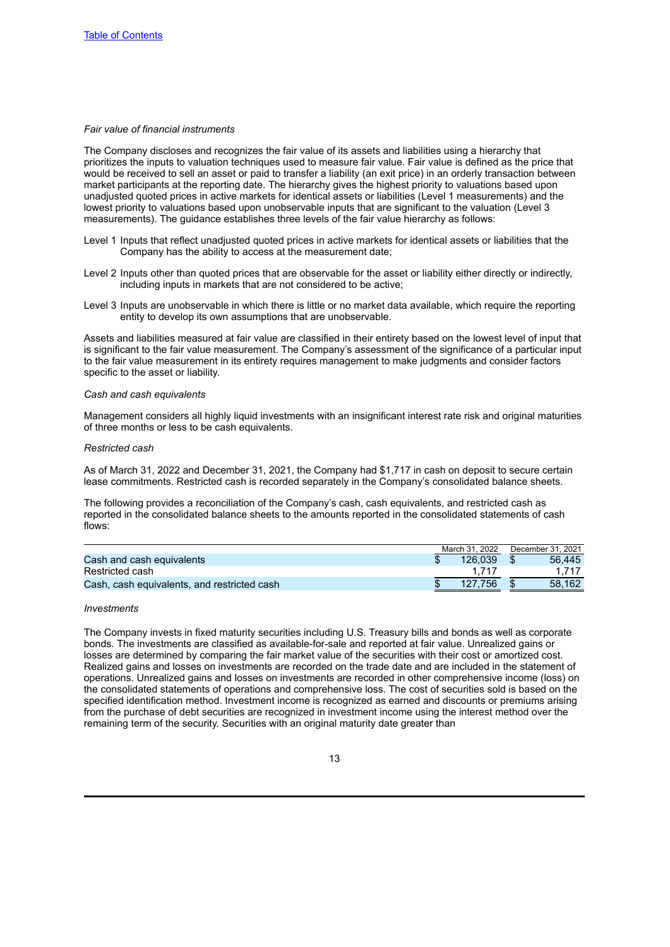#### *Fair value of financial instruments*

The Company discloses and recognizes the fair value of its assets and liabilities using a hierarchy that prioritizes the inputs to valuation techniques used to measure fair value. Fair value is defined as the price that would be received to sell an asset or paid to transfer a liability (an exit price) in an orderly transaction between market participants at the reporting date. The hierarchy gives the highest priority to valuations based upon unadjusted quoted prices in active markets for identical assets or liabilities (Level 1 measurements) and the lowest priority to valuations based upon unobservable inputs that are significant to the valuation (Level 3 measurements). The guidance establishes three levels of the fair value hierarchy as follows:

- Level 1 Inputs that reflect unadjusted quoted prices in active markets for identical assets or liabilities that the Company has the ability to access at the measurement date;
- Level 2 Inputs other than quoted prices that are observable for the asset or liability either directly or indirectly, including inputs in markets that are not considered to be active;
- Level 3 Inputs are unobservable in which there is little or no market data available, which require the reporting entity to develop its own assumptions that are unobservable.

Assets and liabilities measured at fair value are classified in their entirety based on the lowest level of input that is significant to the fair value measurement. The Company's assessment of the significance of a particular input to the fair value measurement in its entirety requires management to make judgments and consider factors specific to the asset or liability.

#### *Cash and cash equivalents*

Management considers all highly liquid investments with an insignificant interest rate risk and original maturities of three months or less to be cash equivalents.

# *Restricted cash*

As of March 31, 2022 and December 31, 2021, the Company had \$1,717 in cash on deposit to secure certain lease commitments. Restricted cash is recorded separately in the Company's consolidated balance sheets.

The following provides a reconciliation of the Company's cash, cash equivalents, and restricted cash as reported in the consolidated balance sheets to the amounts reported in the consolidated statements of cash flows:

|                                             | March 31, 2022 | December 31, 2021 |
|---------------------------------------------|----------------|-------------------|
| Cash and cash equivalents                   | 126.039        | 56.445            |
| Restricted cash                             |                | 1.717             |
| Cash, cash equivalents, and restricted cash | 127.756        | 58.162            |

# *Investments*

The Company invests in fixed maturity securities including U.S. Treasury bills and bonds as well as corporate bonds. The investments are classified as available-for-sale and reported at fair value. Unrealized gains or losses are determined by comparing the fair market value of the securities with their cost or amortized cost. Realized gains and losses on investments are recorded on the trade date and are included in the statement of operations. Unrealized gains and losses on investments are recorded in other comprehensive income (loss) on the consolidated statements of operations and comprehensive loss. The cost of securities sold is based on the specified identification method. Investment income is recognized as earned and discounts or premiums arising from the purchase of debt securities are recognized in investment income using the interest method over the remaining term of the security. Securities with an original maturity date greater than

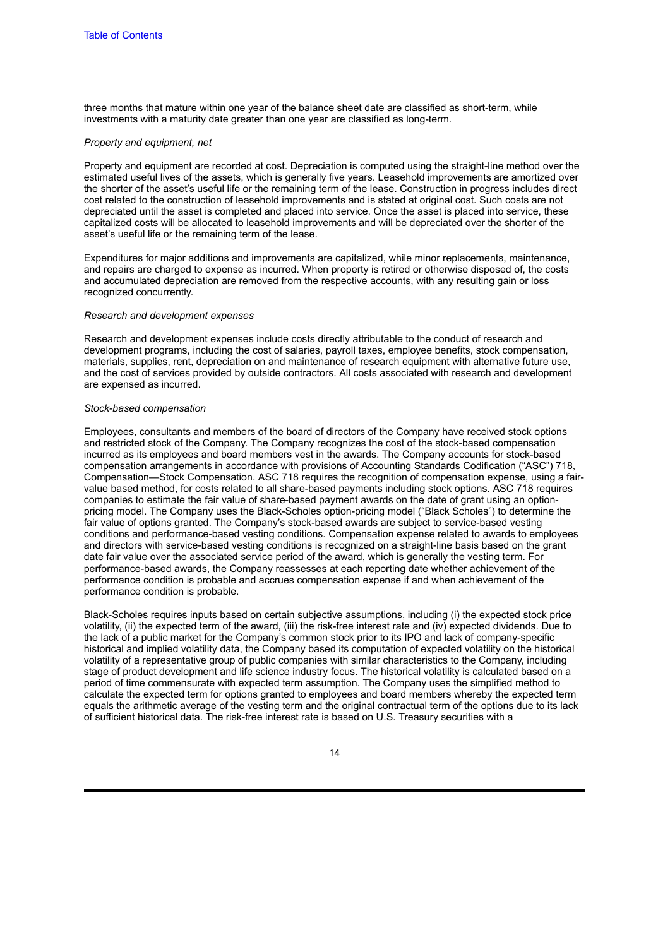three months that mature within one year of the balance sheet date are classified as short-term, while investments with a maturity date greater than one year are classified as long-term.

#### *Property and equipment, net*

Property and equipment are recorded at cost. Depreciation is computed using the straight-line method over the estimated useful lives of the assets, which is generally five years. Leasehold improvements are amortized over the shorter of the asset's useful life or the remaining term of the lease. Construction in progress includes direct cost related to the construction of leasehold improvements and is stated at original cost. Such costs are not depreciated until the asset is completed and placed into service. Once the asset is placed into service, these capitalized costs will be allocated to leasehold improvements and will be depreciated over the shorter of the asset's useful life or the remaining term of the lease.

Expenditures for major additions and improvements are capitalized, while minor replacements, maintenance, and repairs are charged to expense as incurred. When property is retired or otherwise disposed of, the costs and accumulated depreciation are removed from the respective accounts, with any resulting gain or loss recognized concurrently.

#### *Research and development expenses*

Research and development expenses include costs directly attributable to the conduct of research and development programs, including the cost of salaries, payroll taxes, employee benefits, stock compensation, materials, supplies, rent, depreciation on and maintenance of research equipment with alternative future use, and the cost of services provided by outside contractors. All costs associated with research and development are expensed as incurred.

#### *Stock-based compensation*

Employees, consultants and members of the board of directors of the Company have received stock options and restricted stock of the Company. The Company recognizes the cost of the stock-based compensation incurred as its employees and board members vest in the awards. The Company accounts for stock-based compensation arrangements in accordance with provisions of Accounting Standards Codification ("ASC") 718, Compensation—Stock Compensation. ASC 718 requires the recognition of compensation expense, using a fairvalue based method, for costs related to all share-based payments including stock options. ASC 718 requires companies to estimate the fair value of share-based payment awards on the date of grant using an optionpricing model. The Company uses the Black-Scholes option-pricing model ("Black Scholes") to determine the fair value of options granted. The Company's stock-based awards are subject to service-based vesting conditions and performance-based vesting conditions. Compensation expense related to awards to employees and directors with service-based vesting conditions is recognized on a straight-line basis based on the grant date fair value over the associated service period of the award, which is generally the vesting term. For performance-based awards, the Company reassesses at each reporting date whether achievement of the performance condition is probable and accrues compensation expense if and when achievement of the performance condition is probable.

Black-Scholes requires inputs based on certain subjective assumptions, including (i) the expected stock price volatility, (ii) the expected term of the award, (iii) the risk-free interest rate and (iv) expected dividends. Due to the lack of a public market for the Company's common stock prior to its IPO and lack of company-specific historical and implied volatility data, the Company based its computation of expected volatility on the historical volatility of a representative group of public companies with similar characteristics to the Company, including stage of product development and life science industry focus. The historical volatility is calculated based on a period of time commensurate with expected term assumption. The Company uses the simplified method to calculate the expected term for options granted to employees and board members whereby the expected term equals the arithmetic average of the vesting term and the original contractual term of the options due to its lack of sufficient historical data. The risk-free interest rate is based on U.S. Treasury securities with a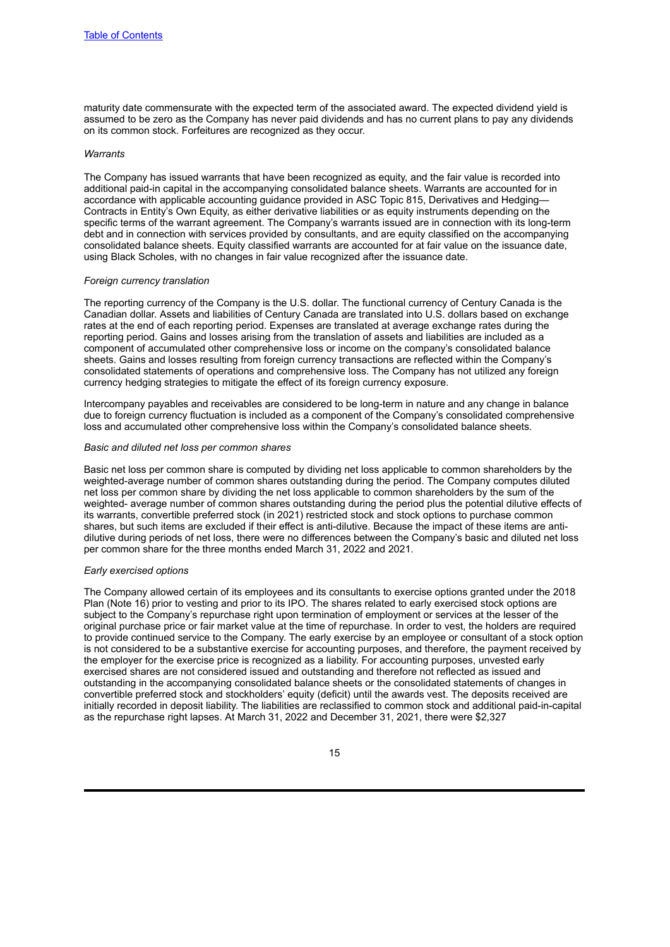maturity date commensurate with the expected term of the associated award. The expected dividend yield is assumed to be zero as the Company has never paid dividends and has no current plans to pay any dividends on its common stock. Forfeitures are recognized as they occur.

#### *Warrants*

The Company has issued warrants that have been recognized as equity, and the fair value is recorded into additional paid-in capital in the accompanying consolidated balance sheets. Warrants are accounted for in accordance with applicable accounting guidance provided in ASC Topic 815, Derivatives and Hedging— Contracts in Entity's Own Equity, as either derivative liabilities or as equity instruments depending on the specific terms of the warrant agreement. The Company's warrants issued are in connection with its long-term debt and in connection with services provided by consultants, and are equity classified on the accompanying consolidated balance sheets. Equity classified warrants are accounted for at fair value on the issuance date, using Black Scholes, with no changes in fair value recognized after the issuance date.

#### *Foreign currency translation*

The reporting currency of the Company is the U.S. dollar. The functional currency of Century Canada is the Canadian dollar. Assets and liabilities of Century Canada are translated into U.S. dollars based on exchange rates at the end of each reporting period. Expenses are translated at average exchange rates during the reporting period. Gains and losses arising from the translation of assets and liabilities are included as a component of accumulated other comprehensive loss or income on the company's consolidated balance sheets. Gains and losses resulting from foreign currency transactions are reflected within the Company's consolidated statements of operations and comprehensive loss. The Company has not utilized any foreign currency hedging strategies to mitigate the effect of its foreign currency exposure.

Intercompany payables and receivables are considered to be long-term in nature and any change in balance due to foreign currency fluctuation is included as a component of the Company's consolidated comprehensive loss and accumulated other comprehensive loss within the Company's consolidated balance sheets.

#### *Basic and diluted net loss per common shares*

Basic net loss per common share is computed by dividing net loss applicable to common shareholders by the weighted-average number of common shares outstanding during the period. The Company computes diluted net loss per common share by dividing the net loss applicable to common shareholders by the sum of the weighted- average number of common shares outstanding during the period plus the potential dilutive effects of its warrants, convertible preferred stock (in 2021) restricted stock and stock options to purchase common shares, but such items are excluded if their effect is anti-dilutive. Because the impact of these items are antidilutive during periods of net loss, there were no differences between the Company's basic and diluted net loss per common share for the three months ended March 31, 2022 and 2021.

#### *Early exercised options*

The Company allowed certain of its employees and its consultants to exercise options granted under the 2018 Plan (Note 16) prior to vesting and prior to its IPO. The shares related to early exercised stock options are subject to the Company's repurchase right upon termination of employment or services at the lesser of the original purchase price or fair market value at the time of repurchase. In order to vest, the holders are required to provide continued service to the Company. The early exercise by an employee or consultant of a stock option is not considered to be a substantive exercise for accounting purposes, and therefore, the payment received by the employer for the exercise price is recognized as a liability. For accounting purposes, unvested early exercised shares are not considered issued and outstanding and therefore not reflected as issued and outstanding in the accompanying consolidated balance sheets or the consolidated statements of changes in convertible preferred stock and stockholders' equity (deficit) until the awards vest. The deposits received are initially recorded in deposit liability. The liabilities are reclassified to common stock and additional paid-in-capital as the repurchase right lapses. At March 31, 2022 and December 31, 2021, there were \$2,327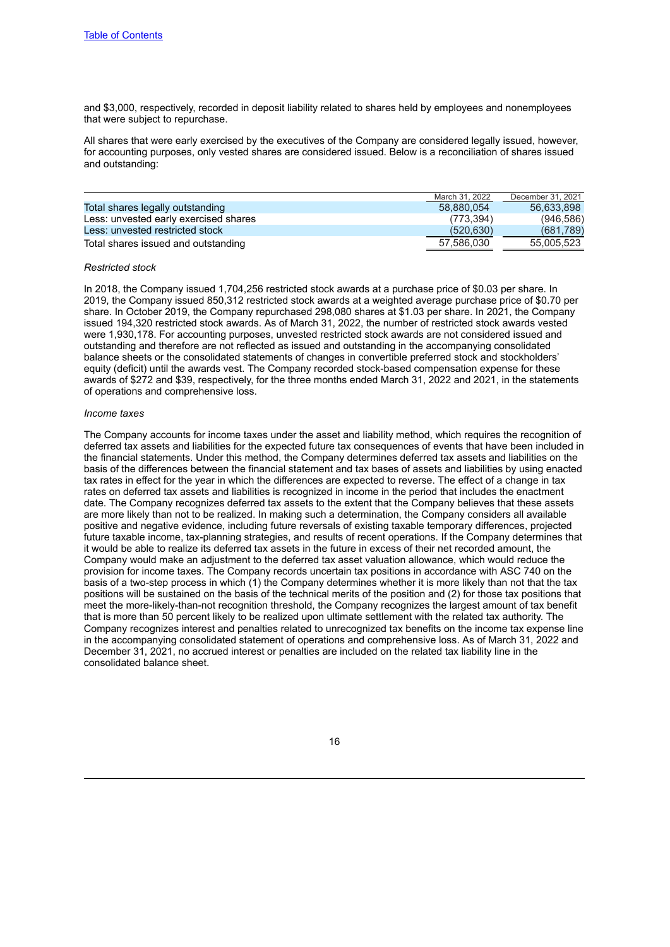and \$3,000, respectively, recorded in deposit liability related to shares held by employees and nonemployees that were subject to repurchase.

All shares that were early exercised by the executives of the Company are considered legally issued, however, for accounting purposes, only vested shares are considered issued. Below is a reconciliation of shares issued and outstanding:

| March 31, 2022 | December 31, 2021 |
|----------------|-------------------|
| 58.880.054     | 56.633.898        |
| (773.394)      | (946, 586)        |
| (520, 630)     | (681,789)         |
| 57,586,030     | 55,005,523        |
|                |                   |

#### *Restricted stock*

In 2018, the Company issued 1,704,256 restricted stock awards at a purchase price of \$0.03 per share. In 2019, the Company issued 850,312 restricted stock awards at a weighted average purchase price of \$0.70 per share. In October 2019, the Company repurchased 298,080 shares at \$1.03 per share. In 2021, the Company issued 194,320 restricted stock awards. As of March 31, 2022, the number of restricted stock awards vested were 1,930,178. For accounting purposes, unvested restricted stock awards are not considered issued and outstanding and therefore are not reflected as issued and outstanding in the accompanying consolidated balance sheets or the consolidated statements of changes in convertible preferred stock and stockholders' equity (deficit) until the awards vest. The Company recorded stock-based compensation expense for these awards of \$272 and \$39, respectively, for the three months ended March 31, 2022 and 2021, in the statements of operations and comprehensive loss.

#### *Income taxes*

The Company accounts for income taxes under the asset and liability method, which requires the recognition of deferred tax assets and liabilities for the expected future tax consequences of events that have been included in the financial statements. Under this method, the Company determines deferred tax assets and liabilities on the basis of the differences between the financial statement and tax bases of assets and liabilities by using enacted tax rates in effect for the year in which the differences are expected to reverse. The effect of a change in tax rates on deferred tax assets and liabilities is recognized in income in the period that includes the enactment date. The Company recognizes deferred tax assets to the extent that the Company believes that these assets are more likely than not to be realized. In making such a determination, the Company considers all available positive and negative evidence, including future reversals of existing taxable temporary differences, projected future taxable income, tax-planning strategies, and results of recent operations. If the Company determines that it would be able to realize its deferred tax assets in the future in excess of their net recorded amount, the Company would make an adjustment to the deferred tax asset valuation allowance, which would reduce the provision for income taxes. The Company records uncertain tax positions in accordance with ASC 740 on the basis of a two-step process in which (1) the Company determines whether it is more likely than not that the tax positions will be sustained on the basis of the technical merits of the position and (2) for those tax positions that meet the more-likely-than-not recognition threshold, the Company recognizes the largest amount of tax benefit that is more than 50 percent likely to be realized upon ultimate settlement with the related tax authority. The Company recognizes interest and penalties related to unrecognized tax benefits on the income tax expense line in the accompanying consolidated statement of operations and comprehensive loss. As of March 31, 2022 and December 31, 2021, no accrued interest or penalties are included on the related tax liability line in the consolidated balance sheet.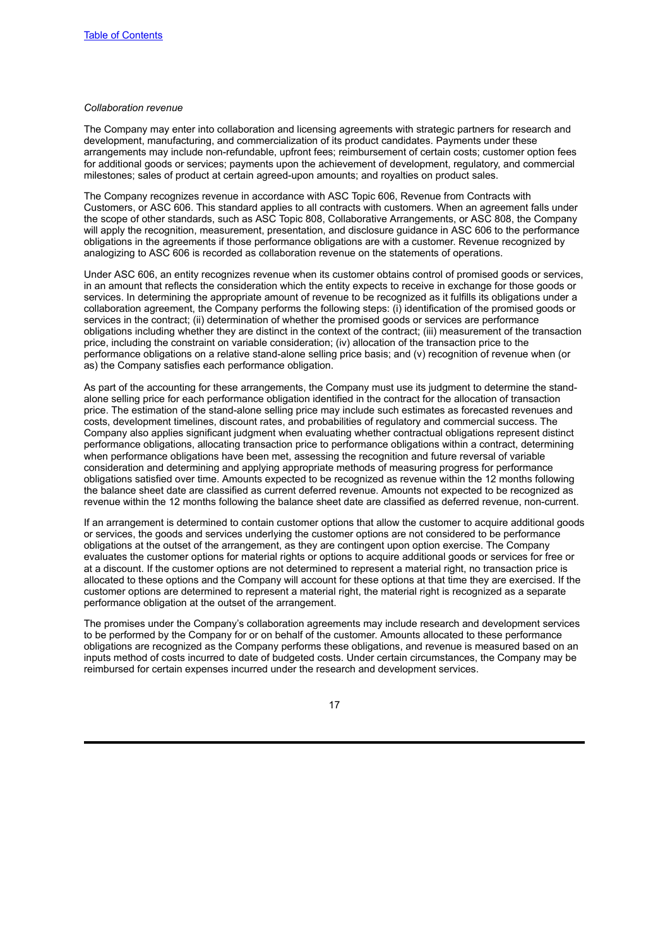#### *Collaboration revenue*

The Company may enter into collaboration and licensing agreements with strategic partners for research and development, manufacturing, and commercialization of its product candidates. Payments under these arrangements may include non-refundable, upfront fees; reimbursement of certain costs; customer option fees for additional goods or services; payments upon the achievement of development, regulatory, and commercial milestones; sales of product at certain agreed-upon amounts; and royalties on product sales.

The Company recognizes revenue in accordance with ASC Topic 606, Revenue from Contracts with Customers, or ASC 606. This standard applies to all contracts with customers. When an agreement falls under the scope of other standards, such as ASC Topic 808, Collaborative Arrangements, or ASC 808, the Company will apply the recognition, measurement, presentation, and disclosure guidance in ASC 606 to the performance obligations in the agreements if those performance obligations are with a customer. Revenue recognized by analogizing to ASC 606 is recorded as collaboration revenue on the statements of operations.

Under ASC 606, an entity recognizes revenue when its customer obtains control of promised goods or services, in an amount that reflects the consideration which the entity expects to receive in exchange for those goods or services. In determining the appropriate amount of revenue to be recognized as it fulfills its obligations under a collaboration agreement, the Company performs the following steps: (i) identification of the promised goods or services in the contract; (ii) determination of whether the promised goods or services are performance obligations including whether they are distinct in the context of the contract; (iii) measurement of the transaction price, including the constraint on variable consideration; (iv) allocation of the transaction price to the performance obligations on a relative stand-alone selling price basis; and (v) recognition of revenue when (or as) the Company satisfies each performance obligation.

As part of the accounting for these arrangements, the Company must use its judgment to determine the standalone selling price for each performance obligation identified in the contract for the allocation of transaction price. The estimation of the stand-alone selling price may include such estimates as forecasted revenues and costs, development timelines, discount rates, and probabilities of regulatory and commercial success. The Company also applies significant judgment when evaluating whether contractual obligations represent distinct performance obligations, allocating transaction price to performance obligations within a contract, determining when performance obligations have been met, assessing the recognition and future reversal of variable consideration and determining and applying appropriate methods of measuring progress for performance obligations satisfied over time. Amounts expected to be recognized as revenue within the 12 months following the balance sheet date are classified as current deferred revenue. Amounts not expected to be recognized as revenue within the 12 months following the balance sheet date are classified as deferred revenue, non-current.

If an arrangement is determined to contain customer options that allow the customer to acquire additional goods or services, the goods and services underlying the customer options are not considered to be performance obligations at the outset of the arrangement, as they are contingent upon option exercise. The Company evaluates the customer options for material rights or options to acquire additional goods or services for free or at a discount. If the customer options are not determined to represent a material right, no transaction price is allocated to these options and the Company will account for these options at that time they are exercised. If the customer options are determined to represent a material right, the material right is recognized as a separate performance obligation at the outset of the arrangement.

The promises under the Company's collaboration agreements may include research and development services to be performed by the Company for or on behalf of the customer. Amounts allocated to these performance obligations are recognized as the Company performs these obligations, and revenue is measured based on an inputs method of costs incurred to date of budgeted costs. Under certain circumstances, the Company may be reimbursed for certain expenses incurred under the research and development services.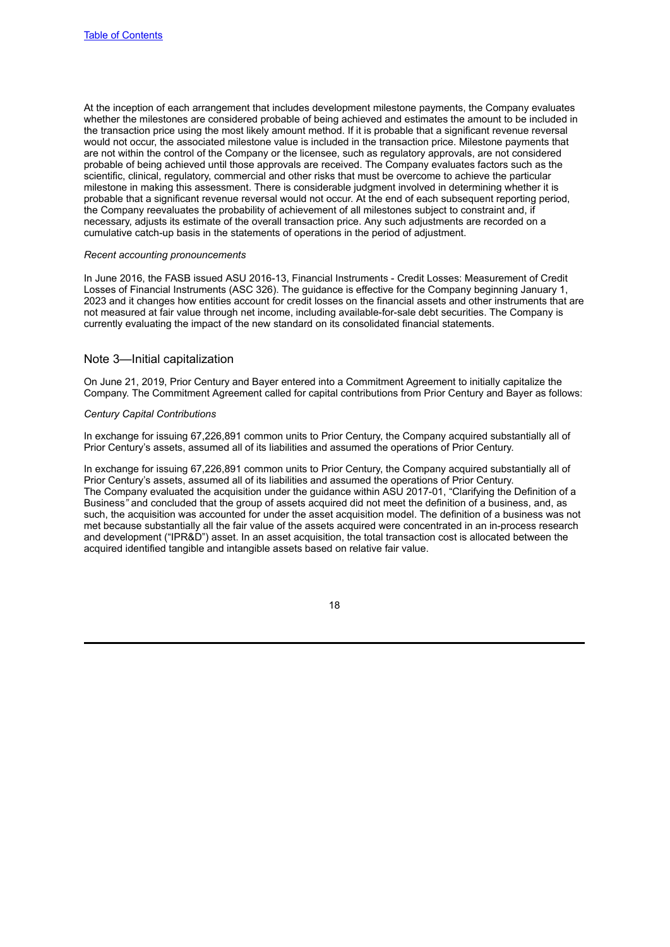At the inception of each arrangement that includes development milestone payments, the Company evaluates whether the milestones are considered probable of being achieved and estimates the amount to be included in the transaction price using the most likely amount method. If it is probable that a significant revenue reversal would not occur, the associated milestone value is included in the transaction price. Milestone payments that are not within the control of the Company or the licensee, such as regulatory approvals, are not considered probable of being achieved until those approvals are received. The Company evaluates factors such as the scientific, clinical, regulatory, commercial and other risks that must be overcome to achieve the particular milestone in making this assessment. There is considerable judgment involved in determining whether it is probable that a significant revenue reversal would not occur. At the end of each subsequent reporting period, the Company reevaluates the probability of achievement of all milestones subject to constraint and, if necessary, adjusts its estimate of the overall transaction price. Any such adjustments are recorded on a cumulative catch-up basis in the statements of operations in the period of adjustment.

#### *Recent accounting pronouncements*

In June 2016, the FASB issued ASU 2016-13, Financial Instruments - Credit Losses: Measurement of Credit Losses of Financial Instruments (ASC 326). The guidance is effective for the Company beginning January 1, 2023 and it changes how entities account for credit losses on the financial assets and other instruments that are not measured at fair value through net income, including available-for-sale debt securities. The Company is currently evaluating the impact of the new standard on its consolidated financial statements.

# Note 3—Initial capitalization

On June 21, 2019, Prior Century and Bayer entered into a Commitment Agreement to initially capitalize the Company. The Commitment Agreement called for capital contributions from Prior Century and Bayer as follows:

#### *Century Capital Contributions*

In exchange for issuing 67,226,891 common units to Prior Century, the Company acquired substantially all of Prior Century's assets, assumed all of its liabilities and assumed the operations of Prior Century.

In exchange for issuing 67,226,891 common units to Prior Century, the Company acquired substantially all of Prior Century's assets, assumed all of its liabilities and assumed the operations of Prior Century. The Company evaluated the acquisition under the guidance within ASU 2017-01, "Clarifying the Definition of a Business*"* and concluded that the group of assets acquired did not meet the definition of a business, and, as such, the acquisition was accounted for under the asset acquisition model. The definition of a business was not met because substantially all the fair value of the assets acquired were concentrated in an in-process research and development ("IPR&D") asset. In an asset acquisition, the total transaction cost is allocated between the acquired identified tangible and intangible assets based on relative fair value.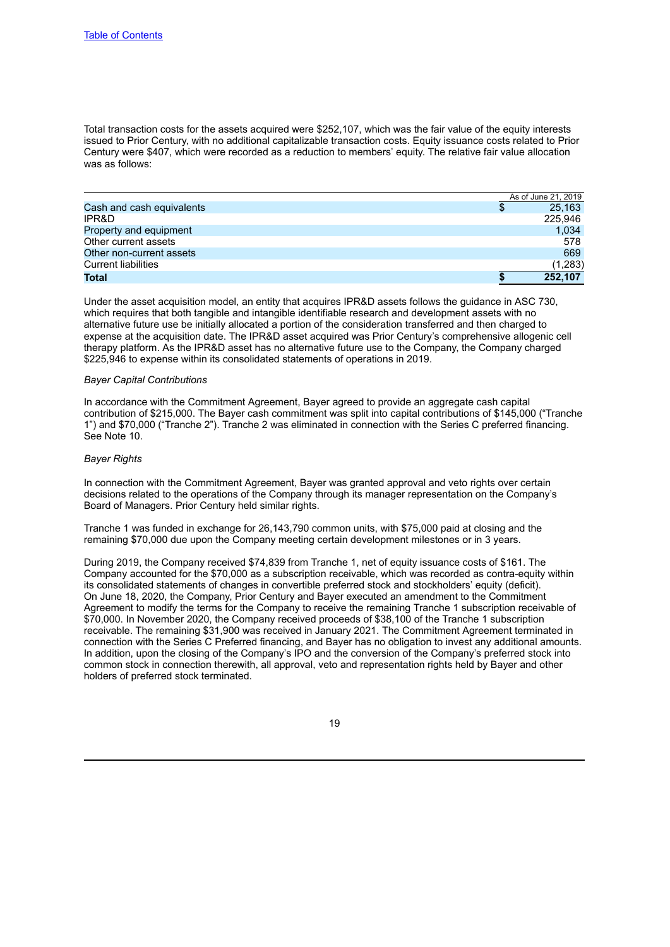Total transaction costs for the assets acquired were \$252,107, which was the fair value of the equity interests issued to Prior Century, with no additional capitalizable transaction costs. Equity issuance costs related to Prior Century were \$407, which were recorded as a reduction to members' equity. The relative fair value allocation was as follows:

|                            |   | As of June 21, 2019 |
|----------------------------|---|---------------------|
| Cash and cash equivalents  | S | 25.163              |
| IPR&D                      |   | 225.946             |
| Property and equipment     |   | 1,034               |
| Other current assets       |   | 578                 |
| Other non-current assets   |   | 669                 |
| <b>Current liabilities</b> |   | (1,283)             |
| Total                      |   | 252,107             |

Under the asset acquisition model, an entity that acquires IPR&D assets follows the guidance in ASC 730, which requires that both tangible and intangible identifiable research and development assets with no alternative future use be initially allocated a portion of the consideration transferred and then charged to expense at the acquisition date. The IPR&D asset acquired was Prior Century's comprehensive allogenic cell therapy platform. As the IPR&D asset has no alternative future use to the Company, the Company charged \$225,946 to expense within its consolidated statements of operations in 2019.

#### *Bayer Capital Contributions*

In accordance with the Commitment Agreement, Bayer agreed to provide an aggregate cash capital contribution of \$215,000. The Bayer cash commitment was split into capital contributions of \$145,000 ("Tranche 1") and \$70,000 ("Tranche 2"). Tranche 2 was eliminated in connection with the Series C preferred financing. See Note 10.

#### *Bayer Rights*

In connection with the Commitment Agreement, Bayer was granted approval and veto rights over certain decisions related to the operations of the Company through its manager representation on the Company's Board of Managers. Prior Century held similar rights.

Tranche 1 was funded in exchange for 26,143,790 common units, with \$75,000 paid at closing and the remaining \$70,000 due upon the Company meeting certain development milestones or in 3 years.

During 2019, the Company received \$74,839 from Tranche 1, net of equity issuance costs of \$161. The Company accounted for the \$70,000 as a subscription receivable, which was recorded as contra-equity within its consolidated statements of changes in convertible preferred stock and stockholders' equity (deficit). On June 18, 2020, the Company, Prior Century and Bayer executed an amendment to the Commitment Agreement to modify the terms for the Company to receive the remaining Tranche 1 subscription receivable of \$70,000. In November 2020, the Company received proceeds of \$38,100 of the Tranche 1 subscription receivable. The remaining \$31,900 was received in January 2021. The Commitment Agreement terminated in connection with the Series C Preferred financing, and Bayer has no obligation to invest any additional amounts. In addition, upon the closing of the Company's IPO and the conversion of the Company's preferred stock into common stock in connection therewith, all approval, veto and representation rights held by Bayer and other holders of preferred stock terminated.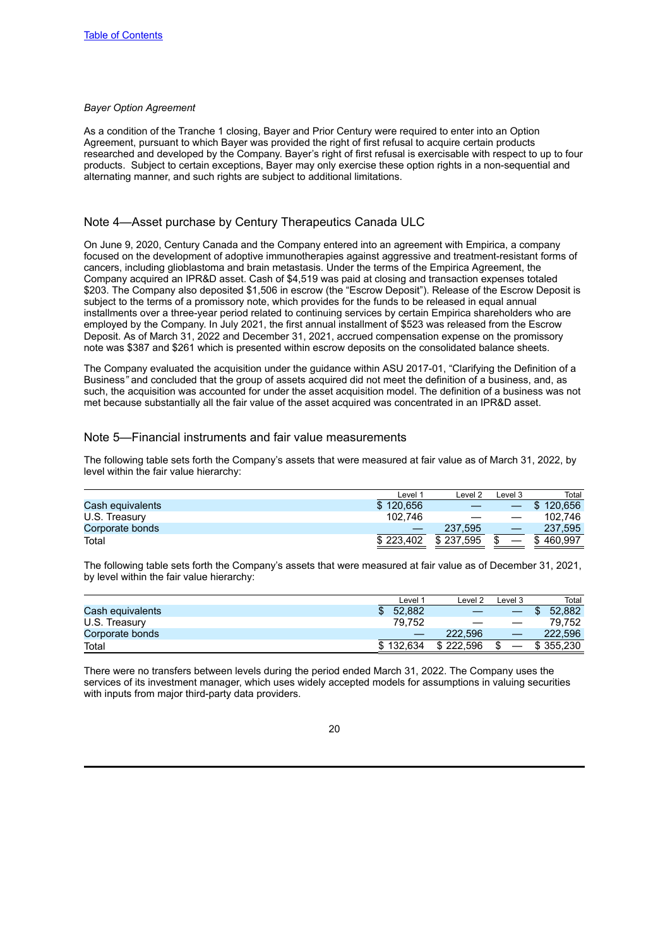#### *Bayer Option Agreement*

As a condition of the Tranche 1 closing, Bayer and Prior Century were required to enter into an Option Agreement, pursuant to which Bayer was provided the right of first refusal to acquire certain products researched and developed by the Company. Bayer's right of first refusal is exercisable with respect to up to four products. Subject to certain exceptions, Bayer may only exercise these option rights in a non-sequential and alternating manner, and such rights are subject to additional limitations.

# Note 4—Asset purchase by Century Therapeutics Canada ULC

On June 9, 2020, Century Canada and the Company entered into an agreement with Empirica, a company focused on the development of adoptive immunotherapies against aggressive and treatment-resistant forms of cancers, including glioblastoma and brain metastasis. Under the terms of the Empirica Agreement, the Company acquired an IPR&D asset. Cash of \$4,519 was paid at closing and transaction expenses totaled \$203. The Company also deposited \$1,506 in escrow (the "Escrow Deposit"). Release of the Escrow Deposit is subject to the terms of a promissory note, which provides for the funds to be released in equal annual installments over a three-year period related to continuing services by certain Empirica shareholders who are employed by the Company. In July 2021, the first annual installment of \$523 was released from the Escrow Deposit. As of March 31, 2022 and December 31, 2021, accrued compensation expense on the promissory note was \$387 and \$261 which is presented within escrow deposits on the consolidated balance sheets.

The Company evaluated the acquisition under the guidance within ASU 2017-01, "Clarifying the Definition of a Business*"* and concluded that the group of assets acquired did not meet the definition of a business, and, as such, the acquisition was accounted for under the asset acquisition model. The definition of a business was not met because substantially all the fair value of the asset acquired was concentrated in an IPR&D asset.

# Note 5—Financial instruments and fair value measurements

The following table sets forth the Company's assets that were measured at fair value as of March 31, 2022, by level within the fair value hierarchy:

|                  | Level <sup>1</sup> | Level 2   | Level 3 | Total     |
|------------------|--------------------|-----------|---------|-----------|
| Cash equivalents | \$120.656          |           |         | \$120.656 |
| U.S. Treasury    | 102.746            |           |         | 102.746   |
| Corporate bonds  |                    | 237.595   |         | 237,595   |
| Total            | \$223.402          | \$237.595 |         | 460.997   |

The following table sets forth the Company's assets that were measured at fair value as of December 31, 2021, by level within the fair value hierarchy:

|                  | Level 1   | Level 2   | Level 3 | Total     |
|------------------|-----------|-----------|---------|-----------|
| Cash equivalents | 52.882    |           |         | 52.882    |
| U.S. Treasury    | 79.752    |           |         | 79.752    |
| Corporate bonds  |           | 222.596   |         | 222.596   |
| Total            | \$132.634 | \$222.596 |         | \$355.230 |

There were no transfers between levels during the period ended March 31, 2022. The Company uses the services of its investment manager, which uses widely accepted models for assumptions in valuing securities with inputs from major third-party data providers.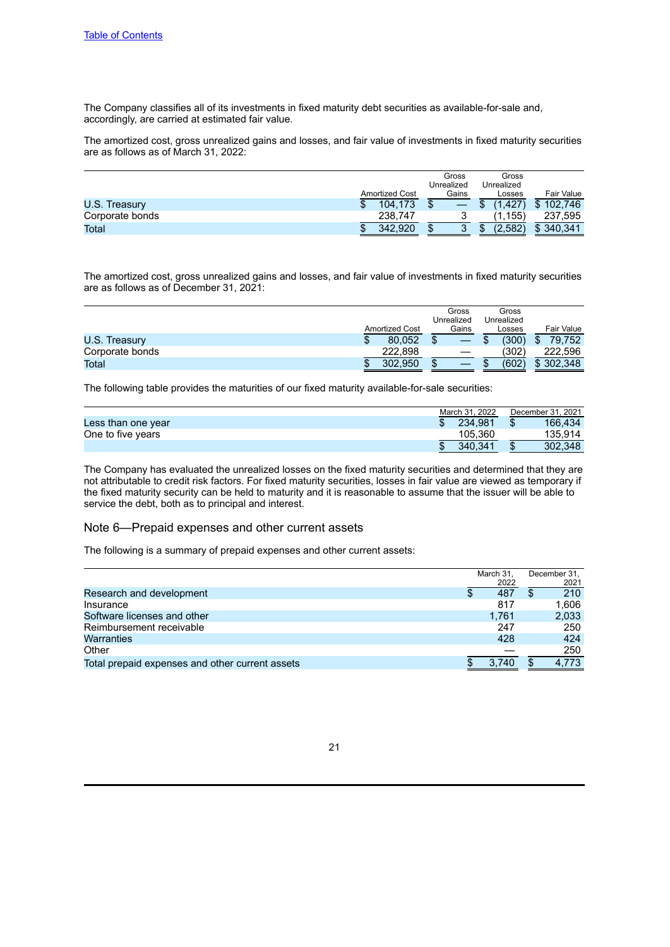The Company classifies all of its investments in fixed maturity debt securities as available-for-sale and, accordingly, are carried at estimated fair value.

The amortized cost, gross unrealized gains and losses, and fair value of investments in fixed maturity securities are as follows as of March 31, 2022:

|                 |                       | Gross      |   | Gross      |            |
|-----------------|-----------------------|------------|---|------------|------------|
|                 |                       | Unrealized |   | Unrealized |            |
|                 | <b>Amortized Cost</b> | Gains      |   | Losses     | Fair Value |
| U.S. Treasury   | 104.173               |            |   | (1.427)    | \$102.746  |
| Corporate bonds | 238.747               |            |   | .155)      | 237,595    |
| Total           | 342.920               | \$<br>υ    | Ъ | (2,582)    | \$340.341  |

The amortized cost, gross unrealized gains and losses, and fair value of investments in fixed maturity securities are as follows as of December 31, 2021:

|                 |            |                       |        | Gross |            | Gross  |     |            |
|-----------------|------------|-----------------------|--------|-------|------------|--------|-----|------------|
|                 | Unrealized |                       |        |       | Unrealized |        |     |            |
|                 |            | <b>Amortized Cost</b> |        | Gains |            | Losses |     | Fair Value |
| U.S. Treasury   | Φ          | 80.052                | \$     |       |            | (300)  | \$. | 79.752     |
| Corporate bonds |            | 222.898               |        |       |            | (302)  |     | 222.596    |
| Total           |            | 302.950               | Φ<br>ъ |       |            | (602)  |     | \$302.348  |

The following table provides the maturities of our fixed maturity available-for-sale securities:

|                    | March 31, 2022 | December 31, 2021 |
|--------------------|----------------|-------------------|
| Less than one year | 234.981        | 166.434           |
| One to five years  | 105.360        | 135.914           |
|                    | 340.341        | 302,348           |

The Company has evaluated the unrealized losses on the fixed maturity securities and determined that they are not attributable to credit risk factors. For fixed maturity securities, losses in fair value are viewed as temporary if the fixed maturity security can be held to maturity and it is reasonable to assume that the issuer will be able to service the debt, both as to principal and interest.

# Note 6—Prepaid expenses and other current assets

The following is a summary of prepaid expenses and other current assets:

|                                                 | March 31 |  | December 31. |
|-------------------------------------------------|----------|--|--------------|
|                                                 | 2022     |  | 2021         |
| Research and development                        | 487      |  | 210          |
| Insurance                                       | 817      |  | 1.606        |
| Software licenses and other                     | 1.761    |  | 2.033        |
| Reimbursement receivable                        | 247      |  | 250          |
| Warranties                                      | 428      |  | 424          |
| Other                                           |          |  | 250          |
| Total prepaid expenses and other current assets | 3.740    |  | 4.773        |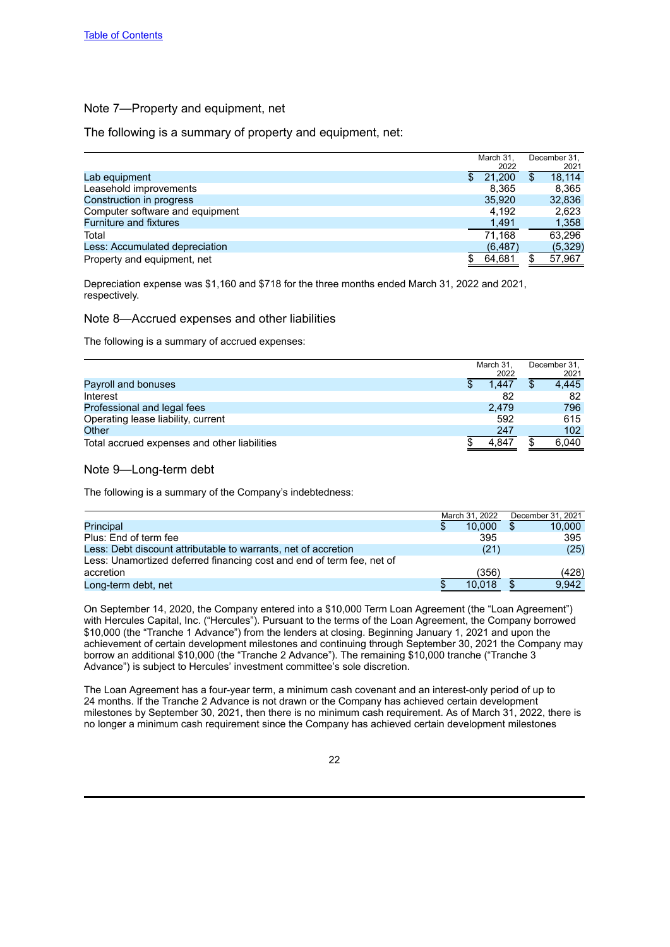# Note 7—Property and equipment, net

The following is a summary of property and equipment, net:

|                                 | March 31. | December 31. |
|---------------------------------|-----------|--------------|
|                                 | 2022      | 2021         |
| Lab equipment                   | 21.200    | 18.114       |
| Leasehold improvements          | 8.365     | 8.365        |
| Construction in progress        | 35.920    | 32.836       |
| Computer software and equipment | 4.192     | 2.623        |
| <b>Furniture and fixtures</b>   | 1.491     | 1,358        |
| Total                           | 71.168    | 63.296       |
| Less: Accumulated depreciation  | (6, 487)  | (5,329)      |
| Property and equipment, net     | 64.681    | 57,967       |

Depreciation expense was \$1,160 and \$718 for the three months ended March 31, 2022 and 2021, respectively.

# Note 8—Accrued expenses and other liabilities

The following is a summary of accrued expenses:

|                                              | March 31. | December 31. |
|----------------------------------------------|-----------|--------------|
|                                              | 2022      | 2021         |
| Payroll and bonuses                          | 1.447     | 4.445        |
| Interest                                     | 82        | 82           |
| Professional and legal fees                  | 2.479     | 796          |
| Operating lease liability, current           | 592       | 615          |
| Other                                        | 247       | 102          |
| Total accrued expenses and other liabilities | 4.847     | 6,040        |

# Note 9—Long-term debt

The following is a summary of the Company's indebtedness:

|                                                                       | March 31, 2022 |      | December 31, 2021 |
|-----------------------------------------------------------------------|----------------|------|-------------------|
| Principal                                                             | 10.000         | - \$ | 10.000            |
| Plus: End of term fee                                                 | 395            |      | 395               |
| Less: Debt discount attributable to warrants, net of accretion        | (21)           |      | (25)              |
| Less: Unamortized deferred financing cost and end of term fee, net of |                |      |                   |
| accretion                                                             | (356)          |      | (428)             |
| Long-term debt, net                                                   | 10.018         |      | 9.942             |

On September 14, 2020, the Company entered into a \$10,000 Term Loan Agreement (the "Loan Agreement") with Hercules Capital, Inc. ("Hercules"). Pursuant to the terms of the Loan Agreement, the Company borrowed \$10,000 (the "Tranche 1 Advance") from the lenders at closing. Beginning January 1, 2021 and upon the achievement of certain development milestones and continuing through September 30, 2021 the Company may borrow an additional \$10,000 (the "Tranche 2 Advance"). The remaining \$10,000 tranche ("Tranche 3 Advance") is subject to Hercules' investment committee's sole discretion.

The Loan Agreement has a four-year term, a minimum cash covenant and an interest-only period of up to 24 months. If the Tranche 2 Advance is not drawn or the Company has achieved certain development milestones by September 30, 2021, then there is no minimum cash requirement. As of March 31, 2022, there is no longer a minimum cash requirement since the Company has achieved certain development milestones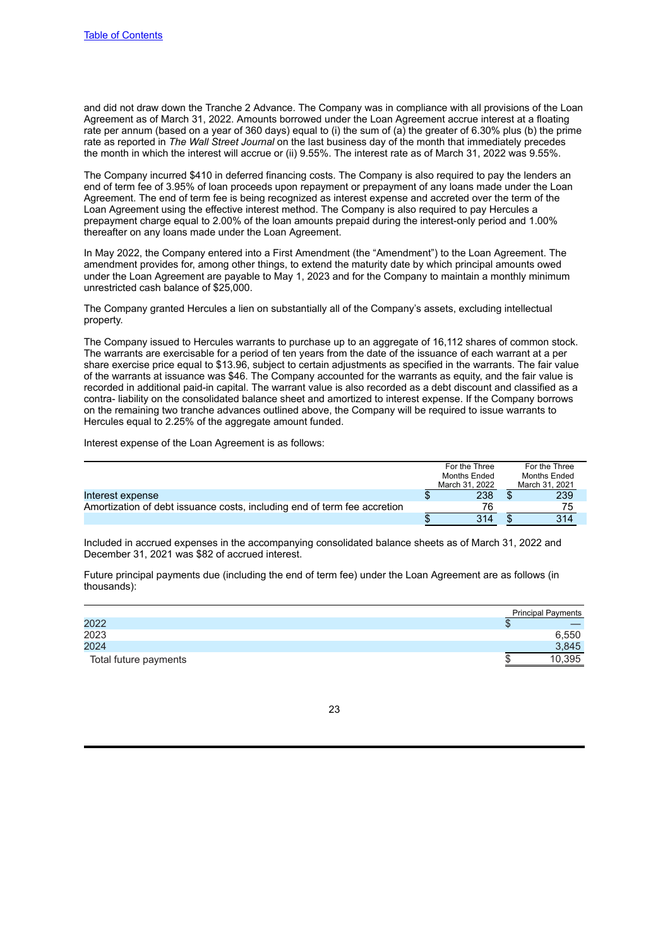and did not draw down the Tranche 2 Advance. The Company was in compliance with all provisions of the Loan Agreement as of March 31, 2022. Amounts borrowed under the Loan Agreement accrue interest at a floating rate per annum (based on a year of 360 days) equal to (i) the sum of (a) the greater of 6.30% plus (b) the prime rate as reported in *The Wall Street Journal* on the last business day of the month that immediately precedes the month in which the interest will accrue or (ii) 9.55%. The interest rate as of March 31, 2022 was 9.55%.

The Company incurred \$410 in deferred financing costs. The Company is also required to pay the lenders an end of term fee of 3.95% of loan proceeds upon repayment or prepayment of any loans made under the Loan Agreement. The end of term fee is being recognized as interest expense and accreted over the term of the Loan Agreement using the effective interest method. The Company is also required to pay Hercules a prepayment charge equal to 2.00% of the loan amounts prepaid during the interest-only period and 1.00% thereafter on any loans made under the Loan Agreement.

In May 2022, the Company entered into a First Amendment (the "Amendment") to the Loan Agreement. The amendment provides for, among other things, to extend the maturity date by which principal amounts owed under the Loan Agreement are payable to May 1, 2023 and for the Company to maintain a monthly minimum unrestricted cash balance of \$25,000.

The Company granted Hercules a lien on substantially all of the Company's assets, excluding intellectual property.

The Company issued to Hercules warrants to purchase up to an aggregate of 16,112 shares of common stock. The warrants are exercisable for a period of ten years from the date of the issuance of each warrant at a per share exercise price equal to \$13.96, subject to certain adjustments as specified in the warrants. The fair value of the warrants at issuance was \$46. The Company accounted for the warrants as equity, and the fair value is recorded in additional paid-in capital. The warrant value is also recorded as a debt discount and classified as a contra- liability on the consolidated balance sheet and amortized to interest expense. If the Company borrows on the remaining two tranche advances outlined above, the Company will be required to issue warrants to Hercules equal to 2.25% of the aggregate amount funded.

Interest expense of the Loan Agreement is as follows:

|                                                                          | For the Three<br>Months Ended<br>March 31, 2022 | For the Three<br>Months Ended<br>March 31, 2021 |
|--------------------------------------------------------------------------|-------------------------------------------------|-------------------------------------------------|
| Interest expense                                                         | 238                                             | 239                                             |
| Amortization of debt issuance costs, including end of term fee accretion | 76                                              | 75                                              |
|                                                                          | 314                                             | 314                                             |

Included in accrued expenses in the accompanying consolidated balance sheets as of March 31, 2022 and December 31, 2021 was \$82 of accrued interest.

Future principal payments due (including the end of term fee) under the Loan Agreement are as follows (in thousands):

|                       | <b>Principal Payments</b> |
|-----------------------|---------------------------|
| 2022                  |                           |
| 2023                  | 6,550                     |
| 2024                  | 3.845                     |
| Total future payments | 10,395                    |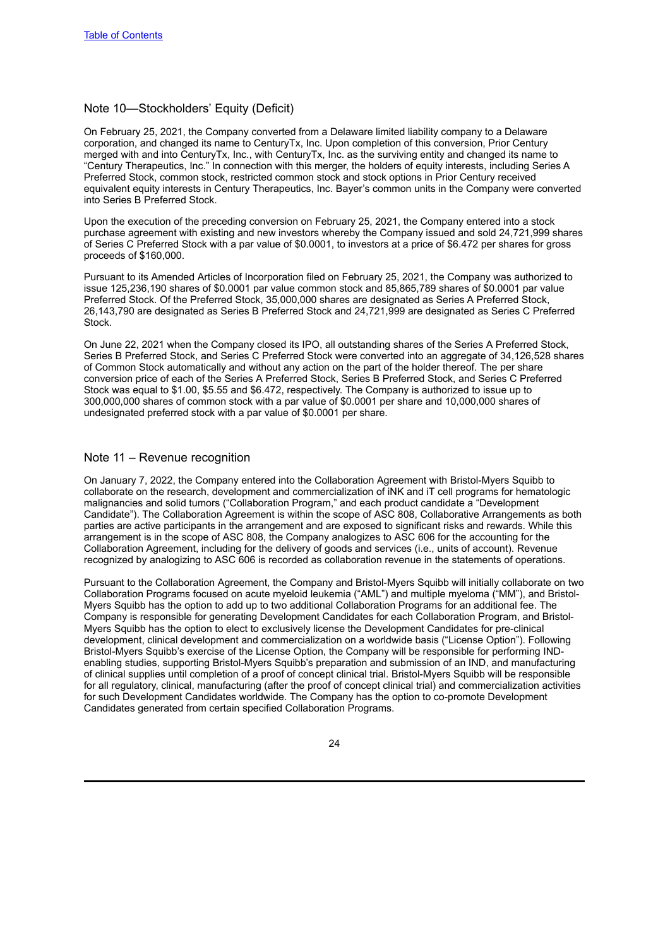# Note 10—Stockholders' Equity (Deficit)

On February 25, 2021, the Company converted from a Delaware limited liability company to a Delaware corporation, and changed its name to CenturyTx, Inc. Upon completion of this conversion, Prior Century merged with and into CenturyTx, Inc., with CenturyTx, Inc. as the surviving entity and changed its name to "Century Therapeutics, Inc." In connection with this merger, the holders of equity interests, including Series A Preferred Stock, common stock, restricted common stock and stock options in Prior Century received equivalent equity interests in Century Therapeutics, Inc. Bayer's common units in the Company were converted into Series B Preferred Stock.

Upon the execution of the preceding conversion on February 25, 2021, the Company entered into a stock purchase agreement with existing and new investors whereby the Company issued and sold 24,721,999 shares of Series C Preferred Stock with a par value of \$0.0001, to investors at a price of \$6.472 per shares for gross proceeds of \$160,000.

Pursuant to its Amended Articles of Incorporation filed on February 25, 2021, the Company was authorized to issue 125,236,190 shares of \$0.0001 par value common stock and 85,865,789 shares of \$0.0001 par value Preferred Stock. Of the Preferred Stock, 35,000,000 shares are designated as Series A Preferred Stock, 26,143,790 are designated as Series B Preferred Stock and 24,721,999 are designated as Series C Preferred Stock.

On June 22, 2021 when the Company closed its IPO, all outstanding shares of the Series A Preferred Stock, Series B Preferred Stock, and Series C Preferred Stock were converted into an aggregate of 34,126,528 shares of Common Stock automatically and without any action on the part of the holder thereof. The per share conversion price of each of the Series A Preferred Stock, Series B Preferred Stock, and Series C Preferred Stock was equal to \$1.00, \$5.55 and \$6.472, respectively. The Company is authorized to issue up to 300,000,000 shares of common stock with a par value of \$0.0001 per share and 10,000,000 shares of undesignated preferred stock with a par value of \$0.0001 per share.

# Note 11 – Revenue recognition

On January 7, 2022, the Company entered into the Collaboration Agreement with Bristol-Myers Squibb to collaborate on the research, development and commercialization of iNK and iT cell programs for hematologic malignancies and solid tumors ("Collaboration Program," and each product candidate a "Development Candidate"). The Collaboration Agreement is within the scope of ASC 808, Collaborative Arrangements as both parties are active participants in the arrangement and are exposed to significant risks and rewards. While this arrangement is in the scope of ASC 808, the Company analogizes to ASC 606 for the accounting for the Collaboration Agreement, including for the delivery of goods and services (i.e., units of account). Revenue recognized by analogizing to ASC 606 is recorded as collaboration revenue in the statements of operations.

Pursuant to the Collaboration Agreement, the Company and Bristol-Myers Squibb will initially collaborate on two Collaboration Programs focused on acute myeloid leukemia ("AML") and multiple myeloma ("MM"), and Bristol-Myers Squibb has the option to add up to two additional Collaboration Programs for an additional fee. The Company is responsible for generating Development Candidates for each Collaboration Program, and Bristol-Myers Squibb has the option to elect to exclusively license the Development Candidates for pre-clinical development, clinical development and commercialization on a worldwide basis ("License Option"). Following Bristol-Myers Squibb's exercise of the License Option, the Company will be responsible for performing INDenabling studies, supporting Bristol-Myers Squibb's preparation and submission of an IND, and manufacturing of clinical supplies until completion of a proof of concept clinical trial. Bristol-Myers Squibb will be responsible for all regulatory, clinical, manufacturing (after the proof of concept clinical trial) and commercialization activities for such Development Candidates worldwide. The Company has the option to co-promote Development Candidates generated from certain specified Collaboration Programs.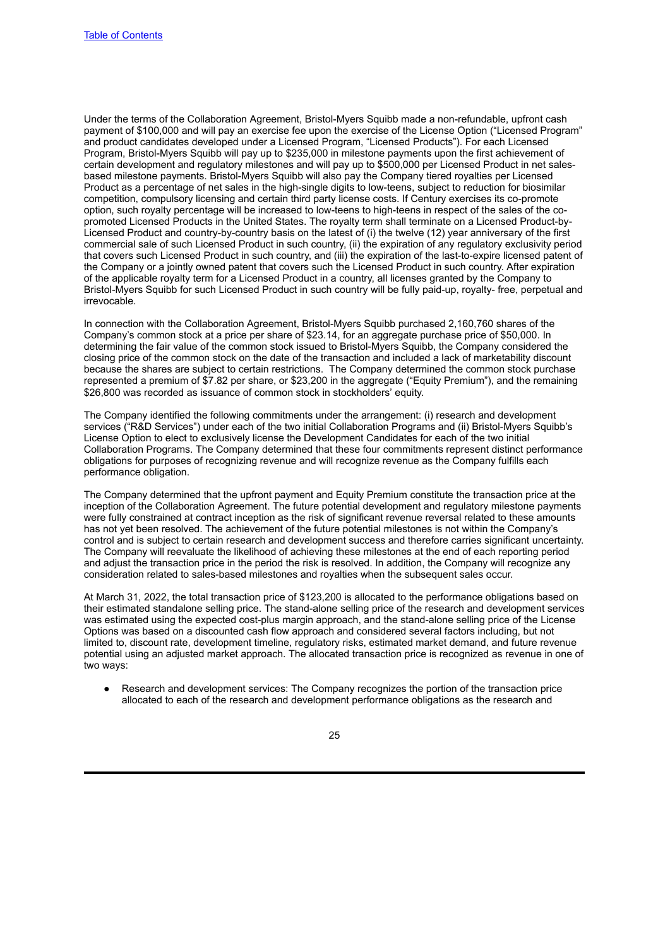Under the terms of the Collaboration Agreement, Bristol-Myers Squibb made a non-refundable, upfront cash payment of \$100,000 and will pay an exercise fee upon the exercise of the License Option ("Licensed Program" and product candidates developed under a Licensed Program, "Licensed Products"). For each Licensed Program, Bristol-Myers Squibb will pay up to \$235,000 in milestone payments upon the first achievement of certain development and regulatory milestones and will pay up to \$500,000 per Licensed Product in net salesbased milestone payments. Bristol-Myers Squibb will also pay the Company tiered royalties per Licensed Product as a percentage of net sales in the high-single digits to low-teens, subject to reduction for biosimilar competition, compulsory licensing and certain third party license costs. If Century exercises its co-promote option, such royalty percentage will be increased to low-teens to high-teens in respect of the sales of the copromoted Licensed Products in the United States. The royalty term shall terminate on a Licensed Product-by-Licensed Product and country-by-country basis on the latest of (i) the twelve (12) year anniversary of the first commercial sale of such Licensed Product in such country, (ii) the expiration of any regulatory exclusivity period that covers such Licensed Product in such country, and (iii) the expiration of the last-to-expire licensed patent of the Company or a jointly owned patent that covers such the Licensed Product in such country. After expiration of the applicable royalty term for a Licensed Product in a country, all licenses granted by the Company to Bristol-Myers Squibb for such Licensed Product in such country will be fully paid-up, royalty- free, perpetual and irrevocable.

In connection with the Collaboration Agreement, Bristol-Myers Squibb purchased 2,160,760 shares of the Company's common stock at a price per share of \$23.14, for an aggregate purchase price of \$50,000. In determining the fair value of the common stock issued to Bristol-Myers Squibb, the Company considered the closing price of the common stock on the date of the transaction and included a lack of marketability discount because the shares are subject to certain restrictions. The Company determined the common stock purchase represented a premium of \$7.82 per share, or \$23,200 in the aggregate ("Equity Premium"), and the remaining \$26,800 was recorded as issuance of common stock in stockholders' equity.

The Company identified the following commitments under the arrangement: (i) research and development services ("R&D Services") under each of the two initial Collaboration Programs and (ii) Bristol-Myers Squibb's License Option to elect to exclusively license the Development Candidates for each of the two initial Collaboration Programs. The Company determined that these four commitments represent distinct performance obligations for purposes of recognizing revenue and will recognize revenue as the Company fulfills each performance obligation.

The Company determined that the upfront payment and Equity Premium constitute the transaction price at the inception of the Collaboration Agreement. The future potential development and regulatory milestone payments were fully constrained at contract inception as the risk of significant revenue reversal related to these amounts has not yet been resolved. The achievement of the future potential milestones is not within the Company's control and is subject to certain research and development success and therefore carries significant uncertainty. The Company will reevaluate the likelihood of achieving these milestones at the end of each reporting period and adjust the transaction price in the period the risk is resolved. In addition, the Company will recognize any consideration related to sales-based milestones and royalties when the subsequent sales occur.

At March 31, 2022, the total transaction price of \$123,200 is allocated to the performance obligations based on their estimated standalone selling price. The stand-alone selling price of the research and development services was estimated using the expected cost-plus margin approach, and the stand-alone selling price of the License Options was based on a discounted cash flow approach and considered several factors including, but not limited to, discount rate, development timeline, regulatory risks, estimated market demand, and future revenue potential using an adjusted market approach. The allocated transaction price is recognized as revenue in one of two ways:

Research and development services: The Company recognizes the portion of the transaction price allocated to each of the research and development performance obligations as the research and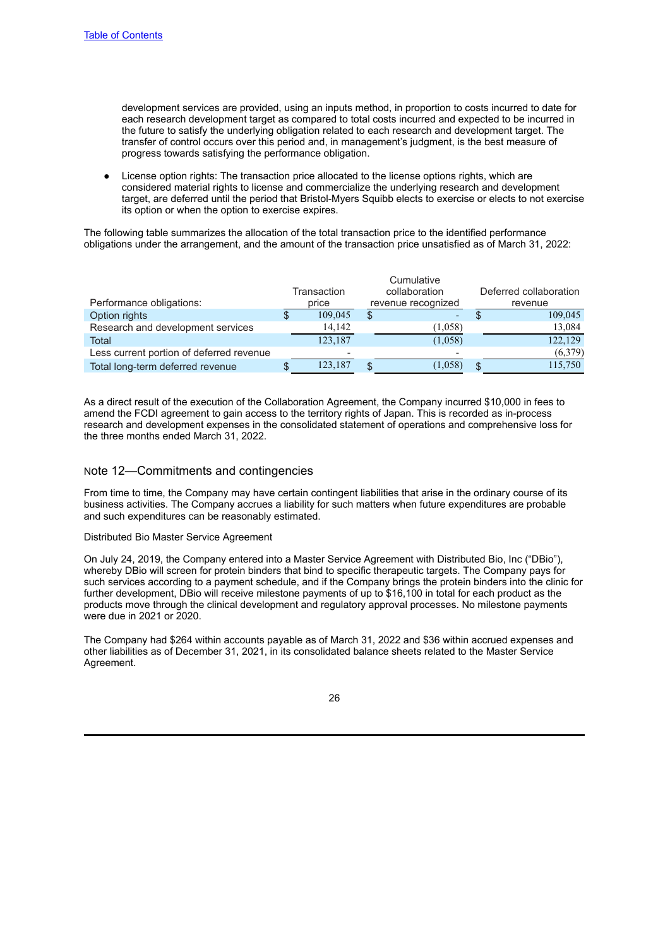development services are provided, using an inputs method, in proportion to costs incurred to date for each research development target as compared to total costs incurred and expected to be incurred in the future to satisfy the underlying obligation related to each research and development target. The transfer of control occurs over this period and, in management's judgment, is the best measure of progress towards satisfying the performance obligation.

License option rights: The transaction price allocated to the license options rights, which are considered material rights to license and commercialize the underlying research and development target, are deferred until the period that Bristol-Myers Squibb elects to exercise or elects to not exercise its option or when the option to exercise expires.

The following table summarizes the allocation of the total transaction price to the identified performance obligations under the arrangement, and the amount of the transaction price unsatisfied as of March 31, 2022:

| Performance obligations:                 | Cumulative<br>collaboration<br>Transaction<br>revenue recognized<br>price |         | Deferred collaboration<br>revenue |                          |         |
|------------------------------------------|---------------------------------------------------------------------------|---------|-----------------------------------|--------------------------|---------|
| Option rights                            |                                                                           | 109,045 | S                                 | $\overline{\phantom{0}}$ | 109,045 |
| Research and development services        |                                                                           | 14,142  |                                   | (1,058)                  | 13,084  |
| Total                                    |                                                                           | 123.187 |                                   | (1,058)                  | 122,129 |
| Less current portion of deferred revenue |                                                                           |         |                                   |                          | (6,379) |
| Total long-term deferred revenue         |                                                                           | 123,187 | \$                                | (1,058)                  | 115,750 |

As a direct result of the execution of the Collaboration Agreement, the Company incurred \$10,000 in fees to amend the FCDI agreement to gain access to the territory rights of Japan. This is recorded as in-process research and development expenses in the consolidated statement of operations and comprehensive loss for the three months ended March 31, 2022.

# Note 12—Commitments and contingencies

From time to time, the Company may have certain contingent liabilities that arise in the ordinary course of its business activities. The Company accrues a liability for such matters when future expenditures are probable and such expenditures can be reasonably estimated.

#### Distributed Bio Master Service Agreement

On July 24, 2019, the Company entered into a Master Service Agreement with Distributed Bio, Inc ("DBio"), whereby DBio will screen for protein binders that bind to specific therapeutic targets. The Company pays for such services according to a payment schedule, and if the Company brings the protein binders into the clinic for further development, DBio will receive milestone payments of up to \$16,100 in total for each product as the products move through the clinical development and regulatory approval processes. No milestone payments were due in 2021 or 2020.

The Company had \$264 within accounts payable as of March 31, 2022 and \$36 within accrued expenses and other liabilities as of December 31, 2021, in its consolidated balance sheets related to the Master Service Agreement.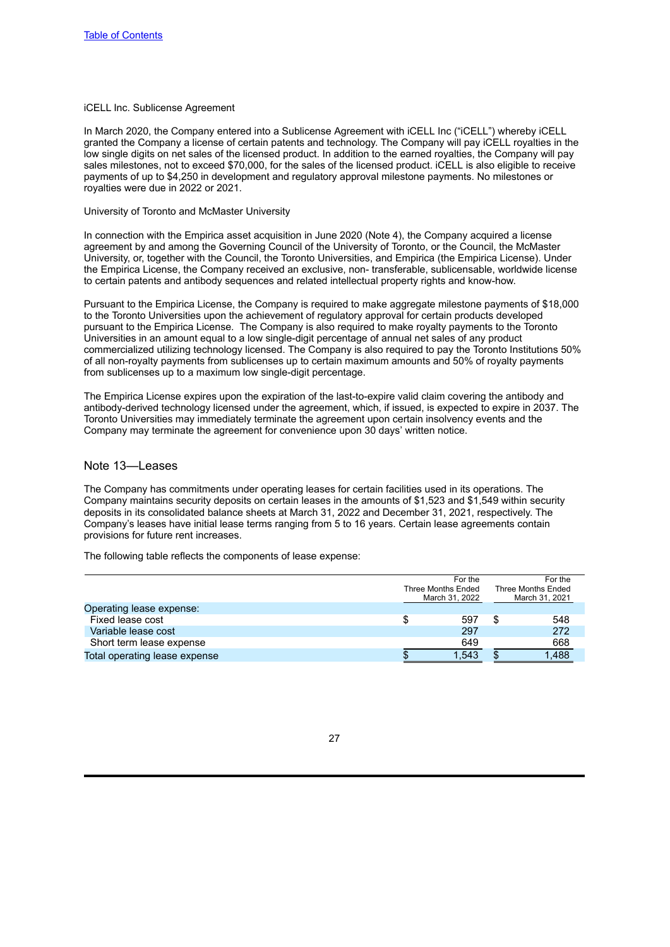#### iCELL Inc. Sublicense Agreement

In March 2020, the Company entered into a Sublicense Agreement with iCELL Inc ("iCELL") whereby iCELL granted the Company a license of certain patents and technology. The Company will pay iCELL royalties in the low single digits on net sales of the licensed product. In addition to the earned royalties, the Company will pay sales milestones, not to exceed \$70,000, for the sales of the licensed product. iCELL is also eligible to receive payments of up to \$4,250 in development and regulatory approval milestone payments. No milestones or royalties were due in 2022 or 2021.

# University of Toronto and McMaster University

In connection with the Empirica asset acquisition in June 2020 (Note 4), the Company acquired a license agreement by and among the Governing Council of the University of Toronto, or the Council, the McMaster University, or, together with the Council, the Toronto Universities, and Empirica (the Empirica License). Under the Empirica License, the Company received an exclusive, non- transferable, sublicensable, worldwide license to certain patents and antibody sequences and related intellectual property rights and know-how.

Pursuant to the Empirica License, the Company is required to make aggregate milestone payments of \$18,000 to the Toronto Universities upon the achievement of regulatory approval for certain products developed pursuant to the Empirica License. The Company is also required to make royalty payments to the Toronto Universities in an amount equal to a low single-digit percentage of annual net sales of any product commercialized utilizing technology licensed. The Company is also required to pay the Toronto Institutions 50% of all non-royalty payments from sublicenses up to certain maximum amounts and 50% of royalty payments from sublicenses up to a maximum low single-digit percentage.

The Empirica License expires upon the expiration of the last-to-expire valid claim covering the antibody and antibody-derived technology licensed under the agreement, which, if issued, is expected to expire in 2037. The Toronto Universities may immediately terminate the agreement upon certain insolvency events and the Company may terminate the agreement for convenience upon 30 days' written notice.

# Note 13—Leases

The Company has commitments under operating leases for certain facilities used in its operations. The Company maintains security deposits on certain leases in the amounts of \$1,523 and \$1,549 within security deposits in its consolidated balance sheets at March 31, 2022 and December 31, 2021, respectively. The Company's leases have initial lease terms ranging from 5 to 16 years. Certain lease agreements contain provisions for future rent increases.

The following table reflects the components of lease expense:

|                               |   | For the            |                           | For the |  |
|-------------------------------|---|--------------------|---------------------------|---------|--|
|                               |   | Three Months Ended | <b>Three Months Ended</b> |         |  |
|                               |   | March 31, 2022     | March 31, 2021            |         |  |
| Operating lease expense:      |   |                    |                           |         |  |
| Fixed lease cost              | S | 597                | \$                        | 548     |  |
| Variable lease cost           |   | 297                |                           | 272     |  |
| Short term lease expense      |   | 649                |                           | 668     |  |
| Total operating lease expense |   | 1.543              |                           | 1.488   |  |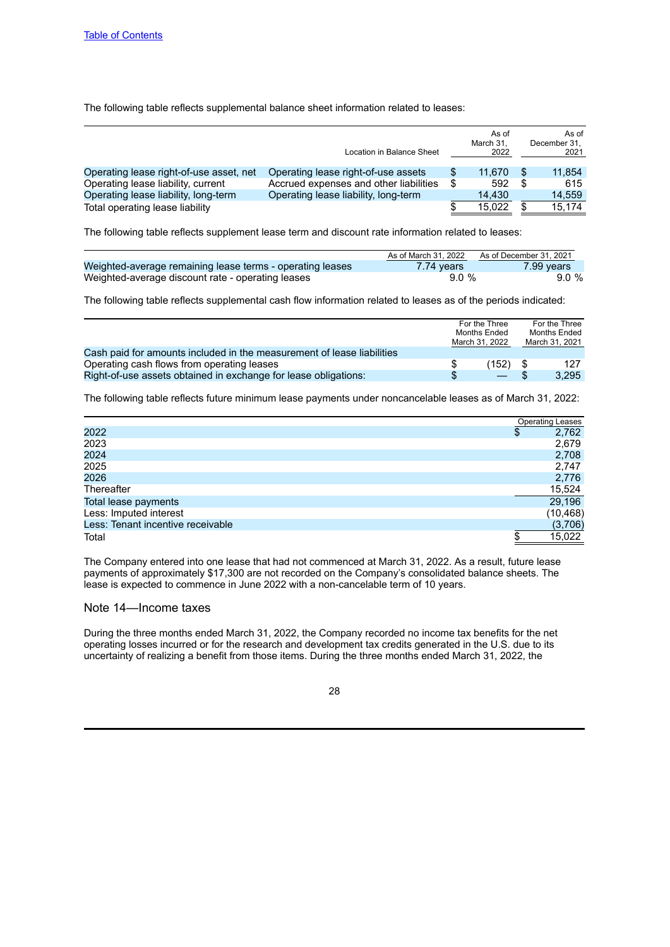The following table reflects supplemental balance sheet information related to leases:

|                                         | Location in Balance Sheet              | As of<br>March 31.<br>2022 |   | As of<br>December 31.<br>2021 |
|-----------------------------------------|----------------------------------------|----------------------------|---|-------------------------------|
| Operating lease right-of-use asset, net | Operating lease right-of-use assets    | 11.670                     |   | 11.854                        |
| Operating lease liability, current      | Accrued expenses and other liabilities | 592                        | S | 615                           |
| Operating lease liability, long-term    | Operating lease liability, long-term   | 14.430                     |   | 14,559                        |
| Total operating lease liability         |                                        | 15.022                     |   | 15.174                        |

The following table reflects supplement lease term and discount rate information related to leases:

|                                                           | As of March 31, 2022 | As of December 31, 2021 |
|-----------------------------------------------------------|----------------------|-------------------------|
| Weighted-average remaining lease terms - operating leases | 7.74 years           | 7.99 years              |
| Weighted-average discount rate - operating leases         | $9.0 \%$             | $9.0 \%$                |

The following table reflects supplemental cash flow information related to leases as of the periods indicated:

|                                                                        | For the Three       |     | For the Three  |
|------------------------------------------------------------------------|---------------------|-----|----------------|
|                                                                        | <b>Months Ended</b> |     | Months Ended   |
|                                                                        | March 31, 2022      |     | March 31, 2021 |
| Cash paid for amounts included in the measurement of lease liabilities |                     |     |                |
| Operating cash flows from operating leases                             | (152)               | SS. | 127            |
| Right-of-use assets obtained in exchange for lease obligations:        |                     |     | 3.295          |

The following table reflects future minimum lease payments under noncancelable leases as of March 31, 2022:

|                                   | <b>Operating Leases</b> |
|-----------------------------------|-------------------------|
| 2022                              | 2,762<br>\$             |
| 2023                              | 2,679                   |
| 2024                              | 2,708                   |
| 2025                              | 2,747                   |
| 2026                              | 2,776                   |
| Thereafter                        | 15,524                  |
| Total lease payments              | 29,196                  |
| Less: Imputed interest            | (10, 468)               |
| Less: Tenant incentive receivable | (3,706)                 |
| Total                             | 15,022                  |

The Company entered into one lease that had not commenced at March 31, 2022. As a result, future lease payments of approximately \$17,300 are not recorded on the Company's consolidated balance sheets. The lease is expected to commence in June 2022 with a non-cancelable term of 10 years.

# Note 14—Income taxes

During the three months ended March 31, 2022, the Company recorded no income tax benefits for the net operating losses incurred or for the research and development tax credits generated in the U.S. due to its uncertainty of realizing a benefit from those items. During the three months ended March 31, 2022, the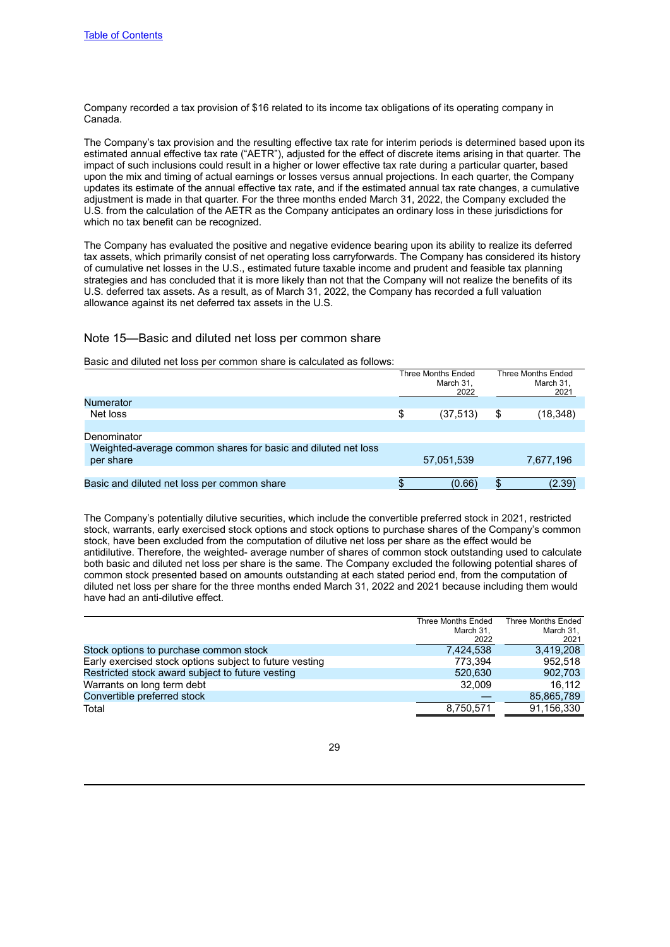Company recorded a tax provision of \$16 related to its income tax obligations of its operating company in Canada.

The Company's tax provision and the resulting effective tax rate for interim periods is determined based upon its estimated annual effective tax rate ("AETR"), adjusted for the effect of discrete items arising in that quarter. The impact of such inclusions could result in a higher or lower effective tax rate during a particular quarter, based upon the mix and timing of actual earnings or losses versus annual projections. In each quarter, the Company updates its estimate of the annual effective tax rate, and if the estimated annual tax rate changes, a cumulative adjustment is made in that quarter. For the three months ended March 31, 2022, the Company excluded the U.S. from the calculation of the AETR as the Company anticipates an ordinary loss in these jurisdictions for which no tax benefit can be recognized.

The Company has evaluated the positive and negative evidence bearing upon its ability to realize its deferred tax assets, which primarily consist of net operating loss carryforwards. The Company has considered its history of cumulative net losses in the U.S., estimated future taxable income and prudent and feasible tax planning strategies and has concluded that it is more likely than not that the Company will not realize the benefits of its U.S. deferred tax assets. As a result, as of March 31, 2022, the Company has recorded a full valuation allowance against its net deferred tax assets in the U.S.

# Note 15—Basic and diluted net loss per common share

#### Basic and diluted net loss per common share is calculated as follows:

|                                                               | Three Months Ended<br>March 31,<br>2022 | Three Months Ended<br>March 31,<br>2021 |          |  |
|---------------------------------------------------------------|-----------------------------------------|-----------------------------------------|----------|--|
| Numerator                                                     |                                         |                                         |          |  |
| Net loss                                                      | \$<br>(37, 513)                         | \$                                      | (18,348) |  |
|                                                               |                                         |                                         |          |  |
| Denominator                                                   |                                         |                                         |          |  |
| Weighted-average common shares for basic and diluted net loss |                                         |                                         |          |  |
| per share                                                     | 57,051,539                              | 7,677,196                               |          |  |
|                                                               |                                         |                                         |          |  |
| Basic and diluted net loss per common share                   | \$<br>(0.66)                            | \$                                      | (2.39)   |  |

The Company's potentially dilutive securities, which include the convertible preferred stock in 2021, restricted stock, warrants, early exercised stock options and stock options to purchase shares of the Company's common stock, have been excluded from the computation of dilutive net loss per share as the effect would be antidilutive. Therefore, the weighted- average number of shares of common stock outstanding used to calculate both basic and diluted net loss per share is the same. The Company excluded the following potential shares of common stock presented based on amounts outstanding at each stated period end, from the computation of diluted net loss per share for the three months ended March 31, 2022 and 2021 because including them would have had an anti-dilutive effect.

|                                                         | Three Months Ended<br>March 31,<br>2022 | Three Months Ended<br>March 31,<br>2021 |
|---------------------------------------------------------|-----------------------------------------|-----------------------------------------|
| Stock options to purchase common stock                  | 7.424.538                               | 3.419.208                               |
| Early exercised stock options subject to future vesting | 773.394                                 | 952.518                                 |
| Restricted stock award subject to future vesting        | 520,630                                 | 902,703                                 |
| Warrants on long term debt                              | 32.009                                  | 16.112                                  |
| Convertible preferred stock                             |                                         | 85,865,789                              |
| Total                                                   | 8,750,571                               | 91,156,330                              |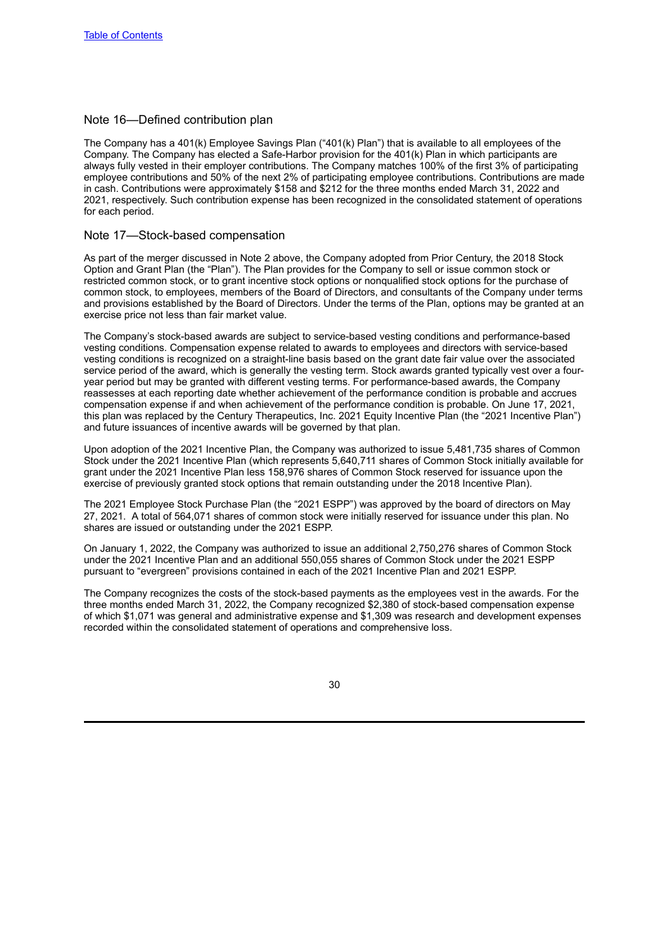# Note 16—Defined contribution plan

The Company has a 401(k) Employee Savings Plan ("401(k) Plan") that is available to all employees of the Company. The Company has elected a Safe-Harbor provision for the 401(k) Plan in which participants are always fully vested in their employer contributions. The Company matches 100% of the first 3% of participating employee contributions and 50% of the next 2% of participating employee contributions. Contributions are made in cash. Contributions were approximately \$158 and \$212 for the three months ended March 31, 2022 and 2021, respectively. Such contribution expense has been recognized in the consolidated statement of operations for each period.

# Note 17—Stock-based compensation

As part of the merger discussed in Note 2 above, the Company adopted from Prior Century, the 2018 Stock Option and Grant Plan (the "Plan"). The Plan provides for the Company to sell or issue common stock or restricted common stock, or to grant incentive stock options or nonqualified stock options for the purchase of common stock, to employees, members of the Board of Directors, and consultants of the Company under terms and provisions established by the Board of Directors. Under the terms of the Plan, options may be granted at an exercise price not less than fair market value.

The Company's stock-based awards are subject to service-based vesting conditions and performance-based vesting conditions. Compensation expense related to awards to employees and directors with service-based vesting conditions is recognized on a straight-line basis based on the grant date fair value over the associated service period of the award, which is generally the vesting term. Stock awards granted typically vest over a fouryear period but may be granted with different vesting terms. For performance-based awards, the Company reassesses at each reporting date whether achievement of the performance condition is probable and accrues compensation expense if and when achievement of the performance condition is probable. On June 17, 2021, this plan was replaced by the Century Therapeutics, Inc. 2021 Equity Incentive Plan (the "2021 Incentive Plan") and future issuances of incentive awards will be governed by that plan.

Upon adoption of the 2021 Incentive Plan, the Company was authorized to issue 5,481,735 shares of Common Stock under the 2021 Incentive Plan (which represents 5,640,711 shares of Common Stock initially available for grant under the 2021 Incentive Plan less 158,976 shares of Common Stock reserved for issuance upon the exercise of previously granted stock options that remain outstanding under the 2018 Incentive Plan).

The 2021 Employee Stock Purchase Plan (the "2021 ESPP") was approved by the board of directors on May 27, 2021. A total of 564,071 shares of common stock were initially reserved for issuance under this plan. No shares are issued or outstanding under the 2021 ESPP.

On January 1, 2022, the Company was authorized to issue an additional 2,750,276 shares of Common Stock under the 2021 Incentive Plan and an additional 550,055 shares of Common Stock under the 2021 ESPP pursuant to "evergreen" provisions contained in each of the 2021 Incentive Plan and 2021 ESPP.

The Company recognizes the costs of the stock-based payments as the employees vest in the awards. For the three months ended March 31, 2022, the Company recognized \$2,380 of stock-based compensation expense of which \$1,071 was general and administrative expense and \$1,309 was research and development expenses recorded within the consolidated statement of operations and comprehensive loss.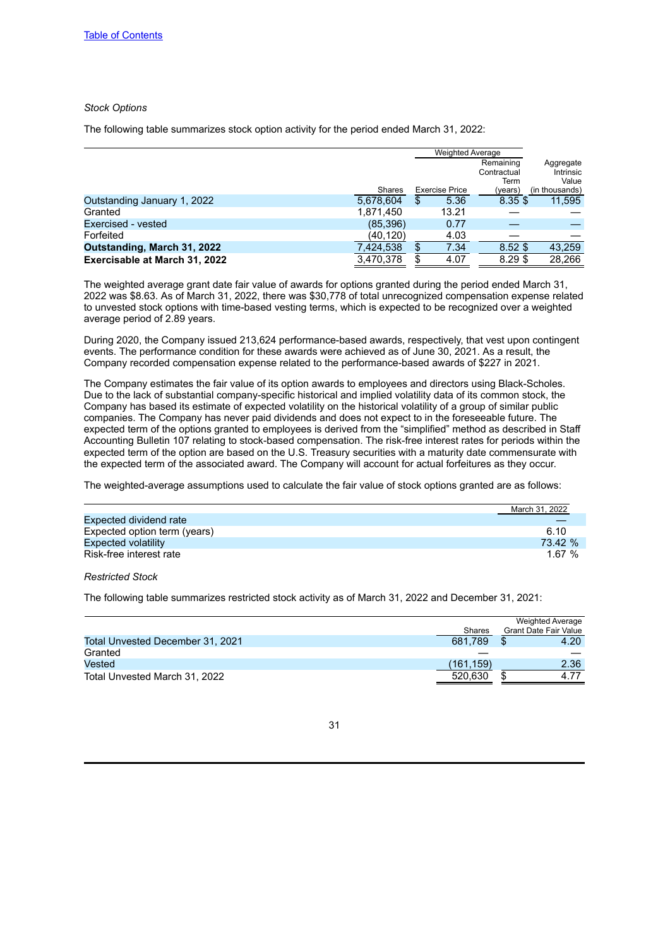# *Stock Options*

The following table summarizes stock option activity for the period ended March 31, 2022:

|                               |               | <b>Weighted Average</b> |                       |             |                |
|-------------------------------|---------------|-------------------------|-----------------------|-------------|----------------|
|                               |               |                         |                       | Remaining   | Aggregate      |
|                               |               |                         |                       | Contractual | Intrinsic      |
|                               |               |                         |                       | Term        | Value          |
|                               | <b>Shares</b> |                         | <b>Exercise Price</b> | (years)     | (in thousands) |
| Outstanding January 1, 2022   | 5,678,604     | \$                      | 5.36                  | 8.35\$      | 11.595         |
| Granted                       | 1.871.450     |                         | 13.21                 |             |                |
| Exercised - vested            | (85, 396)     |                         | 0.77                  |             |                |
| Forfeited                     | (40,120)      |                         | 4.03                  |             |                |
| Outstanding, March 31, 2022   | 7,424,538     | S                       | 7.34                  | $8.52$ \$   | 43,259         |
| Exercisable at March 31, 2022 | 3,470,378     | S.                      | 4.07                  | 8.29\$      | 28,266         |

The weighted average grant date fair value of awards for options granted during the period ended March 31, 2022 was \$8.63. As of March 31, 2022, there was \$30,778 of total unrecognized compensation expense related to unvested stock options with time-based vesting terms, which is expected to be recognized over a weighted average period of 2.89 years.

During 2020, the Company issued 213,624 performance-based awards, respectively, that vest upon contingent events. The performance condition for these awards were achieved as of June 30, 2021. As a result, the Company recorded compensation expense related to the performance-based awards of \$227 in 2021.

The Company estimates the fair value of its option awards to employees and directors using Black-Scholes. Due to the lack of substantial company-specific historical and implied volatility data of its common stock, the Company has based its estimate of expected volatility on the historical volatility of a group of similar public companies. The Company has never paid dividends and does not expect to in the foreseeable future. The expected term of the options granted to employees is derived from the "simplified" method as described in Staff Accounting Bulletin 107 relating to stock-based compensation. The risk-free interest rates for periods within the expected term of the option are based on the U.S. Treasury securities with a maturity date commensurate with the expected term of the associated award. The Company will account for actual forfeitures as they occur.

The weighted-average assumptions used to calculate the fair value of stock options granted are as follows:

|                              | March 31, 2022 |
|------------------------------|----------------|
| Expected dividend rate       |                |
| Expected option term (years) | 6.10           |
| Expected volatility          | 73.42 %        |
| Risk-free interest rate      | 1.67%          |

*Restricted Stock*

The following table summarizes restricted stock activity as of March 31, 2022 and December 31, 2021:

|                                  |           | <b>Weighted Average</b>      |
|----------------------------------|-----------|------------------------------|
|                                  | Shares    | <b>Grant Date Fair Value</b> |
| Total Unvested December 31, 2021 | 681.789   | 4.20                         |
| Granted                          |           |                              |
| Vested                           | (161.159) | 2.36                         |
| Total Unvested March 31, 2022    | 520.630   | 4.77                         |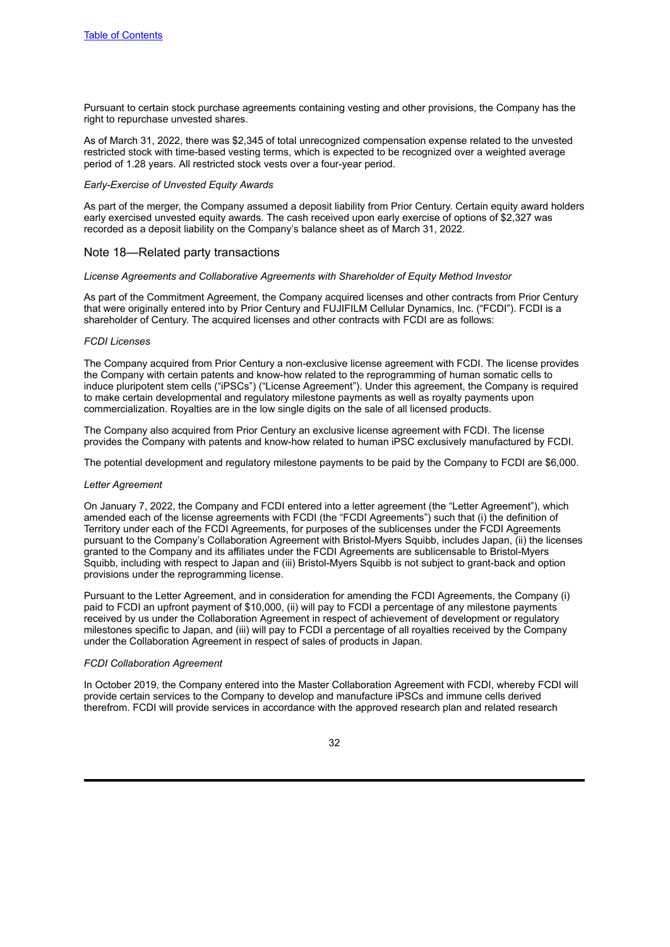Pursuant to certain stock purchase agreements containing vesting and other provisions, the Company has the right to repurchase unvested shares.

As of March 31, 2022, there was \$2,345 of total unrecognized compensation expense related to the unvested restricted stock with time-based vesting terms, which is expected to be recognized over a weighted average period of 1.28 years. All restricted stock vests over a four-year period.

#### *Early-Exercise of Unvested Equity Awards*

As part of the merger, the Company assumed a deposit liability from Prior Century. Certain equity award holders early exercised unvested equity awards. The cash received upon early exercise of options of \$2,327 was recorded as a deposit liability on the Company's balance sheet as of March 31, 2022.

# Note 18—Related party transactions

#### *License Agreements and Collaborative Agreements with Shareholder of Equity Method Investor*

As part of the Commitment Agreement, the Company acquired licenses and other contracts from Prior Century that were originally entered into by Prior Century and FUJIFILM Cellular Dynamics, Inc. ("FCDI"). FCDI is a shareholder of Century. The acquired licenses and other contracts with FCDI are as follows:

#### *FCDI Licenses*

The Company acquired from Prior Century a non-exclusive license agreement with FCDI. The license provides the Company with certain patents and know-how related to the reprogramming of human somatic cells to induce pluripotent stem cells ("iPSCs") ("License Agreement"). Under this agreement, the Company is required to make certain developmental and regulatory milestone payments as well as royalty payments upon commercialization. Royalties are in the low single digits on the sale of all licensed products.

The Company also acquired from Prior Century an exclusive license agreement with FCDI. The license provides the Company with patents and know-how related to human iPSC exclusively manufactured by FCDI.

The potential development and regulatory milestone payments to be paid by the Company to FCDI are \$6,000.

# *Letter Agreement*

On January 7, 2022, the Company and FCDI entered into a letter agreement (the "Letter Agreement"), which amended each of the license agreements with FCDI (the "FCDI Agreements") such that (i) the definition of Territory under each of the FCDI Agreements, for purposes of the sublicenses under the FCDI Agreements pursuant to the Company's Collaboration Agreement with Bristol-Myers Squibb, includes Japan, (ii) the licenses granted to the Company and its affiliates under the FCDI Agreements are sublicensable to Bristol-Myers Squibb, including with respect to Japan and (iii) Bristol-Myers Squibb is not subject to grant-back and option provisions under the reprogramming license.

Pursuant to the Letter Agreement, and in consideration for amending the FCDI Agreements, the Company (i) paid to FCDI an upfront payment of \$10,000, (ii) will pay to FCDI a percentage of any milestone payments received by us under the Collaboration Agreement in respect of achievement of development or regulatory milestones specific to Japan, and (iii) will pay to FCDI a percentage of all royalties received by the Company under the Collaboration Agreement in respect of sales of products in Japan.

# *FCDI Collaboration Agreement*

In October 2019, the Company entered into the Master Collaboration Agreement with FCDI, whereby FCDI will provide certain services to the Company to develop and manufacture iPSCs and immune cells derived therefrom. FCDI will provide services in accordance with the approved research plan and related research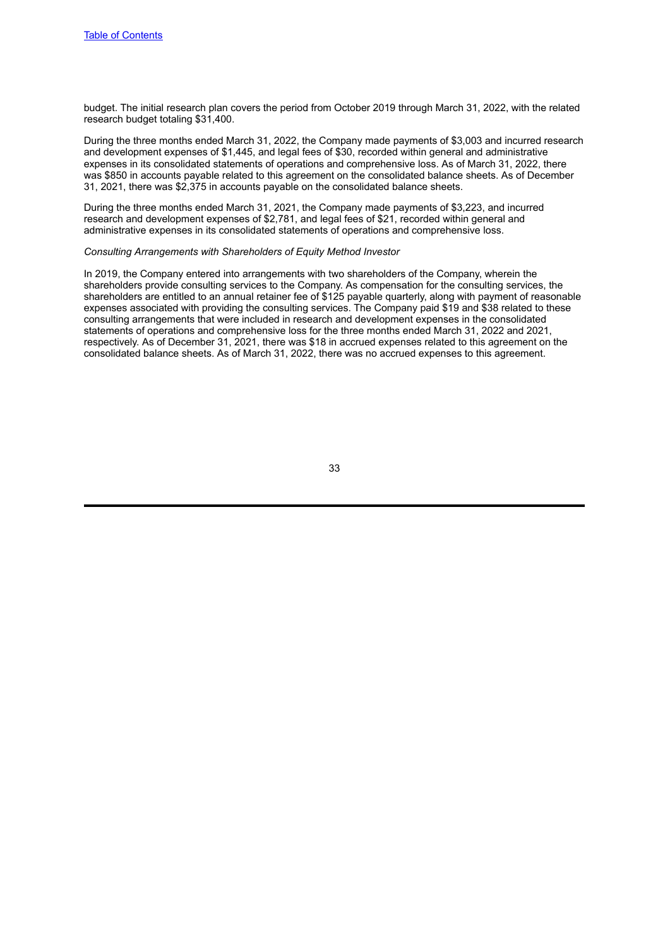budget. The initial research plan covers the period from October 2019 through March 31, 2022, with the related research budget totaling \$31,400.

During the three months ended March 31, 2022, the Company made payments of \$3,003 and incurred research and development expenses of \$1,445, and legal fees of \$30, recorded within general and administrative expenses in its consolidated statements of operations and comprehensive loss. As of March 31, 2022, there was \$850 in accounts payable related to this agreement on the consolidated balance sheets. As of December 31, 2021, there was \$2,375 in accounts payable on the consolidated balance sheets.

During the three months ended March 31, 2021, the Company made payments of \$3,223, and incurred research and development expenses of \$2,781, and legal fees of \$21, recorded within general and administrative expenses in its consolidated statements of operations and comprehensive loss.

#### *Consulting Arrangements with Shareholders of Equity Method Investor*

In 2019, the Company entered into arrangements with two shareholders of the Company, wherein the shareholders provide consulting services to the Company. As compensation for the consulting services, the shareholders are entitled to an annual retainer fee of \$125 payable quarterly, along with payment of reasonable expenses associated with providing the consulting services. The Company paid \$19 and \$38 related to these consulting arrangements that were included in research and development expenses in the consolidated statements of operations and comprehensive loss for the three months ended March 31, 2022 and 2021, respectively. As of December 31, 2021, there was \$18 in accrued expenses related to this agreement on the consolidated balance sheets. As of March 31, 2022, there was no accrued expenses to this agreement.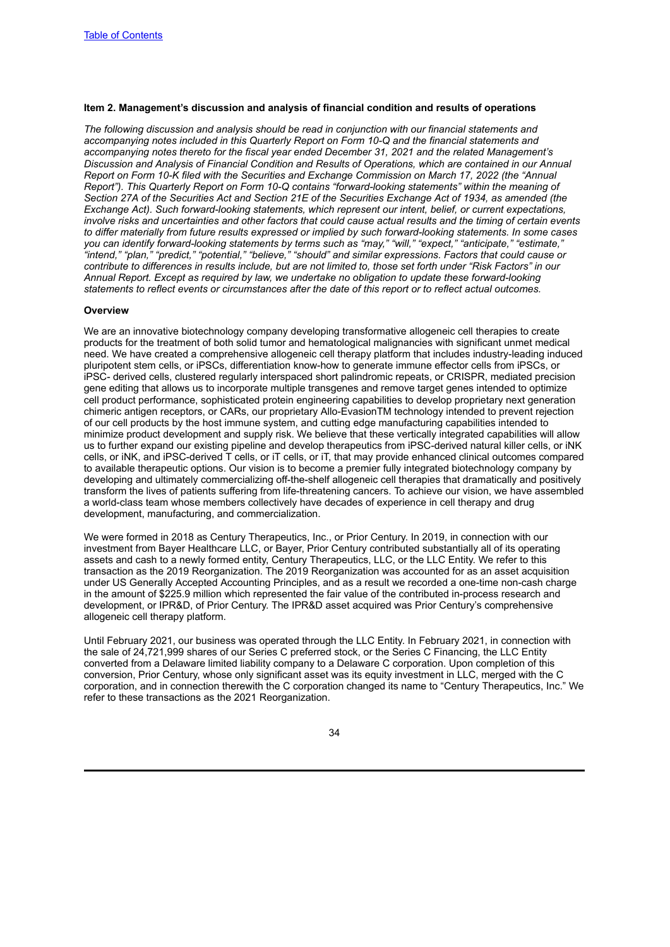# <span id="page-33-0"></span>**Item 2. Management's discussion and analysis of financial condition and results of operations**

*The following discussion and analysis should be read in conjunction with our financial statements and accompanying notes included in this Quarterly Report on Form 10-Q and the financial statements and accompanying notes thereto for the fiscal year ended December 31, 2021 and the related Management's Discussion and Analysis of Financial Condition and Results of Operations, which are contained in our Annual Report on Form 10-K filed with the Securities and Exchange Commission on March 17, 2022 (the "Annual Report"). This Quarterly Report on Form 10-Q contains "forward-looking statements" within the meaning of* Section 27A of the Securities Act and Section 21E of the Securities Exchange Act of 1934, as amended (the *Exchange Act). Such forward-looking statements, which represent our intent, belief, or current expectations,* involve risks and uncertainties and other factors that could cause actual results and the timing of certain events *to differ materially from future results expressed or implied by such forward-looking statements. In some cases you can identify forward-looking statements by terms such as "may," "will," "expect," "anticipate," "estimate," "intend," "plan," "predict," "potential," "believe," "should" and similar expressions. Factors that could cause or* contribute to differences in results include, but are not limited to, those set forth under "Risk Factors" in our *Annual Report. Except as required by law, we undertake no obligation to update these forward-looking* statements to reflect events or circumstances after the date of this report or to reflect actual outcomes.

# **Overview**

We are an innovative biotechnology company developing transformative allogeneic cell therapies to create products for the treatment of both solid tumor and hematological malignancies with significant unmet medical need. We have created a comprehensive allogeneic cell therapy platform that includes industry-leading induced pluripotent stem cells, or iPSCs, differentiation know-how to generate immune effector cells from iPSCs, or iPSC- derived cells, clustered regularly interspaced short palindromic repeats, or CRISPR, mediated precision gene editing that allows us to incorporate multiple transgenes and remove target genes intended to optimize cell product performance, sophisticated protein engineering capabilities to develop proprietary next generation chimeric antigen receptors, or CARs, our proprietary Allo-EvasionTM technology intended to prevent rejection of our cell products by the host immune system, and cutting edge manufacturing capabilities intended to minimize product development and supply risk. We believe that these vertically integrated capabilities will allow us to further expand our existing pipeline and develop therapeutics from iPSC-derived natural killer cells, or iNK cells, or iNK, and iPSC-derived T cells, or iT cells, or iT, that may provide enhanced clinical outcomes compared to available therapeutic options. Our vision is to become a premier fully integrated biotechnology company by developing and ultimately commercializing off-the-shelf allogeneic cell therapies that dramatically and positively transform the lives of patients suffering from life-threatening cancers. To achieve our vision, we have assembled a world-class team whose members collectively have decades of experience in cell therapy and drug development, manufacturing, and commercialization.

We were formed in 2018 as Century Therapeutics, Inc., or Prior Century. In 2019, in connection with our investment from Bayer Healthcare LLC, or Bayer, Prior Century contributed substantially all of its operating assets and cash to a newly formed entity, Century Therapeutics, LLC, or the LLC Entity. We refer to this transaction as the 2019 Reorganization. The 2019 Reorganization was accounted for as an asset acquisition under US Generally Accepted Accounting Principles, and as a result we recorded a one-time non-cash charge in the amount of \$225.9 million which represented the fair value of the contributed in-process research and development, or IPR&D, of Prior Century. The IPR&D asset acquired was Prior Century's comprehensive allogeneic cell therapy platform.

Until February 2021, our business was operated through the LLC Entity. In February 2021, in connection with the sale of 24,721,999 shares of our Series C preferred stock, or the Series C Financing, the LLC Entity converted from a Delaware limited liability company to a Delaware C corporation. Upon completion of this conversion, Prior Century, whose only significant asset was its equity investment in LLC, merged with the C corporation, and in connection therewith the C corporation changed its name to "Century Therapeutics, Inc." We refer to these transactions as the 2021 Reorganization.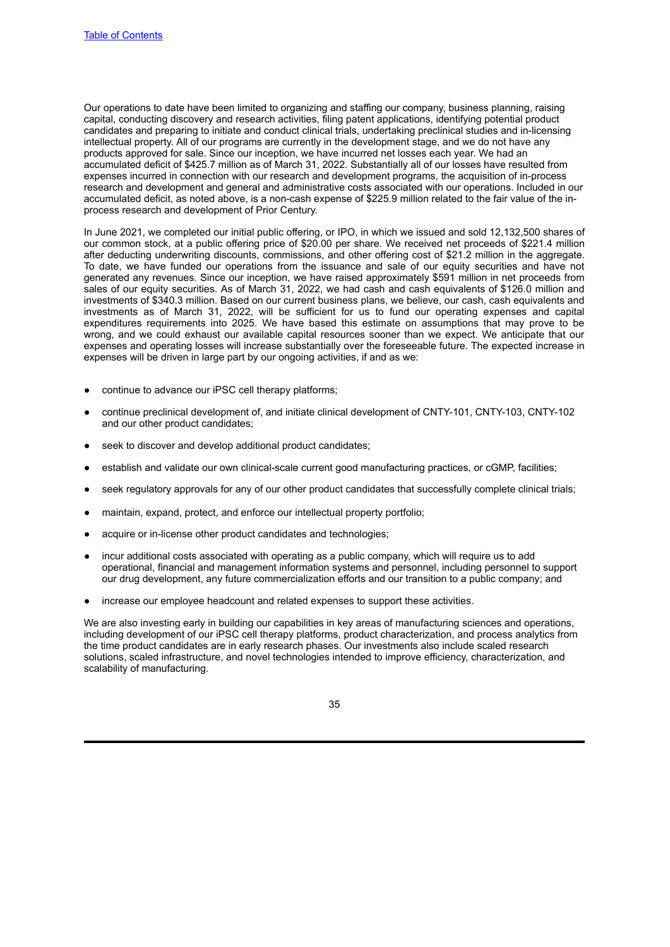Our operations to date have been limited to organizing and staffing our company, business planning, raising capital, conducting discovery and research activities, filing patent applications, identifying potential product candidates and preparing to initiate and conduct clinical trials, undertaking preclinical studies and in-licensing intellectual property. All of our programs are currently in the development stage, and we do not have any products approved for sale. Since our inception, we have incurred net losses each year. We had an accumulated deficit of \$425.7 million as of March 31, 2022. Substantially all of our losses have resulted from expenses incurred in connection with our research and development programs, the acquisition of in-process research and development and general and administrative costs associated with our operations. Included in our accumulated deficit, as noted above, is a non-cash expense of \$225.9 million related to the fair value of the inprocess research and development of Prior Century.

In June 2021, we completed our initial public offering, or IPO, in which we issued and sold 12,132,500 shares of our common stock, at a public offering price of \$20.00 per share. We received net proceeds of \$221.4 million after deducting underwriting discounts, commissions, and other offering cost of \$21.2 million in the aggregate. To date, we have funded our operations from the issuance and sale of our equity securities and have not generated any revenues. Since our inception, we have raised approximately \$591 million in net proceeds from sales of our equity securities. As of March 31, 2022, we had cash and cash equivalents of \$126.0 million and investments of \$340.3 million. Based on our current business plans, we believe, our cash, cash equivalents and investments as of March 31, 2022, will be sufficient for us to fund our operating expenses and capital expenditures requirements into 2025. We have based this estimate on assumptions that may prove to be wrong, and we could exhaust our available capital resources sooner than we expect. We anticipate that our expenses and operating losses will increase substantially over the foreseeable future. The expected increase in expenses will be driven in large part by our ongoing activities, if and as we:

- continue to advance our iPSC cell therapy platforms;
- continue preclinical development of, and initiate clinical development of CNTY-101, CNTY-103, CNTY-102 and our other product candidates;
- seek to discover and develop additional product candidates;
- establish and validate our own clinical-scale current good manufacturing practices, or cGMP, facilities;
- seek regulatory approvals for any of our other product candidates that successfully complete clinical trials;
- maintain, expand, protect, and enforce our intellectual property portfolio;
- acquire or in-license other product candidates and technologies;
- incur additional costs associated with operating as a public company, which will require us to add operational, financial and management information systems and personnel, including personnel to support our drug development, any future commercialization efforts and our transition to a public company; and
- increase our employee headcount and related expenses to support these activities.

We are also investing early in building our capabilities in key areas of manufacturing sciences and operations, including development of our iPSC cell therapy platforms, product characterization, and process analytics from the time product candidates are in early research phases. Our investments also include scaled research solutions, scaled infrastructure, and novel technologies intended to improve efficiency, characterization, and scalability of manufacturing.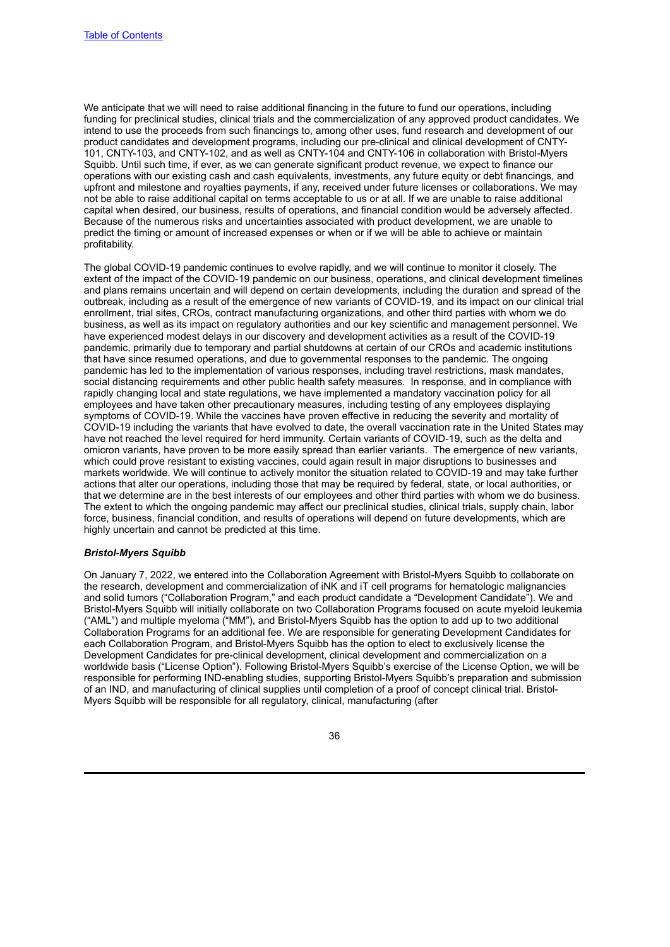We anticipate that we will need to raise additional financing in the future to fund our operations, including funding for preclinical studies, clinical trials and the commercialization of any approved product candidates. We intend to use the proceeds from such financings to, among other uses, fund research and development of our product candidates and development programs, including our pre-clinical and clinical development of CNTY-101, CNTY-103, and CNTY-102, and as well as CNTY-104 and CNTY-106 in collaboration with Bristol-Myers Squibb. Until such time, if ever, as we can generate significant product revenue, we expect to finance our operations with our existing cash and cash equivalents, investments, any future equity or debt financings, and upfront and milestone and royalties payments, if any, received under future licenses or collaborations. We may not be able to raise additional capital on terms acceptable to us or at all. If we are unable to raise additional capital when desired, our business, results of operations, and financial condition would be adversely affected. Because of the numerous risks and uncertainties associated with product development, we are unable to predict the timing or amount of increased expenses or when or if we will be able to achieve or maintain profitability.

The global COVID-19 pandemic continues to evolve rapidly, and we will continue to monitor it closely. The extent of the impact of the COVID-19 pandemic on our business, operations, and clinical development timelines and plans remains uncertain and will depend on certain developments, including the duration and spread of the outbreak, including as a result of the emergence of new variants of COVID-19, and its impact on our clinical trial enrollment, trial sites, CROs, contract manufacturing organizations, and other third parties with whom we do business, as well as its impact on regulatory authorities and our key scientific and management personnel. We have experienced modest delays in our discovery and development activities as a result of the COVID-19 pandemic, primarily due to temporary and partial shutdowns at certain of our CROs and academic institutions that have since resumed operations, and due to governmental responses to the pandemic. The ongoing pandemic has led to the implementation of various responses, including travel restrictions, mask mandates, social distancing requirements and other public health safety measures. In response, and in compliance with rapidly changing local and state regulations, we have implemented a mandatory vaccination policy for all employees and have taken other precautionary measures, including testing of any employees displaying symptoms of COVID-19. While the vaccines have proven effective in reducing the severity and mortality of COVID-19 including the variants that have evolved to date, the overall vaccination rate in the United States may have not reached the level required for herd immunity. Certain variants of COVID-19, such as the delta and omicron variants, have proven to be more easily spread than earlier variants. The emergence of new variants, which could prove resistant to existing vaccines, could again result in major disruptions to businesses and markets worldwide. We will continue to actively monitor the situation related to COVID-19 and may take further actions that alter our operations, including those that may be required by federal, state, or local authorities, or that we determine are in the best interests of our employees and other third parties with whom we do business. The extent to which the ongoing pandemic may affect our preclinical studies, clinical trials, supply chain, labor force, business, financial condition, and results of operations will depend on future developments, which are highly uncertain and cannot be predicted at this time.

# *Bristol-Myers Squibb*

On January 7, 2022, we entered into the Collaboration Agreement with Bristol-Myers Squibb to collaborate on the research, development and commercialization of iNK and iT cell programs for hematologic malignancies and solid tumors ("Collaboration Program," and each product candidate a "Development Candidate"). We and Bristol-Myers Squibb will initially collaborate on two Collaboration Programs focused on acute myeloid leukemia ("AML") and multiple myeloma ("MM"), and Bristol-Myers Squibb has the option to add up to two additional Collaboration Programs for an additional fee. We are responsible for generating Development Candidates for each Collaboration Program, and Bristol-Myers Squibb has the option to elect to exclusively license the Development Candidates for pre-clinical development, clinical development and commercialization on a worldwide basis ("License Option"). Following Bristol-Myers Squibb's exercise of the License Option, we will be responsible for performing IND-enabling studies, supporting Bristol-Myers Squibb's preparation and submission of an IND, and manufacturing of clinical supplies until completion of a proof of concept clinical trial. Bristol-Myers Squibb will be responsible for all regulatory, clinical, manufacturing (after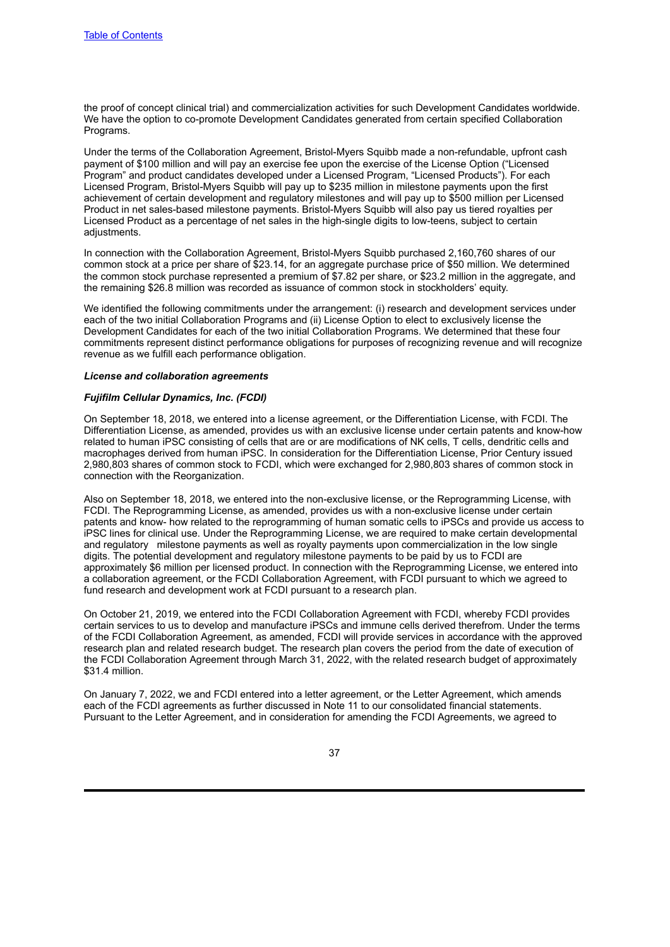the proof of concept clinical trial) and commercialization activities for such Development Candidates worldwide. We have the option to co-promote Development Candidates generated from certain specified Collaboration Programs.

Under the terms of the Collaboration Agreement, Bristol-Myers Squibb made a non-refundable, upfront cash payment of \$100 million and will pay an exercise fee upon the exercise of the License Option ("Licensed Program" and product candidates developed under a Licensed Program, "Licensed Products"). For each Licensed Program, Bristol-Myers Squibb will pay up to \$235 million in milestone payments upon the first achievement of certain development and regulatory milestones and will pay up to \$500 million per Licensed Product in net sales-based milestone payments. Bristol-Myers Squibb will also pay us tiered royalties per Licensed Product as a percentage of net sales in the high-single digits to low-teens, subject to certain adiustments.

In connection with the Collaboration Agreement, Bristol-Myers Squibb purchased 2,160,760 shares of our common stock at a price per share of \$23.14, for an aggregate purchase price of \$50 million. We determined the common stock purchase represented a premium of \$7.82 per share, or \$23.2 million in the aggregate, and the remaining \$26.8 million was recorded as issuance of common stock in stockholders' equity.

We identified the following commitments under the arrangement: (i) research and development services under each of the two initial Collaboration Programs and (ii) License Option to elect to exclusively license the Development Candidates for each of the two initial Collaboration Programs. We determined that these four commitments represent distinct performance obligations for purposes of recognizing revenue and will recognize revenue as we fulfill each performance obligation.

#### *License and collaboration agreements*

# *Fujifilm Cellular Dynamics, Inc. (FCDI)*

On September 18, 2018, we entered into a license agreement, or the Differentiation License, with FCDI. The Differentiation License, as amended, provides us with an exclusive license under certain patents and know-how related to human iPSC consisting of cells that are or are modifications of NK cells, T cells, dendritic cells and macrophages derived from human iPSC. In consideration for the Differentiation License, Prior Century issued 2,980,803 shares of common stock to FCDI, which were exchanged for 2,980,803 shares of common stock in connection with the Reorganization.

Also on September 18, 2018, we entered into the non-exclusive license, or the Reprogramming License, with FCDI. The Reprogramming License, as amended, provides us with a non-exclusive license under certain patents and know- how related to the reprogramming of human somatic cells to iPSCs and provide us access to iPSC lines for clinical use. Under the Reprogramming License, we are required to make certain developmental and regulatory milestone payments as well as royalty payments upon commercialization in the low single digits. The potential development and regulatory milestone payments to be paid by us to FCDI are approximately \$6 million per licensed product. In connection with the Reprogramming License, we entered into a collaboration agreement, or the FCDI Collaboration Agreement, with FCDI pursuant to which we agreed to fund research and development work at FCDI pursuant to a research plan.

On October 21, 2019, we entered into the FCDI Collaboration Agreement with FCDI, whereby FCDI provides certain services to us to develop and manufacture iPSCs and immune cells derived therefrom. Under the terms of the FCDI Collaboration Agreement, as amended, FCDI will provide services in accordance with the approved research plan and related research budget. The research plan covers the period from the date of execution of the FCDI Collaboration Agreement through March 31, 2022, with the related research budget of approximately \$31.4 million.

On January 7, 2022, we and FCDI entered into a letter agreement, or the Letter Agreement, which amends each of the FCDI agreements as further discussed in Note 11 to our consolidated financial statements. Pursuant to the Letter Agreement, and in consideration for amending the FCDI Agreements, we agreed to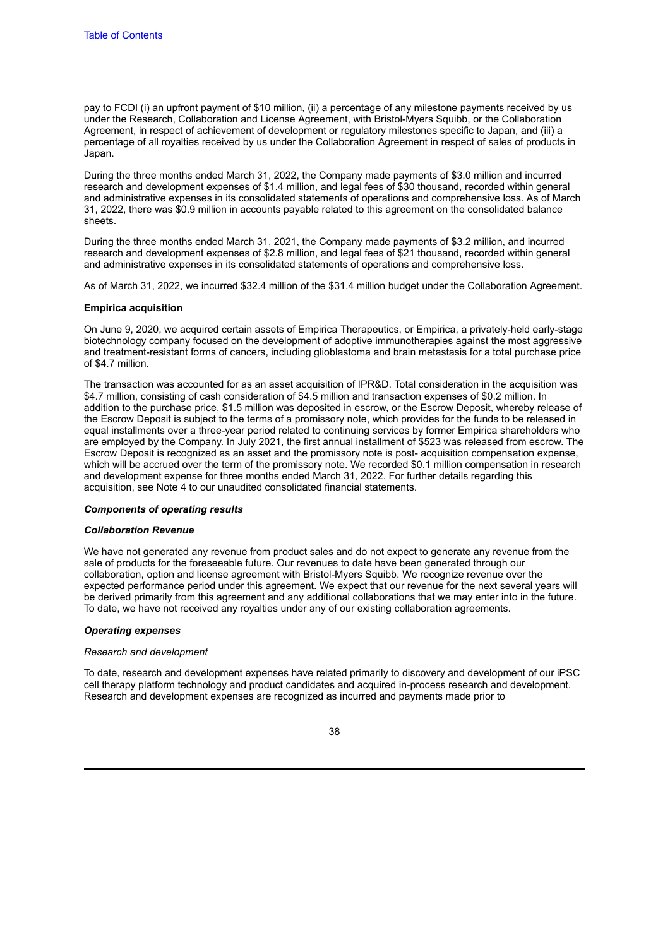pay to FCDI (i) an upfront payment of \$10 million, (ii) a percentage of any milestone payments received by us under the Research, Collaboration and License Agreement, with Bristol-Myers Squibb, or the Collaboration Agreement, in respect of achievement of development or regulatory milestones specific to Japan, and (iii) a percentage of all royalties received by us under the Collaboration Agreement in respect of sales of products in Japan.

During the three months ended March 31, 2022, the Company made payments of \$3.0 million and incurred research and development expenses of \$1.4 million, and legal fees of \$30 thousand, recorded within general and administrative expenses in its consolidated statements of operations and comprehensive loss. As of March 31, 2022, there was \$0.9 million in accounts payable related to this agreement on the consolidated balance sheets.

During the three months ended March 31, 2021, the Company made payments of \$3.2 million, and incurred research and development expenses of \$2.8 million, and legal fees of \$21 thousand, recorded within general and administrative expenses in its consolidated statements of operations and comprehensive loss.

As of March 31, 2022, we incurred \$32.4 million of the \$31.4 million budget under the Collaboration Agreement.

#### **Empirica acquisition**

On June 9, 2020, we acquired certain assets of Empirica Therapeutics, or Empirica, a privately-held early-stage biotechnology company focused on the development of adoptive immunotherapies against the most aggressive and treatment-resistant forms of cancers, including glioblastoma and brain metastasis for a total purchase price of \$4.7 million.

The transaction was accounted for as an asset acquisition of IPR&D. Total consideration in the acquisition was \$4.7 million, consisting of cash consideration of \$4.5 million and transaction expenses of \$0.2 million. In addition to the purchase price, \$1.5 million was deposited in escrow, or the Escrow Deposit, whereby release of the Escrow Deposit is subject to the terms of a promissory note, which provides for the funds to be released in equal installments over a three-year period related to continuing services by former Empirica shareholders who are employed by the Company. In July 2021, the first annual installment of \$523 was released from escrow. The Escrow Deposit is recognized as an asset and the promissory note is post- acquisition compensation expense, which will be accrued over the term of the promissory note. We recorded \$0.1 million compensation in research and development expense for three months ended March 31, 2022. For further details regarding this acquisition, see Note 4 to our unaudited consolidated financial statements.

#### *Components of operating results*

#### *Collaboration Revenue*

We have not generated any revenue from product sales and do not expect to generate any revenue from the sale of products for the foreseeable future. Our revenues to date have been generated through our collaboration, option and license agreement with Bristol-Myers Squibb. We recognize revenue over the expected performance period under this agreement. We expect that our revenue for the next several years will be derived primarily from this agreement and any additional collaborations that we may enter into in the future. To date, we have not received any royalties under any of our existing collaboration agreements.

#### *Operating expenses*

#### *Research and development*

To date, research and development expenses have related primarily to discovery and development of our iPSC cell therapy platform technology and product candidates and acquired in-process research and development. Research and development expenses are recognized as incurred and payments made prior to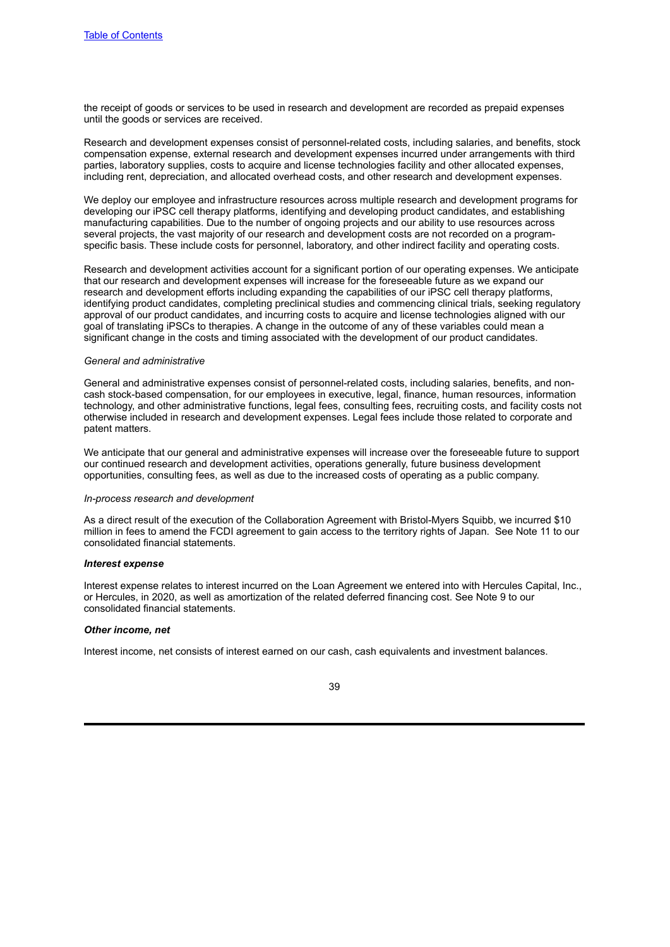the receipt of goods or services to be used in research and development are recorded as prepaid expenses until the goods or services are received.

Research and development expenses consist of personnel-related costs, including salaries, and benefits, stock compensation expense, external research and development expenses incurred under arrangements with third parties, laboratory supplies, costs to acquire and license technologies facility and other allocated expenses, including rent, depreciation, and allocated overhead costs, and other research and development expenses.

We deploy our employee and infrastructure resources across multiple research and development programs for developing our iPSC cell therapy platforms, identifying and developing product candidates, and establishing manufacturing capabilities. Due to the number of ongoing projects and our ability to use resources across several projects, the vast majority of our research and development costs are not recorded on a programspecific basis. These include costs for personnel, laboratory, and other indirect facility and operating costs.

Research and development activities account for a significant portion of our operating expenses. We anticipate that our research and development expenses will increase for the foreseeable future as we expand our research and development efforts including expanding the capabilities of our iPSC cell therapy platforms, identifying product candidates, completing preclinical studies and commencing clinical trials, seeking regulatory approval of our product candidates, and incurring costs to acquire and license technologies aligned with our goal of translating iPSCs to therapies. A change in the outcome of any of these variables could mean a significant change in the costs and timing associated with the development of our product candidates.

#### *General and administrative*

General and administrative expenses consist of personnel-related costs, including salaries, benefits, and noncash stock-based compensation, for our employees in executive, legal, finance, human resources, information technology, and other administrative functions, legal fees, consulting fees, recruiting costs, and facility costs not otherwise included in research and development expenses. Legal fees include those related to corporate and patent matters.

We anticipate that our general and administrative expenses will increase over the foreseeable future to support our continued research and development activities, operations generally, future business development opportunities, consulting fees, as well as due to the increased costs of operating as a public company.

#### *In-process research and development*

As a direct result of the execution of the Collaboration Agreement with Bristol-Myers Squibb, we incurred \$10 million in fees to amend the FCDI agreement to gain access to the territory rights of Japan. See Note 11 to our consolidated financial statements.

#### *Interest expense*

Interest expense relates to interest incurred on the Loan Agreement we entered into with Hercules Capital, Inc., or Hercules, in 2020, as well as amortization of the related deferred financing cost. See Note 9 to our consolidated financial statements.

#### *Other income, net*

Interest income, net consists of interest earned on our cash, cash equivalents and investment balances.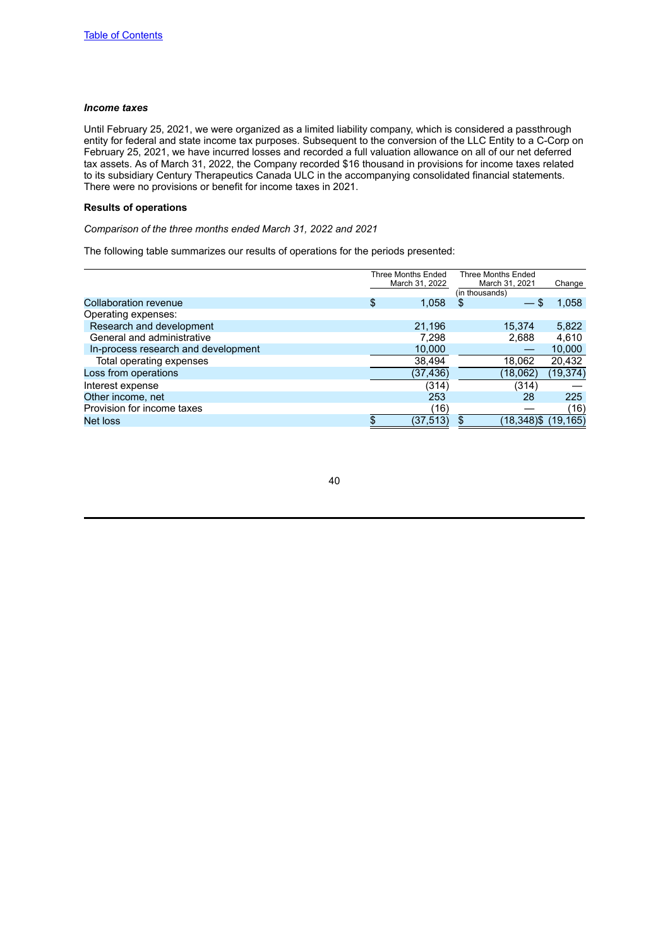# *Income taxes*

Until February 25, 2021, we were organized as a limited liability company, which is considered a passthrough entity for federal and state income tax purposes. Subsequent to the conversion of the LLC Entity to a C-Corp on February 25, 2021, we have incurred losses and recorded a full valuation allowance on all of our net deferred tax assets. As of March 31, 2022, the Company recorded \$16 thousand in provisions for income taxes related to its subsidiary Century Therapeutics Canada ULC in the accompanying consolidated financial statements. There were no provisions or benefit for income taxes in 2021.

#### **Results of operations**

*Comparison of the three months ended March 31, 2022 and 2021*

The following table summarizes our results of operations for the periods presented:

| <b>Three Months Ended</b><br>March 31, 2021 | Change                                                                                                                                                                       |
|---------------------------------------------|------------------------------------------------------------------------------------------------------------------------------------------------------------------------------|
|                                             |                                                                                                                                                                              |
| \$<br>\$                                    | 1,058                                                                                                                                                                        |
|                                             |                                                                                                                                                                              |
| 15,374                                      | 5,822                                                                                                                                                                        |
| 2,688                                       | 4,610                                                                                                                                                                        |
|                                             | 10,000                                                                                                                                                                       |
| 18,062                                      | 20,432                                                                                                                                                                       |
| (18,062)                                    | (19,374)                                                                                                                                                                     |
| (314)                                       |                                                                                                                                                                              |
| 28                                          | 225                                                                                                                                                                          |
|                                             | (16)                                                                                                                                                                         |
| \$                                          | (19,165)                                                                                                                                                                     |
|                                             | Three Months Ended<br>March 31, 2022<br>(in thousands)<br>1,058<br>\$.<br>21,196<br>7,298<br>10,000<br>38,494<br>(37, 436)<br>(314)<br>253<br>(16)<br>(37, 513)<br>18,348)\$ |

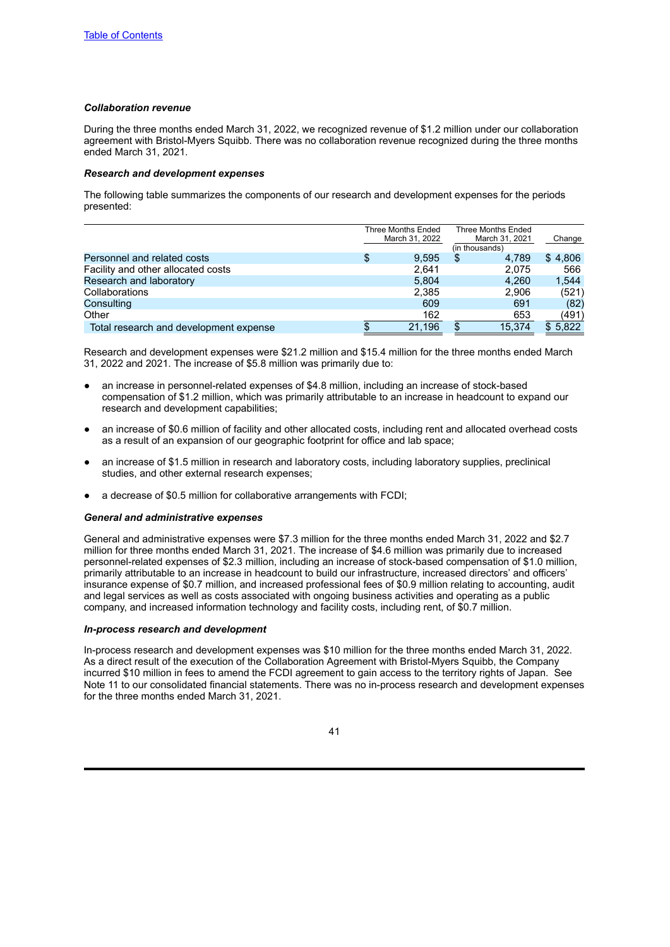# *Collaboration revenue*

During the three months ended March 31, 2022, we recognized revenue of \$1.2 million under our collaboration agreement with Bristol-Myers Squibb. There was no collaboration revenue recognized during the three months ended March 31, 2021.

# *Research and development expenses*

The following table summarizes the components of our research and development expenses for the periods presented:

|                                        | <b>Three Months Ended</b><br>March 31, 2022 | (in thousands) | <b>Three Months Ended</b><br>March 31, 2021 | Change  |
|----------------------------------------|---------------------------------------------|----------------|---------------------------------------------|---------|
| Personnel and related costs            | \$<br>9,595                                 | \$             | 4.789                                       | \$4,806 |
| Facility and other allocated costs     | 2.641                                       |                | 2.075                                       | 566     |
| Research and laboratory                | 5,804                                       |                | 4.260                                       | 1.544   |
| Collaborations                         | 2,385                                       |                | 2.906                                       | (521)   |
| Consulting                             | 609                                         |                | 691                                         | (82)    |
| Other                                  | 162                                         |                | 653                                         | (491)   |
| Total research and development expense | 21,196                                      |                | 15.374                                      | \$5,822 |

Research and development expenses were \$21.2 million and \$15.4 million for the three months ended March 31, 2022 and 2021. The increase of \$5.8 million was primarily due to:

- an increase in personnel-related expenses of \$4.8 million, including an increase of stock-based compensation of \$1.2 million, which was primarily attributable to an increase in headcount to expand our research and development capabilities;
- an increase of \$0.6 million of facility and other allocated costs, including rent and allocated overhead costs as a result of an expansion of our geographic footprint for office and lab space;
- an increase of \$1.5 million in research and laboratory costs, including laboratory supplies, preclinical studies, and other external research expenses;
- a decrease of \$0.5 million for collaborative arrangements with FCDI;

# *General and administrative expenses*

General and administrative expenses were \$7.3 million for the three months ended March 31, 2022 and \$2.7 million for three months ended March 31, 2021. The increase of \$4.6 million was primarily due to increased personnel-related expenses of \$2.3 million, including an increase of stock-based compensation of \$1.0 million, primarily attributable to an increase in headcount to build our infrastructure, increased directors' and officers' insurance expense of \$0.7 million, and increased professional fees of \$0.9 million relating to accounting, audit and legal services as well as costs associated with ongoing business activities and operating as a public company, and increased information technology and facility costs, including rent, of \$0.7 million.

# *In-process research and development*

In-process research and development expenses was \$10 million for the three months ended March 31, 2022. As a direct result of the execution of the Collaboration Agreement with Bristol-Myers Squibb, the Company incurred \$10 million in fees to amend the FCDI agreement to gain access to the territory rights of Japan. See Note 11 to our consolidated financial statements. There was no in-process research and development expenses for the three months ended March 31, 2021.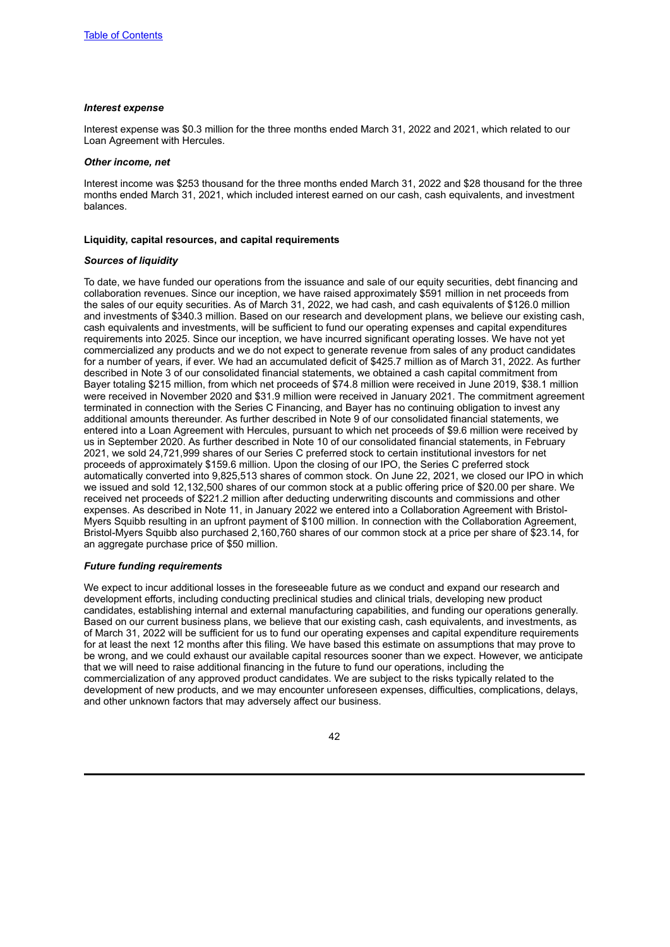#### *Interest expense*

Interest expense was \$0.3 million for the three months ended March 31, 2022 and 2021, which related to our Loan Agreement with Hercules.

#### *Other income, net*

Interest income was \$253 thousand for the three months ended March 31, 2022 and \$28 thousand for the three months ended March 31, 2021, which included interest earned on our cash, cash equivalents, and investment balances.

#### **Liquidity, capital resources, and capital requirements**

#### *Sources of liquidity*

To date, we have funded our operations from the issuance and sale of our equity securities, debt financing and collaboration revenues. Since our inception, we have raised approximately \$591 million in net proceeds from the sales of our equity securities. As of March 31, 2022, we had cash, and cash equivalents of \$126.0 million and investments of \$340.3 million. Based on our research and development plans, we believe our existing cash, cash equivalents and investments, will be sufficient to fund our operating expenses and capital expenditures requirements into 2025. Since our inception, we have incurred significant operating losses. We have not yet commercialized any products and we do not expect to generate revenue from sales of any product candidates for a number of years, if ever. We had an accumulated deficit of \$425.7 million as of March 31, 2022. As further described in Note 3 of our consolidated financial statements, we obtained a cash capital commitment from Bayer totaling \$215 million, from which net proceeds of \$74.8 million were received in June 2019, \$38.1 million were received in November 2020 and \$31.9 million were received in January 2021. The commitment agreement terminated in connection with the Series C Financing, and Bayer has no continuing obligation to invest any additional amounts thereunder. As further described in Note 9 of our consolidated financial statements, we entered into a Loan Agreement with Hercules, pursuant to which net proceeds of \$9.6 million were received by us in September 2020. As further described in Note 10 of our consolidated financial statements, in February 2021, we sold 24,721,999 shares of our Series C preferred stock to certain institutional investors for net proceeds of approximately \$159.6 million. Upon the closing of our IPO, the Series C preferred stock automatically converted into 9,825,513 shares of common stock. On June 22, 2021, we closed our IPO in which we issued and sold 12,132,500 shares of our common stock at a public offering price of \$20.00 per share. We received net proceeds of \$221.2 million after deducting underwriting discounts and commissions and other expenses. As described in Note 11, in January 2022 we entered into a Collaboration Agreement with Bristol-Myers Squibb resulting in an upfront payment of \$100 million. In connection with the Collaboration Agreement, Bristol-Myers Squibb also purchased 2,160,760 shares of our common stock at a price per share of \$23.14, for an aggregate purchase price of \$50 million.

#### *Future funding requirements*

We expect to incur additional losses in the foreseeable future as we conduct and expand our research and development efforts, including conducting preclinical studies and clinical trials, developing new product candidates, establishing internal and external manufacturing capabilities, and funding our operations generally. Based on our current business plans, we believe that our existing cash, cash equivalents, and investments, as of March 31, 2022 will be sufficient for us to fund our operating expenses and capital expenditure requirements for at least the next 12 months after this filing. We have based this estimate on assumptions that may prove to be wrong, and we could exhaust our available capital resources sooner than we expect. However, we anticipate that we will need to raise additional financing in the future to fund our operations, including the commercialization of any approved product candidates. We are subject to the risks typically related to the development of new products, and we may encounter unforeseen expenses, difficulties, complications, delays, and other unknown factors that may adversely affect our business.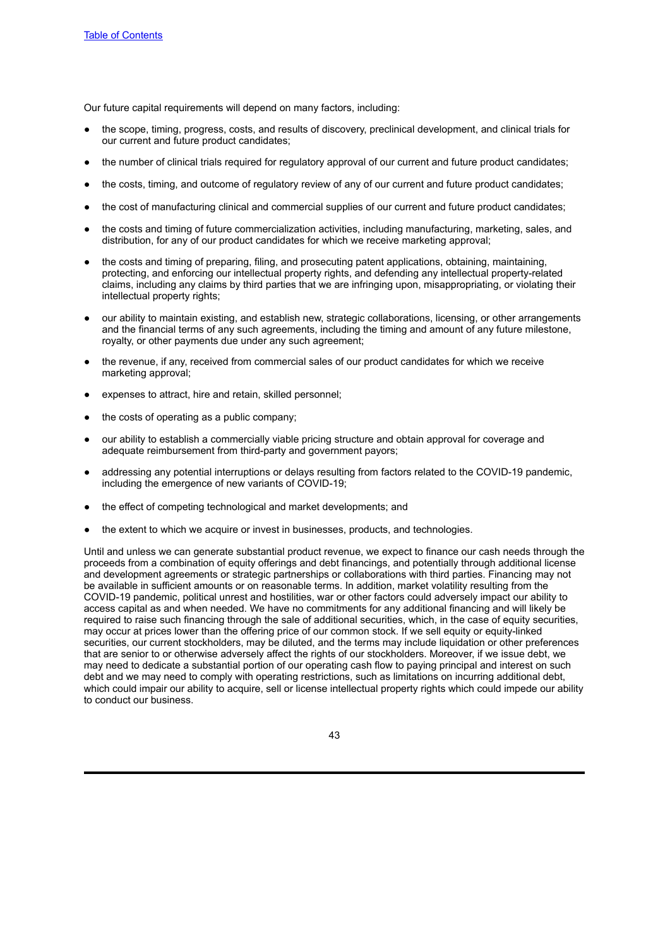Our future capital requirements will depend on many factors, including:

- the scope, timing, progress, costs, and results of discovery, preclinical development, and clinical trials for our current and future product candidates;
- the number of clinical trials required for regulatory approval of our current and future product candidates;
- the costs, timing, and outcome of regulatory review of any of our current and future product candidates;
- the cost of manufacturing clinical and commercial supplies of our current and future product candidates;
- the costs and timing of future commercialization activities, including manufacturing, marketing, sales, and distribution, for any of our product candidates for which we receive marketing approval;
- the costs and timing of preparing, filing, and prosecuting patent applications, obtaining, maintaining, protecting, and enforcing our intellectual property rights, and defending any intellectual property-related claims, including any claims by third parties that we are infringing upon, misappropriating, or violating their intellectual property rights;
- our ability to maintain existing, and establish new, strategic collaborations, licensing, or other arrangements and the financial terms of any such agreements, including the timing and amount of any future milestone, royalty, or other payments due under any such agreement;
- the revenue, if any, received from commercial sales of our product candidates for which we receive marketing approval;
- expenses to attract, hire and retain, skilled personnel;
- the costs of operating as a public company;
- our ability to establish a commercially viable pricing structure and obtain approval for coverage and adequate reimbursement from third-party and government payors;
- addressing any potential interruptions or delays resulting from factors related to the COVID-19 pandemic, including the emergence of new variants of COVID-19;
- the effect of competing technological and market developments; and
- the extent to which we acquire or invest in businesses, products, and technologies.

Until and unless we can generate substantial product revenue, we expect to finance our cash needs through the proceeds from a combination of equity offerings and debt financings, and potentially through additional license and development agreements or strategic partnerships or collaborations with third parties. Financing may not be available in sufficient amounts or on reasonable terms. In addition, market volatility resulting from the COVID-19 pandemic, political unrest and hostilities, war or other factors could adversely impact our ability to access capital as and when needed. We have no commitments for any additional financing and will likely be required to raise such financing through the sale of additional securities, which, in the case of equity securities, may occur at prices lower than the offering price of our common stock. If we sell equity or equity-linked securities, our current stockholders, may be diluted, and the terms may include liquidation or other preferences that are senior to or otherwise adversely affect the rights of our stockholders. Moreover, if we issue debt, we may need to dedicate a substantial portion of our operating cash flow to paying principal and interest on such debt and we may need to comply with operating restrictions, such as limitations on incurring additional debt, which could impair our ability to acquire, sell or license intellectual property rights which could impede our ability to conduct our business.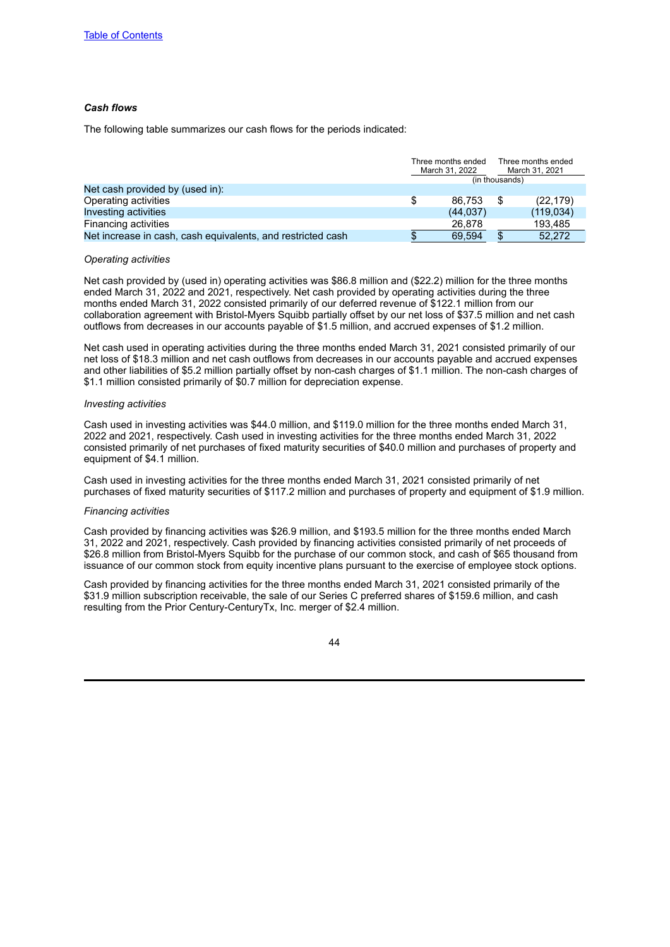# *Cash flows*

The following table summarizes our cash flows for the periods indicated:

|                                                             | Three months ended<br>March 31, 2022 |           |     | Three months ended<br>March 31, 2021 |
|-------------------------------------------------------------|--------------------------------------|-----------|-----|--------------------------------------|
|                                                             | (in thousands)                       |           |     |                                      |
| Net cash provided by (used in):                             |                                      |           |     |                                      |
| Operating activities                                        |                                      | 86.753    | \$  | (22, 179)                            |
| Investing activities                                        |                                      | (44, 037) |     | (119.034)                            |
| Financing activities                                        |                                      | 26.878    |     | 193,485                              |
| Net increase in cash, cash equivalents, and restricted cash |                                      | 69.594    | \$. | 52.272                               |

#### *Operating activities*

Net cash provided by (used in) operating activities was \$86.8 million and (\$22.2) million for the three months ended March 31, 2022 and 2021, respectively. Net cash provided by operating activities during the three months ended March 31, 2022 consisted primarily of our deferred revenue of \$122.1 million from our collaboration agreement with Bristol-Myers Squibb partially offset by our net loss of \$37.5 million and net cash outflows from decreases in our accounts payable of \$1.5 million, and accrued expenses of \$1.2 million.

Net cash used in operating activities during the three months ended March 31, 2021 consisted primarily of our net loss of \$18.3 million and net cash outflows from decreases in our accounts payable and accrued expenses and other liabilities of \$5.2 million partially offset by non-cash charges of \$1.1 million. The non-cash charges of \$1.1 million consisted primarily of \$0.7 million for depreciation expense.

#### *Investing activities*

Cash used in investing activities was \$44.0 million, and \$119.0 million for the three months ended March 31, 2022 and 2021, respectively. Cash used in investing activities for the three months ended March 31, 2022 consisted primarily of net purchases of fixed maturity securities of \$40.0 million and purchases of property and equipment of \$4.1 million.

Cash used in investing activities for the three months ended March 31, 2021 consisted primarily of net purchases of fixed maturity securities of \$117.2 million and purchases of property and equipment of \$1.9 million.

#### *Financing activities*

Cash provided by financing activities was \$26.9 million, and \$193.5 million for the three months ended March 31, 2022 and 2021, respectively. Cash provided by financing activities consisted primarily of net proceeds of \$26.8 million from Bristol-Myers Squibb for the purchase of our common stock, and cash of \$65 thousand from issuance of our common stock from equity incentive plans pursuant to the exercise of employee stock options.

Cash provided by financing activities for the three months ended March 31, 2021 consisted primarily of the \$31.9 million subscription receivable, the sale of our Series C preferred shares of \$159.6 million, and cash resulting from the Prior Century-CenturyTx, Inc. merger of \$2.4 million.

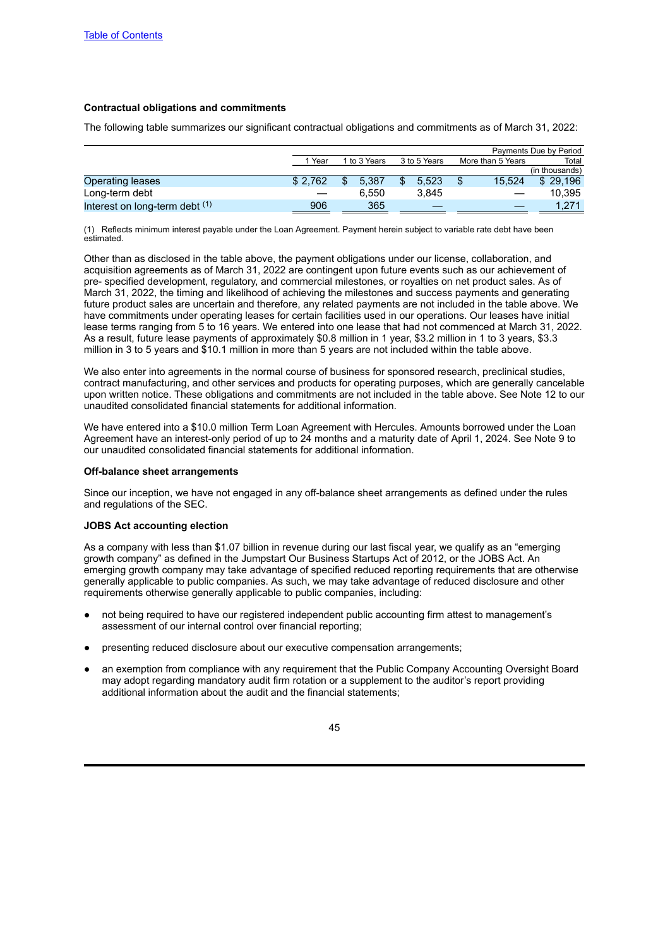# **Contractual obligations and commitments**

The following table summarizes our significant contractual obligations and commitments as of March 31, 2022:

|                                  |         |              |       |              |       |                   |        | Payments Due by Period |
|----------------------------------|---------|--------------|-------|--------------|-------|-------------------|--------|------------------------|
|                                  | Year    | 1 to 3 Years |       | 3 to 5 Years |       | More than 5 Years |        | Total                  |
|                                  |         |              |       |              |       |                   |        | (in thousands)         |
| <b>Operating leases</b>          | \$2.762 |              | 5.387 |              | 5.523 |                   | 15.524 | \$29.196               |
| Long-term debt                   |         |              | 6.550 |              | 3.845 |                   |        | 10.395                 |
| Interest on long-term debt $(1)$ | 906     |              | 365   |              |       |                   |        | 1,271                  |

(1) Reflects minimum interest payable under the Loan Agreement. Payment herein subject to variable rate debt have been estimated.

Other than as disclosed in the table above, the payment obligations under our license, collaboration, and acquisition agreements as of March 31, 2022 are contingent upon future events such as our achievement of pre- specified development, regulatory, and commercial milestones, or royalties on net product sales. As of March 31, 2022, the timing and likelihood of achieving the milestones and success payments and generating future product sales are uncertain and therefore, any related payments are not included in the table above. We have commitments under operating leases for certain facilities used in our operations. Our leases have initial lease terms ranging from 5 to 16 years. We entered into one lease that had not commenced at March 31, 2022. As a result, future lease payments of approximately \$0.8 million in 1 year, \$3.2 million in 1 to 3 years, \$3.3 million in 3 to 5 years and \$10.1 million in more than 5 years are not included within the table above.

We also enter into agreements in the normal course of business for sponsored research, preclinical studies, contract manufacturing, and other services and products for operating purposes, which are generally cancelable upon written notice. These obligations and commitments are not included in the table above. See Note 12 to our unaudited consolidated financial statements for additional information.

We have entered into a \$10.0 million Term Loan Agreement with Hercules. Amounts borrowed under the Loan Agreement have an interest-only period of up to 24 months and a maturity date of April 1, 2024. See Note 9 to our unaudited consolidated financial statements for additional information.

# **Off-balance sheet arrangements**

Since our inception, we have not engaged in any off-balance sheet arrangements as defined under the rules and regulations of the SEC.

# **JOBS Act accounting election**

As a company with less than \$1.07 billion in revenue during our last fiscal year, we qualify as an "emerging growth company" as defined in the Jumpstart Our Business Startups Act of 2012, or the JOBS Act. An emerging growth company may take advantage of specified reduced reporting requirements that are otherwise generally applicable to public companies. As such, we may take advantage of reduced disclosure and other requirements otherwise generally applicable to public companies, including:

- not being required to have our registered independent public accounting firm attest to management's assessment of our internal control over financial reporting;
- presenting reduced disclosure about our executive compensation arrangements;
- an exemption from compliance with any requirement that the Public Company Accounting Oversight Board may adopt regarding mandatory audit firm rotation or a supplement to the auditor's report providing additional information about the audit and the financial statements;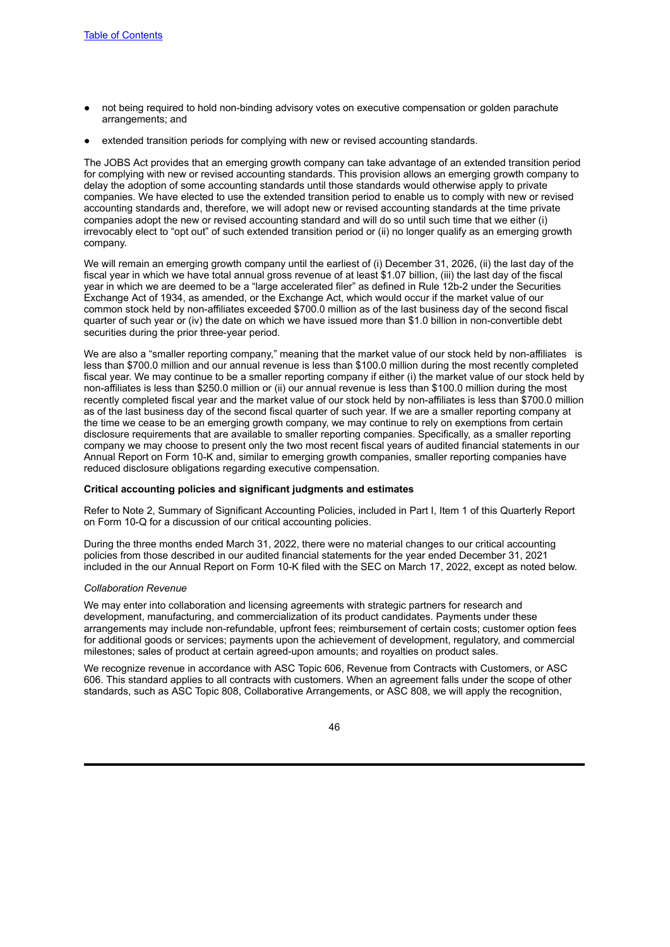- not being required to hold non-binding advisory votes on executive compensation or golden parachute arrangements; and
- extended transition periods for complying with new or revised accounting standards.

The JOBS Act provides that an emerging growth company can take advantage of an extended transition period for complying with new or revised accounting standards. This provision allows an emerging growth company to delay the adoption of some accounting standards until those standards would otherwise apply to private companies. We have elected to use the extended transition period to enable us to comply with new or revised accounting standards and, therefore, we will adopt new or revised accounting standards at the time private companies adopt the new or revised accounting standard and will do so until such time that we either (i) irrevocably elect to "opt out" of such extended transition period or (ii) no longer qualify as an emerging growth company.

We will remain an emerging growth company until the earliest of (i) December 31, 2026, (ii) the last day of the fiscal year in which we have total annual gross revenue of at least \$1.07 billion, (iii) the last day of the fiscal year in which we are deemed to be a "large accelerated filer" as defined in Rule 12b-2 under the Securities Exchange Act of 1934, as amended, or the Exchange Act, which would occur if the market value of our common stock held by non-affiliates exceeded \$700.0 million as of the last business day of the second fiscal quarter of such year or (iv) the date on which we have issued more than \$1.0 billion in non-convertible debt securities during the prior three-year period.

We are also a "smaller reporting company," meaning that the market value of our stock held by non-affiliates is less than \$700.0 million and our annual revenue is less than \$100.0 million during the most recently completed fiscal year. We may continue to be a smaller reporting company if either (i) the market value of our stock held by non-affiliates is less than \$250.0 million or (ii) our annual revenue is less than \$100.0 million during the most recently completed fiscal year and the market value of our stock held by non-affiliates is less than \$700.0 million as of the last business day of the second fiscal quarter of such year. If we are a smaller reporting company at the time we cease to be an emerging growth company, we may continue to rely on exemptions from certain disclosure requirements that are available to smaller reporting companies. Specifically, as a smaller reporting company we may choose to present only the two most recent fiscal years of audited financial statements in our Annual Report on Form 10-K and, similar to emerging growth companies, smaller reporting companies have reduced disclosure obligations regarding executive compensation.

#### **Critical accounting policies and significant judgments and estimates**

Refer to Note 2, Summary of Significant Accounting Policies, included in Part I, Item 1 of this Quarterly Report on Form 10-Q for a discussion of our critical accounting policies.

During the three months ended March 31, 2022, there were no material changes to our critical accounting policies from those described in our audited financial statements for the year ended December 31, 2021 included in the our Annual Report on Form 10-K filed with the SEC on March 17, 2022, except as noted below.

#### *Collaboration Revenue*

We may enter into collaboration and licensing agreements with strategic partners for research and development, manufacturing, and commercialization of its product candidates. Payments under these arrangements may include non-refundable, upfront fees; reimbursement of certain costs; customer option fees for additional goods or services; payments upon the achievement of development, regulatory, and commercial milestones; sales of product at certain agreed-upon amounts; and royalties on product sales.

We recognize revenue in accordance with ASC Topic 606, Revenue from Contracts with Customers, or ASC 606. This standard applies to all contracts with customers. When an agreement falls under the scope of other standards, such as ASC Topic 808, Collaborative Arrangements, or ASC 808, we will apply the recognition,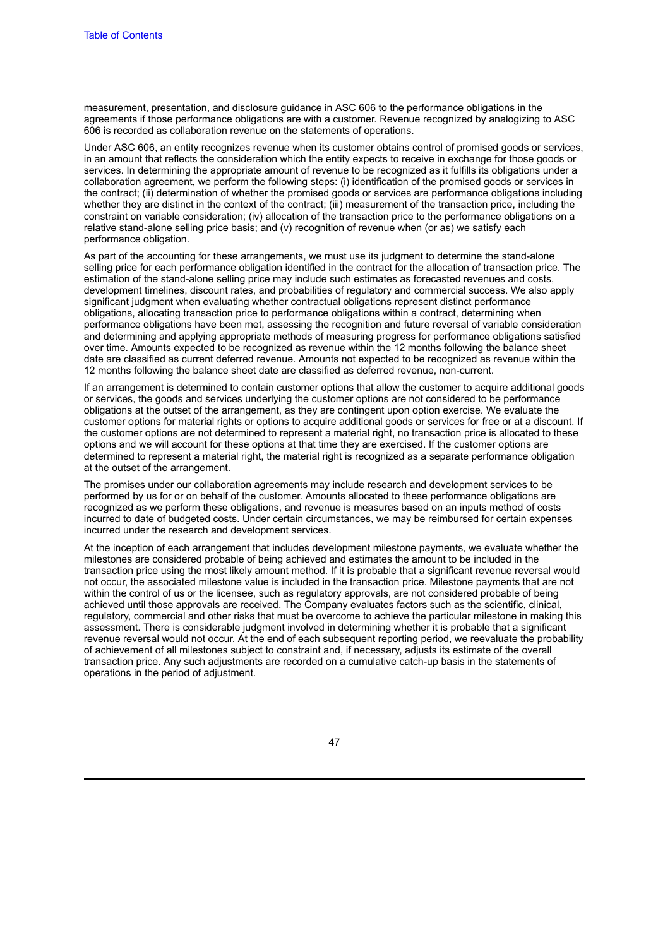measurement, presentation, and disclosure guidance in ASC 606 to the performance obligations in the agreements if those performance obligations are with a customer. Revenue recognized by analogizing to ASC 606 is recorded as collaboration revenue on the statements of operations.

Under ASC 606, an entity recognizes revenue when its customer obtains control of promised goods or services, in an amount that reflects the consideration which the entity expects to receive in exchange for those goods or services. In determining the appropriate amount of revenue to be recognized as it fulfills its obligations under a collaboration agreement, we perform the following steps: (i) identification of the promised goods or services in the contract; (ii) determination of whether the promised goods or services are performance obligations including whether they are distinct in the context of the contract; (iii) measurement of the transaction price, including the constraint on variable consideration; (iv) allocation of the transaction price to the performance obligations on a relative stand-alone selling price basis; and (v) recognition of revenue when (or as) we satisfy each performance obligation.

As part of the accounting for these arrangements, we must use its judgment to determine the stand-alone selling price for each performance obligation identified in the contract for the allocation of transaction price. The estimation of the stand-alone selling price may include such estimates as forecasted revenues and costs, development timelines, discount rates, and probabilities of regulatory and commercial success. We also apply significant judgment when evaluating whether contractual obligations represent distinct performance obligations, allocating transaction price to performance obligations within a contract, determining when performance obligations have been met, assessing the recognition and future reversal of variable consideration and determining and applying appropriate methods of measuring progress for performance obligations satisfied over time. Amounts expected to be recognized as revenue within the 12 months following the balance sheet date are classified as current deferred revenue. Amounts not expected to be recognized as revenue within the 12 months following the balance sheet date are classified as deferred revenue, non-current.

If an arrangement is determined to contain customer options that allow the customer to acquire additional goods or services, the goods and services underlying the customer options are not considered to be performance obligations at the outset of the arrangement, as they are contingent upon option exercise. We evaluate the customer options for material rights or options to acquire additional goods or services for free or at a discount. If the customer options are not determined to represent a material right, no transaction price is allocated to these options and we will account for these options at that time they are exercised. If the customer options are determined to represent a material right, the material right is recognized as a separate performance obligation at the outset of the arrangement.

The promises under our collaboration agreements may include research and development services to be performed by us for or on behalf of the customer. Amounts allocated to these performance obligations are recognized as we perform these obligations, and revenue is measures based on an inputs method of costs incurred to date of budgeted costs. Under certain circumstances, we may be reimbursed for certain expenses incurred under the research and development services.

At the inception of each arrangement that includes development milestone payments, we evaluate whether the milestones are considered probable of being achieved and estimates the amount to be included in the transaction price using the most likely amount method. If it is probable that a significant revenue reversal would not occur, the associated milestone value is included in the transaction price. Milestone payments that are not within the control of us or the licensee, such as regulatory approvals, are not considered probable of being achieved until those approvals are received. The Company evaluates factors such as the scientific, clinical, regulatory, commercial and other risks that must be overcome to achieve the particular milestone in making this assessment. There is considerable judgment involved in determining whether it is probable that a significant revenue reversal would not occur. At the end of each subsequent reporting period, we reevaluate the probability of achievement of all milestones subject to constraint and, if necessary, adjusts its estimate of the overall transaction price. Any such adjustments are recorded on a cumulative catch-up basis in the statements of operations in the period of adjustment.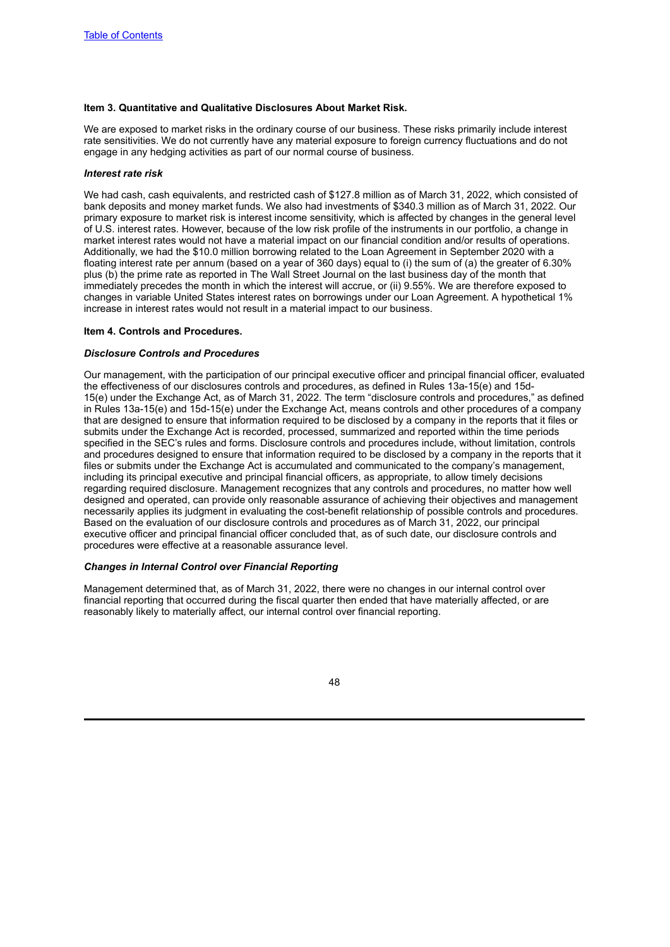# <span id="page-47-0"></span>**Item 3. Quantitative and Qualitative Disclosures About Market Risk.**

We are exposed to market risks in the ordinary course of our business. These risks primarily include interest rate sensitivities. We do not currently have any material exposure to foreign currency fluctuations and do not engage in any hedging activities as part of our normal course of business.

#### *Interest rate risk*

We had cash, cash equivalents, and restricted cash of \$127.8 million as of March 31, 2022, which consisted of bank deposits and money market funds. We also had investments of \$340.3 million as of March 31, 2022. Our primary exposure to market risk is interest income sensitivity, which is affected by changes in the general level of U.S. interest rates. However, because of the low risk profile of the instruments in our portfolio, a change in market interest rates would not have a material impact on our financial condition and/or results of operations. Additionally, we had the \$10.0 million borrowing related to the Loan Agreement in September 2020 with a floating interest rate per annum (based on a year of 360 days) equal to (i) the sum of (a) the greater of 6.30% plus (b) the prime rate as reported in The Wall Street Journal on the last business day of the month that immediately precedes the month in which the interest will accrue, or (ii) 9.55%. We are therefore exposed to changes in variable United States interest rates on borrowings under our Loan Agreement. A hypothetical 1% increase in interest rates would not result in a material impact to our business.

#### <span id="page-47-1"></span>**Item 4. Controls and Procedures.**

#### *Disclosure Controls and Procedures*

Our management, with the participation of our principal executive officer and principal financial officer, evaluated the effectiveness of our disclosures controls and procedures, as defined in Rules 13a-15(e) and 15d-15(e) under the Exchange Act, as of March 31, 2022. The term "disclosure controls and procedures," as defined in Rules 13a-15(e) and 15d-15(e) under the Exchange Act, means controls and other procedures of a company that are designed to ensure that information required to be disclosed by a company in the reports that it files or submits under the Exchange Act is recorded, processed, summarized and reported within the time periods specified in the SEC's rules and forms. Disclosure controls and procedures include, without limitation, controls and procedures designed to ensure that information required to be disclosed by a company in the reports that it files or submits under the Exchange Act is accumulated and communicated to the company's management, including its principal executive and principal financial officers, as appropriate, to allow timely decisions regarding required disclosure. Management recognizes that any controls and procedures, no matter how well designed and operated, can provide only reasonable assurance of achieving their objectives and management necessarily applies its judgment in evaluating the cost-benefit relationship of possible controls and procedures. Based on the evaluation of our disclosure controls and procedures as of March 31, 2022, our principal executive officer and principal financial officer concluded that, as of such date, our disclosure controls and procedures were effective at a reasonable assurance level.

# *Changes in Internal Control over Financial Reporting*

Management determined that, as of March 31, 2022, there were no changes in our internal control over financial reporting that occurred during the fiscal quarter then ended that have materially affected, or are reasonably likely to materially affect, our internal control over financial reporting.

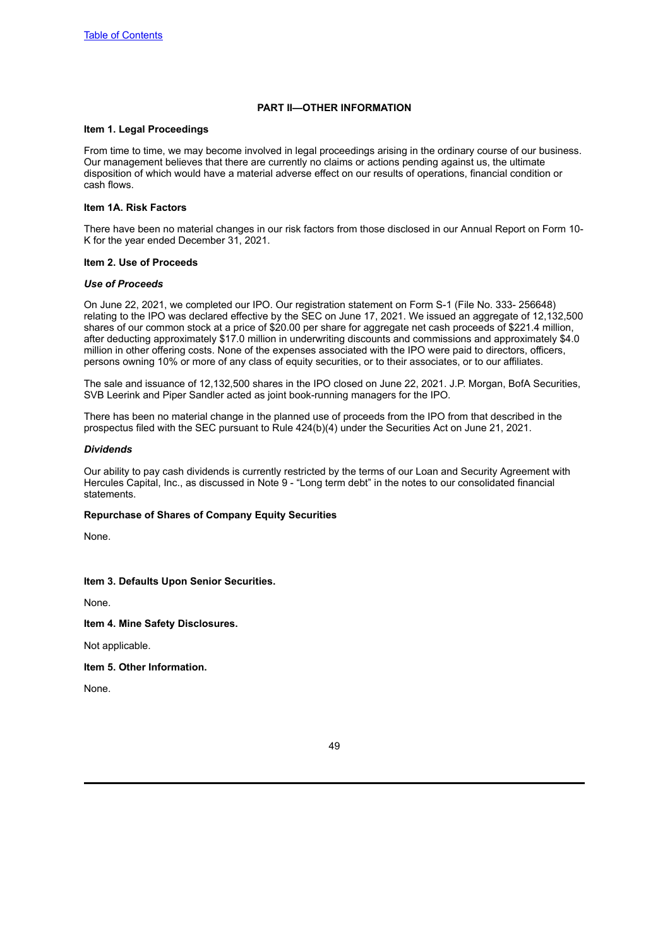# **PART II—OTHER INFORMATION**

# <span id="page-48-1"></span><span id="page-48-0"></span>**Item 1. Legal Proceedings**

From time to time, we may become involved in legal proceedings arising in the ordinary course of our business. Our management believes that there are currently no claims or actions pending against us, the ultimate disposition of which would have a material adverse effect on our results of operations, financial condition or cash flows.

# <span id="page-48-2"></span>**Item 1A. Risk Factors**

There have been no material changes in our risk factors from those disclosed in our Annual Report on Form 10- K for the year ended December 31, 2021.

# <span id="page-48-3"></span>**Item 2. Use of Proceeds**

# *Use of Proceeds*

On June 22, 2021, we completed our IPO. Our registration statement on Form S-1 (File No. 333- 256648) relating to the IPO was declared effective by the SEC on June 17, 2021. We issued an aggregate of 12,132,500 shares of our common stock at a price of \$20.00 per share for aggregate net cash proceeds of \$221.4 million, after deducting approximately \$17.0 million in underwriting discounts and commissions and approximately \$4.0 million in other offering costs. None of the expenses associated with the IPO were paid to directors, officers, persons owning 10% or more of any class of equity securities, or to their associates, or to our affiliates.

The sale and issuance of 12,132,500 shares in the IPO closed on June 22, 2021. J.P. Morgan, BofA Securities, SVB Leerink and Piper Sandler acted as joint book-running managers for the IPO.

There has been no material change in the planned use of proceeds from the IPO from that described in the prospectus filed with the SEC pursuant to Rule 424(b)(4) under the Securities Act on June 21, 2021.

# *Dividends*

Our ability to pay cash dividends is currently restricted by the terms of our Loan and Security Agreement with Hercules Capital, Inc., as discussed in Note 9 - "Long term debt" in the notes to our consolidated financial statements.

# **Repurchase of Shares of Company Equity Securities**

None.

# <span id="page-48-4"></span>**Item 3. Defaults Upon Senior Securities.**

None.

# <span id="page-48-5"></span>**Item 4. Mine Safety Disclosures.**

Not applicable.

<span id="page-48-6"></span>**Item 5. Other Information.**

None.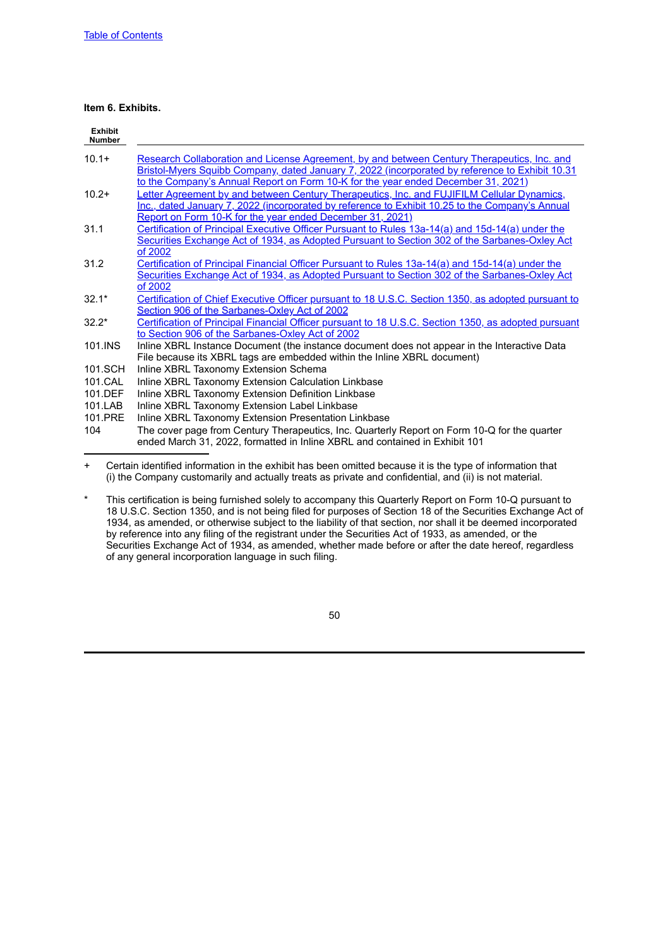# <span id="page-49-0"></span>**Item 6. Exhibits.**

| <b>Exhibit</b><br><b>Number</b> |                                                                                                                                                                                                                                                                                     |
|---------------------------------|-------------------------------------------------------------------------------------------------------------------------------------------------------------------------------------------------------------------------------------------------------------------------------------|
| $10.1 +$                        | Research Collaboration and License Agreement, by and between Century Therapeutics, Inc. and<br>Bristol-Myers Squibb Company, dated January 7, 2022 (incorporated by reference to Exhibit 10.31<br>to the Company's Annual Report on Form 10-K for the year ended December 31, 2021) |
| $10.2+$                         | Letter Agreement by and between Century Therapeutics, Inc. and FUJIFILM Cellular Dynamics,<br>Inc., dated January 7, 2022 (incorporated by reference to Exhibit 10.25 to the Company's Annual<br>Report on Form 10-K for the year ended December 31, 2021)                          |
| 31.1                            | Certification of Principal Executive Officer Pursuant to Rules 13a-14(a) and 15d-14(a) under the<br>Securities Exchange Act of 1934, as Adopted Pursuant to Section 302 of the Sarbanes-Oxley Act<br>of 2002                                                                        |
| 31.2                            | Certification of Principal Financial Officer Pursuant to Rules 13a-14(a) and 15d-14(a) under the<br>Securities Exchange Act of 1934, as Adopted Pursuant to Section 302 of the Sarbanes-Oxley Act<br>of 2002                                                                        |
| $32.1*$                         | Certification of Chief Executive Officer pursuant to 18 U.S.C. Section 1350, as adopted pursuant to<br>Section 906 of the Sarbanes-Oxley Act of 2002                                                                                                                                |
| $32.2*$                         | Certification of Principal Financial Officer pursuant to 18 U.S.C. Section 1350, as adopted pursuant<br>to Section 906 of the Sarbanes-Oxley Act of 2002                                                                                                                            |
| 101.INS                         | Inline XBRL Instance Document (the instance document does not appear in the Interactive Data<br>File because its XBRL tags are embedded within the Inline XBRL document)                                                                                                            |
| 101.SCH                         | Inline XBRL Taxonomy Extension Schema                                                                                                                                                                                                                                               |
| 101.CAL                         | Inline XBRL Taxonomy Extension Calculation Linkbase                                                                                                                                                                                                                                 |
| 101.DEF                         | Inline XBRL Taxonomy Extension Definition Linkbase                                                                                                                                                                                                                                  |
| 101.LAB                         | Inline XBRL Taxonomy Extension Label Linkbase                                                                                                                                                                                                                                       |
| 101.PRE                         | Inline XBRL Taxonomy Extension Presentation Linkbase                                                                                                                                                                                                                                |
| 104                             | The cover page from Century Therapeutics, Inc. Quarterly Report on Form 10-Q for the quarter<br>ended March 31, 2022, formatted in Inline XBRL and contained in Exhibit 101                                                                                                         |

+ Certain identified information in the exhibit has been omitted because it is the type of information that (i) the Company customarily and actually treats as private and confidential, and (ii) is not material.

\* This certification is being furnished solely to accompany this Quarterly Report on Form 10-Q pursuant to 18 U.S.C. Section 1350, and is not being filed for purposes of Section 18 of the Securities Exchange Act of 1934, as amended, or otherwise subject to the liability of that section, nor shall it be deemed incorporated by reference into any filing of the registrant under the Securities Act of 1933, as amended, or the Securities Exchange Act of 1934, as amended, whether made before or after the date hereof, regardless of any general incorporation language in such filing.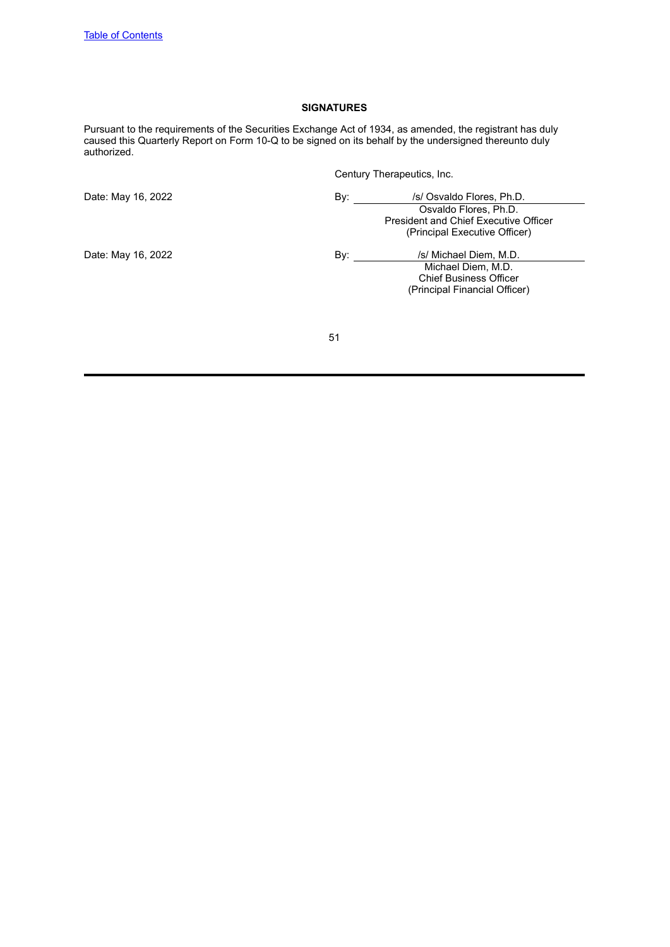# **SIGNATURES**

<span id="page-50-0"></span>Pursuant to the requirements of the Securities Exchange Act of 1934, as amended, the registrant has duly caused this Quarterly Report on Form 10-Q to be signed on its behalf by the undersigned thereunto duly authorized.

Century Therapeutics, Inc.

Date: May 16, 2022 **By:** /s/ Osvaldo Flores, Ph.D. Osvaldo Flores, Ph.D. President and Chief Executive Officer (Principal Executive Officer)

Date: May 16, 2022 **By:** By: *Isl* Michael Diem, M.D. Michael Diem, M.D. Chief Business Officer (Principal Financial Officer)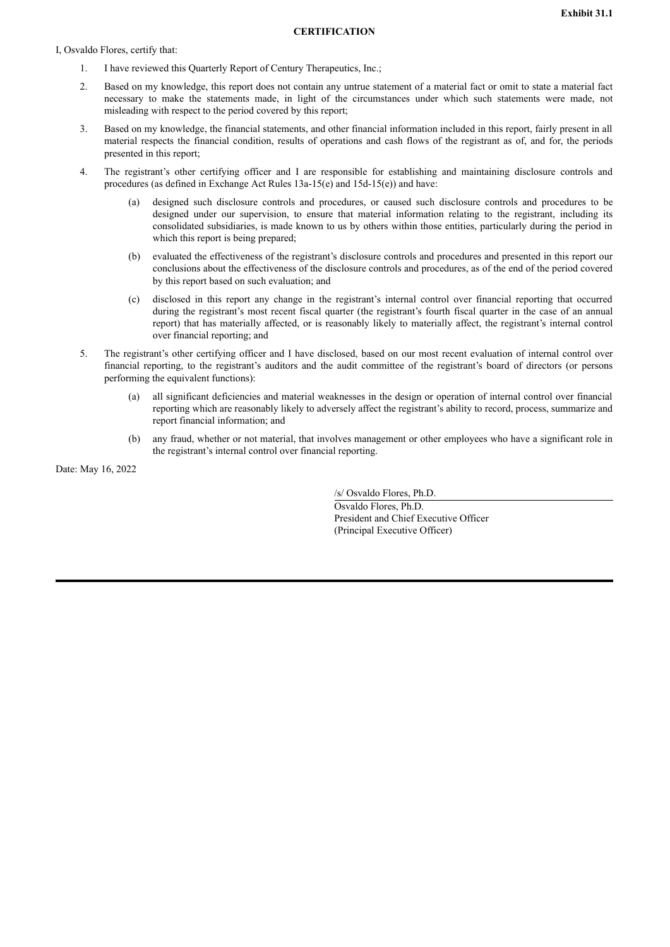#### **CERTIFICATION**

<span id="page-51-0"></span>I, Osvaldo Flores, certify that:

- 1. I have reviewed this Quarterly Report of Century Therapeutics, Inc.;
- 2. Based on my knowledge, this report does not contain any untrue statement of a material fact or omit to state a material fact necessary to make the statements made, in light of the circumstances under which such statements were made, not misleading with respect to the period covered by this report;
- 3. Based on my knowledge, the financial statements, and other financial information included in this report, fairly present in all material respects the financial condition, results of operations and cash flows of the registrant as of, and for, the periods presented in this report;
- 4. The registrant's other certifying officer and I are responsible for establishing and maintaining disclosure controls and procedures (as defined in Exchange Act Rules 13a-15(e) and 15d-15(e)) and have:
	- (a) designed such disclosure controls and procedures, or caused such disclosure controls and procedures to be designed under our supervision, to ensure that material information relating to the registrant, including its consolidated subsidiaries, is made known to us by others within those entities, particularly during the period in which this report is being prepared;
	- (b) evaluated the effectiveness of the registrant's disclosure controls and procedures and presented in this report our conclusions about the effectiveness of the disclosure controls and procedures, as of the end of the period covered by this report based on such evaluation; and
	- (c) disclosed in this report any change in the registrant's internal control over financial reporting that occurred during the registrant's most recent fiscal quarter (the registrant's fourth fiscal quarter in the case of an annual report) that has materially affected, or is reasonably likely to materially affect, the registrant's internal control over financial reporting; and
- 5. The registrant's other certifying officer and I have disclosed, based on our most recent evaluation of internal control over financial reporting, to the registrant's auditors and the audit committee of the registrant's board of directors (or persons performing the equivalent functions):
	- (a) all significant deficiencies and material weaknesses in the design or operation of internal control over financial reporting which are reasonably likely to adversely affect the registrant's ability to record, process, summarize and report financial information; and
	- (b) any fraud, whether or not material, that involves management or other employees who have a significant role in the registrant's internal control over financial reporting.

Date: May 16, 2022

/s/ Osvaldo Flores, Ph.D. Osvaldo Flores, Ph.D. President and Chief Executive Officer (Principal Executive Officer)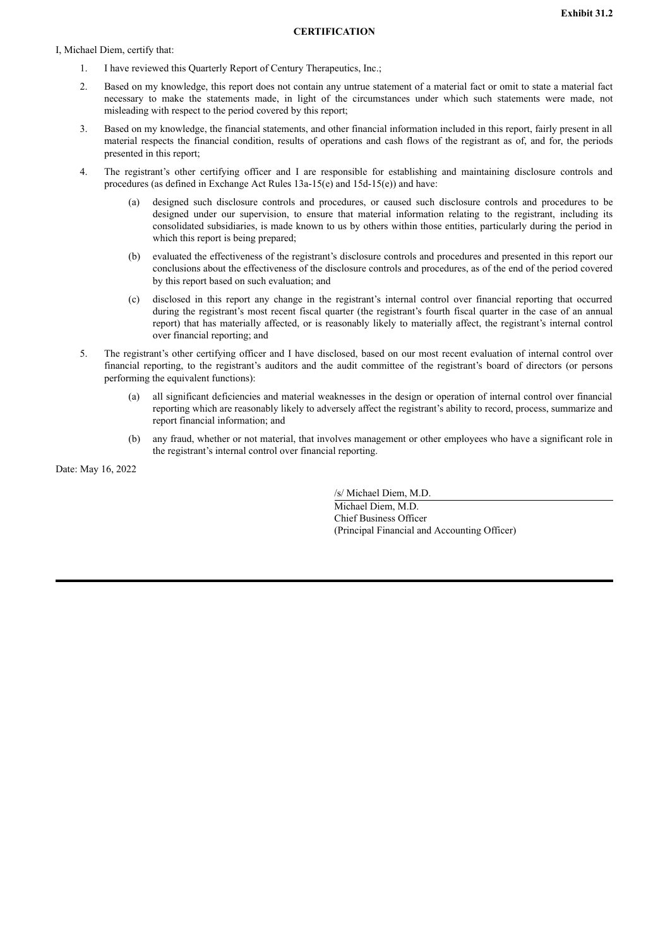#### **CERTIFICATION**

<span id="page-52-0"></span>I, Michael Diem, certify that:

- 1. I have reviewed this Quarterly Report of Century Therapeutics, Inc.;
- 2. Based on my knowledge, this report does not contain any untrue statement of a material fact or omit to state a material fact necessary to make the statements made, in light of the circumstances under which such statements were made, not misleading with respect to the period covered by this report;
- 3. Based on my knowledge, the financial statements, and other financial information included in this report, fairly present in all material respects the financial condition, results of operations and cash flows of the registrant as of, and for, the periods presented in this report;
- 4. The registrant's other certifying officer and I are responsible for establishing and maintaining disclosure controls and procedures (as defined in Exchange Act Rules 13a-15(e) and 15d-15(e)) and have:
	- (a) designed such disclosure controls and procedures, or caused such disclosure controls and procedures to be designed under our supervision, to ensure that material information relating to the registrant, including its consolidated subsidiaries, is made known to us by others within those entities, particularly during the period in which this report is being prepared;
	- (b) evaluated the effectiveness of the registrant's disclosure controls and procedures and presented in this report our conclusions about the effectiveness of the disclosure controls and procedures, as of the end of the period covered by this report based on such evaluation; and
	- (c) disclosed in this report any change in the registrant's internal control over financial reporting that occurred during the registrant's most recent fiscal quarter (the registrant's fourth fiscal quarter in the case of an annual report) that has materially affected, or is reasonably likely to materially affect, the registrant's internal control over financial reporting; and
- 5. The registrant's other certifying officer and I have disclosed, based on our most recent evaluation of internal control over financial reporting, to the registrant's auditors and the audit committee of the registrant's board of directors (or persons performing the equivalent functions):
	- (a) all significant deficiencies and material weaknesses in the design or operation of internal control over financial reporting which are reasonably likely to adversely affect the registrant's ability to record, process, summarize and report financial information; and
	- (b) any fraud, whether or not material, that involves management or other employees who have a significant role in the registrant's internal control over financial reporting.

Date: May 16, 2022

/s/ Michael Diem, M.D. Michael Diem, M.D. Chief Business Officer (Principal Financial and Accounting Officer)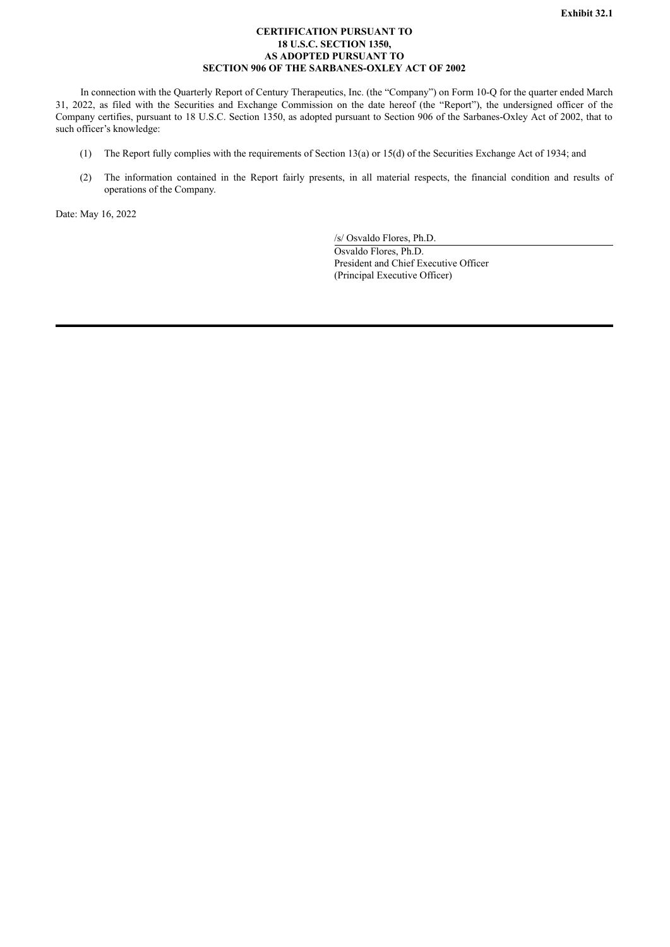# **CERTIFICATION PURSUANT TO 18 U.S.C. SECTION 1350, AS ADOPTED PURSUANT TO SECTION 906 OF THE SARBANES-OXLEY ACT OF 2002**

<span id="page-53-0"></span>In connection with the Quarterly Report of Century Therapeutics, Inc. (the "Company") on Form 10-Q for the quarter ended March 31, 2022, as filed with the Securities and Exchange Commission on the date hereof (the "Report"), the undersigned officer of the Company certifies, pursuant to 18 U.S.C. Section 1350, as adopted pursuant to Section 906 of the Sarbanes-Oxley Act of 2002, that to such officer's knowledge:

- (1) The Report fully complies with the requirements of Section 13(a) or 15(d) of the Securities Exchange Act of 1934; and
- (2) The information contained in the Report fairly presents, in all material respects, the financial condition and results of operations of the Company.

Date: May 16, 2022

/s/ Osvaldo Flores, Ph.D.

Osvaldo Flores, Ph.D. President and Chief Executive Officer (Principal Executive Officer)